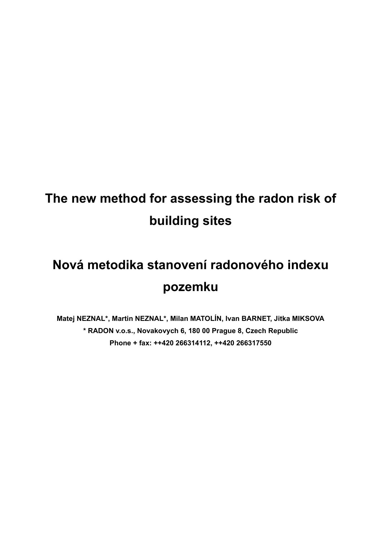# **The new method for assessing the radon risk of building sites**

# **Nová metodika stanovení radonového indexu pozemku**

**Matej NEZNAL\*, Martin NEZNAL\*, Milan MATOLÍN, Ivan BARNET, Jitka MIKSOVA \* RADON v.o.s., Novakovych 6, 180 00 Prague 8, Czech Republic Phone + fax: ++420 266314112, ++420 266317550**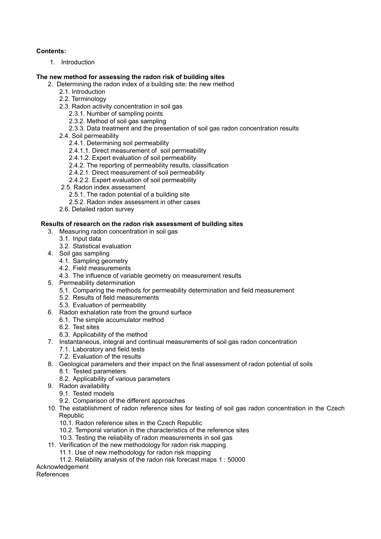#### **Contents:**

1. Introduction

#### **The new method for assessing the radon risk of building sites**

- 2. Determining the radon index of a building site: the new method
	- 2.1. Introduction
	- 2.2. Terminology
	- 2.3. Radon activity concentration in soil gas
		- 2.3.1. Number of sampling points
		- 2.3.2. Method of soil gas sampling
		- 2.3.3. Data treatment and the presentation of soil gas radon concentration results
	- 2.4. Soil permeability
		- 2.4.1. Determining soil permeability
		- 2.4.1.1. Direct measurement of soil permeability
		- 2.4.1.2. Expert evaluation of soil permeability
		- 2.4.2. The reporting of permeability results, classification
		- 2.4.2.1. Direct measurement of soil permeability
		- 2.4.2.2. Expert evaluation of soil permeability
	- 2.5. Radon index assessment
		- 2.5.1. The radon potential of a building site
		- 2.5.2. Radon index assessment in other cases
	- 2.6. Detailed radon survey

#### **Results of research on the radon risk assessment of building sites**

- 3. Measuring radon concentration in soil gas
	- 3.1. Input data
	- 3.2. Statistical evaluation
- 4. Soil gas sampling
	- 4.1. Sampling geometry
	- 4.2. Field measurements
	- 4.3. The influence of variable geometry on measurement results
- 5. Permeability determination
	- 5.1. Comparing the methods for permeability determination and field measurement
	- 5.2. Results of field measurements
	- 5.3. Evaluation of permeability
- 6. Radon exhalation rate from the ground surface
- 6.1. The simple accumulator method
	- 6.2. Test sites
	- 6.3. Applicability of the method
- 7. Instantaneous, integral and continual measurements of soil gas radon concentration
	- 7.1. Laboratory and field tests
	- 7.2. Evaluation of the results
- 8. Geological parameters and their impact on the final assessment of radon potential of soils
	- 8.1. Tested parameters
	- 8.2. Applicability of various parameters
- 9. Radon availability
	- 9.1. Tested models
	- 9.2. Comparison of the different approaches
- 10. The establishment of radon reference sites for testing of soil gas radon concentration in the Czech Republic
	- 10.1. Radon reference sites in the Czech Republic
	- 10.2. Temporal variation in the characteristics of the reference sites
	- 10.3. Testing the reliability of radon measurements in soil gas
- 11. Verification of the new methodology for radon risk mapping
	- 11.1. Use of new methodology for radon risk mapping
	- 11.2. Reliability analysis of the radon risk forecast maps 1 : 50000

#### Acknowledgement

References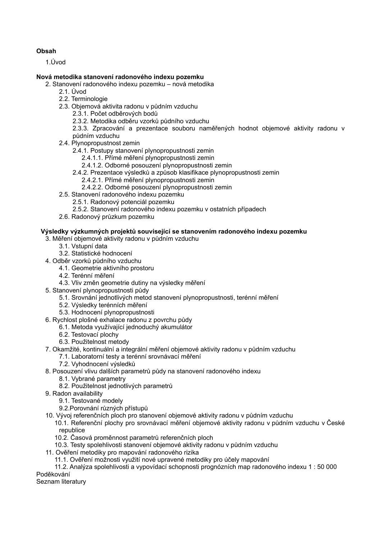#### **Obsah**

1.Úvod

#### **Nová metodika stanovení radonového indexu pozemku**

- 2. Stanovení radonového indexu pozemku nová metodika
	- 2.1. Úvod
	- 2.2. Terminologie
	- 2.3. Objemová aktivita radonu v půdním vzduchu
		- 2.3.1. Počet odběrových bodů
		- 2.3.2. Metodika odběru vzorků půdního vzduchu

2.3.3. Zpracování a prezentace souboru naměřených hodnot objemové aktivity radonu v půdním vzduchu

- 2.4. Plynopropustnost zemin
	- 2.4.1. Postupy stanovení plynopropustnosti zemin
		- 2.4.1.1. Přímé měření plynopropustnosti zemin
		- 2.4.1.2. Odborné posouzení plynopropustnosti zemin
	- 2.4.2. Prezentace výsledků a způsob klasifikace plynopropustnosti zemin
		- 2.4.2.1. Přímé měření plynopropustnosti zemin
		- 2.4.2.2. Odborné posouzení plynopropustnosti zemin
- 2.5. Stanovení radonového indexu pozemku
	- 2.5.1. Radonový potenciál pozemku
	- 2.5.2. Stanovení radonového indexu pozemku v ostatních případech
- 2.6. Radonový průzkum pozemku

#### **Výsledky výzkumných projektů související se stanovením radonového indexu pozemku**

- 3. Měření objemové aktivity radonu v půdním vzduchu
	- 3.1. Vstupní data
	- 3.2. Statistické hodnocení
- 4. Odběr vzorků půdního vzduchu
	- 4.1. Geometrie aktivního prostoru
	- 4.2. Terénní měření
	- 4.3. Vliv změn geometrie dutiny na výsledky měření
- 5. Stanovení plynopropustnosti půdy
	- 5.1. Srovnání jednotlivých metod stanovení plynopropustnosti, terénní měření
		- 5.2. Výsledky terénních měření
		- 5.3. Hodnocení plynopropustnosti
- 6. Rychlost plošné exhalace radonu z povrchu půdy
	- 6.1. Metoda využívající jednoduchý akumulátor
	- 6.2. Testovací plochy
	- 6.3. Použitelnost metody
- 7. Okamžité, kontinuální a integrální měření objemové aktivity radonu v půdním vzduchu
	- 7.1. Laboratorní testy a terénní srovnávací měření
	- 7.2. Vyhodnocení výsledků
- 8. Posouzení vlivu dalších parametrů půdy na stanovení radonového indexu
	- 8.1. Vybrané parametry
	- 8.2. Použitelnost jednotlivých parametrů
- 9. Radon availability
	- 9.1. Testované modely
	- 9.2.Porovnání různých přístupů
- 10. Vývoj referenčních ploch pro stanovení objemové aktivity radonu v půdním vzduchu

10.1. Referenční plochy pro srovnávací měření objemové aktivity radonu v půdním vzduchu v České republice

- 10.2. Časová proměnnost parametrů referenčních ploch
- 10.3. Testy spolehlivosti stanovení objemové aktivity radonu v půdním vzduchu
- 11. Ověření metodiky pro mapování radonového rizika
	- 11.1. Ověření možnosti využití nové upravené metodiky pro účely mapování

11.2. Analýza spolehlivosti a vypovídací schopnosti prognózních map radonového indexu 1 : 50 000 Poděkování

Seznam literatury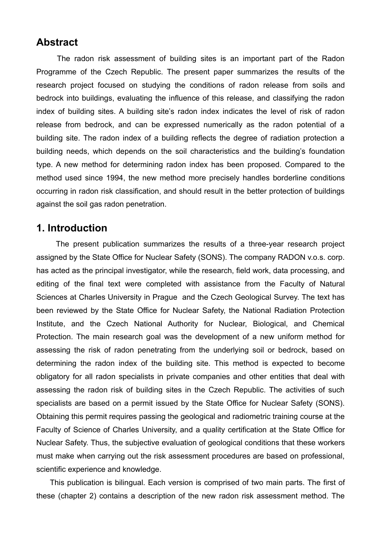### **Abstract**

The radon risk assessment of building sites is an important part of the Radon Programme of the Czech Republic. The present paper summarizes the results of the research project focused on studying the conditions of radon release from soils and bedrock into buildings, evaluating the influence of this release, and classifying the radon index of building sites. A building site's radon index indicates the level of risk of radon release from bedrock, and can be expressed numerically as the radon potential of a building site. The radon index of a building reflects the degree of radiation protection a building needs, which depends on the soil characteristics and the building's foundation type. A new method for determining radon index has been proposed. Compared to the method used since 1994, the new method more precisely handles borderline conditions occurring in radon risk classification, and should result in the better protection of buildings against the soil gas radon penetration.

## **1. Introduction**

The present publication summarizes the results of a three-year research project assigned by the State Office for Nuclear Safety (SONS). The company RADON v.o.s. corp. has acted as the principal investigator, while the research, field work, data processing, and editing of the final text were completed with assistance from the Faculty of Natural Sciences at Charles University in Prague and the Czech Geological Survey. The text has been reviewed by the State Office for Nuclear Safety, the National Radiation Protection Institute, and the Czech National Authority for Nuclear, Biological, and Chemical Protection. The main research goal was the development of a new uniform method for assessing the risk of radon penetrating from the underlying soil or bedrock, based on determining the radon index of the building site. This method is expected to become obligatory for all radon specialists in private companies and other entities that deal with assessing the radon risk of building sites in the Czech Republic. The activities of such specialists are based on a permit issued by the State Office for Nuclear Safety (SONS). Obtaining this permit requires passing the geological and radiometric training course at the Faculty of Science of Charles University, and a quality certification at the State Office for Nuclear Safety. Thus, the subjective evaluation of geological conditions that these workers must make when carrying out the risk assessment procedures are based on professional, scientific experience and knowledge.

This publication is bilingual. Each version is comprised of two main parts. The first of these (chapter 2) contains a description of the new radon risk assessment method. The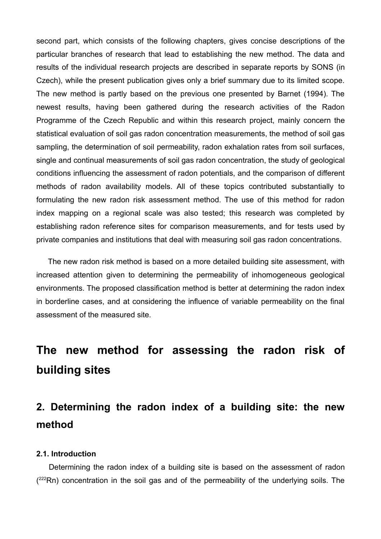second part, which consists of the following chapters, gives concise descriptions of the particular branches of research that lead to establishing the new method. The data and results of the individual research projects are described in separate reports by SONS (in Czech), while the present publication gives only a brief summary due to its limited scope. The new method is partly based on the previous one presented by Barnet (1994). The newest results, having been gathered during the research activities of the Radon Programme of the Czech Republic and within this research project, mainly concern the statistical evaluation of soil gas radon concentration measurements, the method of soil gas sampling, the determination of soil permeability, radon exhalation rates from soil surfaces, single and continual measurements of soil gas radon concentration, the study of geological conditions influencing the assessment of radon potentials, and the comparison of different methods of radon availability models. All of these topics contributed substantially to formulating the new radon risk assessment method. The use of this method for radon index mapping on a regional scale was also tested; this research was completed by establishing radon reference sites for comparison measurements, and for tests used by private companies and institutions that deal with measuring soil gas radon concentrations.

The new radon risk method is based on a more detailed building site assessment, with increased attention given to determining the permeability of inhomogeneous geological environments. The proposed classification method is better at determining the radon index in borderline cases, and at considering the influence of variable permeability on the final assessment of the measured site.

## **The new method for assessing the radon risk of building sites**

## **2. Determining the radon index of a building site: the new method**

#### **2.1. Introduction**

Determining the radon index of a building site is based on the assessment of radon  $(^{222}Rn)$  concentration in the soil gas and of the permeability of the underlying soils. The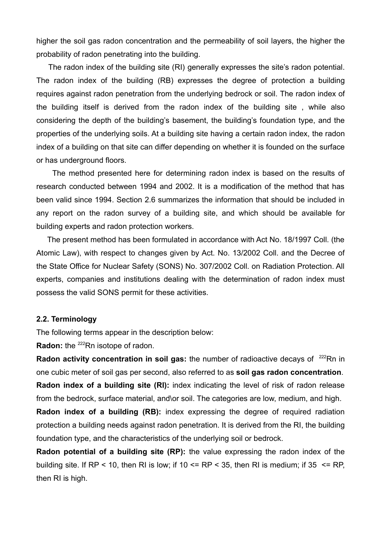higher the soil gas radon concentration and the permeability of soil layers, the higher the probability of radon penetrating into the building.

The radon index of the building site (RI) generally expresses the site's radon potential. The radon index of the building (RB) expresses the degree of protection a building requires against radon penetration from the underlying bedrock or soil. The radon index of the building itself is derived from the radon index of the building site , while also considering the depth of the building's basement, the building's foundation type, and the properties of the underlying soils. At a building site having a certain radon index, the radon index of a building on that site can differ depending on whether it is founded on the surface or has underground floors.

The method presented here for determining radon index is based on the results of research conducted between 1994 and 2002. It is a modification of the method that has been valid since 1994. Section 2.6 summarizes the information that should be included in any report on the radon survey of a building site, and which should be available for building experts and radon protection workers.

The present method has been formulated in accordance with Act No. 18/1997 Coll. (the Atomic Law), with respect to changes given by Act. No. 13/2002 Coll. and the Decree of the State Office for Nuclear Safety (SONS) No. 307/2002 Coll. on Radiation Protection. All experts, companies and institutions dealing with the determination of radon index must possess the valid SONS permit for these activities.

#### **2.2. Terminology**

The following terms appear in the description below:

Radon: the <sup>222</sup>Rn isotope of radon.

**Radon activity concentration in soil gas:** the number of radioactive decays of <sup>222</sup>Rn in one cubic meter of soil gas per second, also referred to as **soil gas radon concentration**.

**Radon index of a building site (RI):** index indicating the level of risk of radon release from the bedrock, surface material, and\or soil. The categories are low, medium, and high.

**Radon index of a building (RB):** index expressing the degree of required radiation protection a building needs against radon penetration. It is derived from the RI, the building foundation type, and the characteristics of the underlying soil or bedrock.

**Radon potential of a building site (RP):** the value expressing the radon index of the building site. If RP < 10, then RI is low; if 10 <= RP < 35, then RI is medium; if  $35$  <= RP, then RI is high.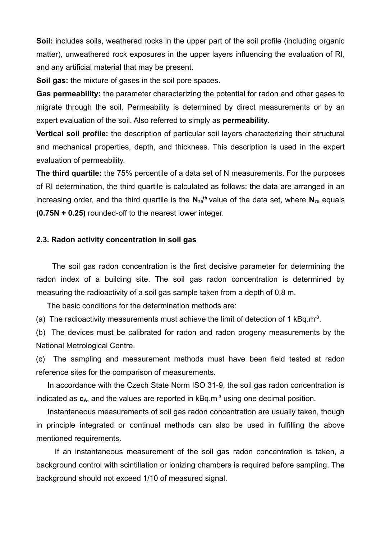**Soil:** includes soils, weathered rocks in the upper part of the soil profile (including organic matter), unweathered rock exposures in the upper layers influencing the evaluation of RI, and any artificial material that may be present.

**Soil gas:** the mixture of gases in the soil pore spaces.

**Gas permeability:** the parameter characterizing the potential for radon and other gases to migrate through the soil. Permeability is determined by direct measurements or by an expert evaluation of the soil. Also referred to simply as **permeability**.

**Vertical soil profile:** the description of particular soil layers characterizing their structural and mechanical properties, depth, and thickness. This description is used in the expert evaluation of permeability.

**The third quartile:** the 75% percentile of a data set of N measurements. For the purposes of RI determination, the third quartile is calculated as follows: the data are arranged in an increasing order, and the third quartile is the  $N_{75}$ <sup>th</sup> value of the data set, where  $N_{75}$  equals **(0.75N + 0.25)** rounded-off to the nearest lower integer.

#### **2.3. Radon activity concentration in soil gas**

The soil gas radon concentration is the first decisive parameter for determining the radon index of a building site. The soil gas radon concentration is determined by measuring the radioactivity of a soil gas sample taken from a depth of 0.8 m.

The basic conditions for the determination methods are:

(a) The radioactivity measurements must achieve the limit of detection of 1 kBq.m<sup>-3</sup>.

(b) The devices must be calibrated for radon and radon progeny measurements by the National Metrological Centre.

(c) The sampling and measurement methods must have been field tested at radon reference sites for the comparison of measurements.

In accordance with the Czech State Norm ISO 31-9, the soil gas radon concentration is indicated as  $c_A$ , and the values are reported in  $kBq.m^{-3}$  using one decimal position.

Instantaneous measurements of soil gas radon concentration are usually taken, though in principle integrated or continual methods can also be used in fulfilling the above mentioned requirements.

If an instantaneous measurement of the soil gas radon concentration is taken, a background control with scintillation or ionizing chambers is required before sampling. The background should not exceed 1/10 of measured signal.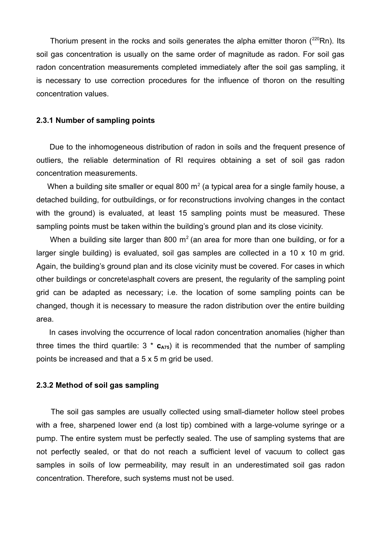Thorium present in the rocks and soils generates the alpha emitter thoron  $(^{220}Rn)$ . Its soil gas concentration is usually on the same order of magnitude as radon. For soil gas radon concentration measurements completed immediately after the soil gas sampling, it is necessary to use correction procedures for the influence of thoron on the resulting concentration values.

#### **2.3.1 Number of sampling points**

Due to the inhomogeneous distribution of radon in soils and the frequent presence of outliers, the reliable determination of RI requires obtaining a set of soil gas radon concentration measurements.

When a building site smaller or equal 800 m<sup>2</sup> (a typical area for a single family house, a detached building, for outbuildings, or for reconstructions involving changes in the contact with the ground) is evaluated, at least 15 sampling points must be measured. These sampling points must be taken within the building's ground plan and its close vicinity.

When a building site larger than 800 m<sup>2</sup> (an area for more than one building, or for a larger single building) is evaluated, soil gas samples are collected in a 10 x 10 m grid. Again, the building's ground plan and its close vicinity must be covered. For cases in which other buildings or concrete\asphalt covers are present, the regularity of the sampling point grid can be adapted as necessary; i.e. the location of some sampling points can be changed, though it is necessary to measure the radon distribution over the entire building area.

In cases involving the occurrence of local radon concentration anomalies (higher than three times the third quartile:  $3 * c_{A75}$  it is recommended that the number of sampling points be increased and that a 5 x 5 m grid be used.

#### **2.3.2 Method of soil gas sampling**

The soil gas samples are usually collected using small-diameter hollow steel probes with a free, sharpened lower end (a lost tip) combined with a large-volume syringe or a pump. The entire system must be perfectly sealed. The use of sampling systems that are not perfectly sealed, or that do not reach a sufficient level of vacuum to collect gas samples in soils of low permeability, may result in an underestimated soil gas radon concentration. Therefore, such systems must not be used.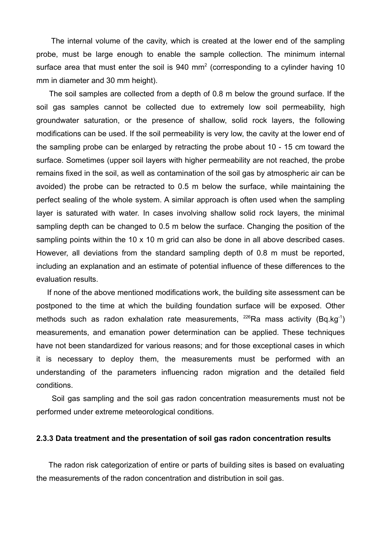The internal volume of the cavity, which is created at the lower end of the sampling probe, must be large enough to enable the sample collection. The minimum internal surface area that must enter the soil is  $940 \text{ mm}^2$  (corresponding to a cylinder having 10 mm in diameter and 30 mm height).

The soil samples are collected from a depth of 0.8 m below the ground surface. If the soil gas samples cannot be collected due to extremely low soil permeability, high groundwater saturation, or the presence of shallow, solid rock layers, the following modifications can be used. If the soil permeability is very low, the cavity at the lower end of the sampling probe can be enlarged by retracting the probe about 10 - 15 cm toward the surface. Sometimes (upper soil layers with higher permeability are not reached, the probe remains fixed in the soil, as well as contamination of the soil gas by atmospheric air can be avoided) the probe can be retracted to 0.5 m below the surface, while maintaining the perfect sealing of the whole system. A similar approach is often used when the sampling layer is saturated with water. In cases involving shallow solid rock layers, the minimal sampling depth can be changed to 0.5 m below the surface. Changing the position of the sampling points within the 10 x 10 m grid can also be done in all above described cases. However, all deviations from the standard sampling depth of 0.8 m must be reported, including an explanation and an estimate of potential influence of these differences to the evaluation results.

If none of the above mentioned modifications work, the building site assessment can be postponed to the time at which the building foundation surface will be exposed. Other methods such as radon exhalation rate measurements,  $226$ Ra mass activity (Bq.kg<sup>-1</sup>) measurements, and emanation power determination can be applied. These techniques have not been standardized for various reasons; and for those exceptional cases in which it is necessary to deploy them, the measurements must be performed with an understanding of the parameters influencing radon migration and the detailed field conditions.

Soil gas sampling and the soil gas radon concentration measurements must not be performed under extreme meteorological conditions.

#### **2.3.3 Data treatment and the presentation of soil gas radon concentration results**

The radon risk categorization of entire or parts of building sites is based on evaluating the measurements of the radon concentration and distribution in soil gas.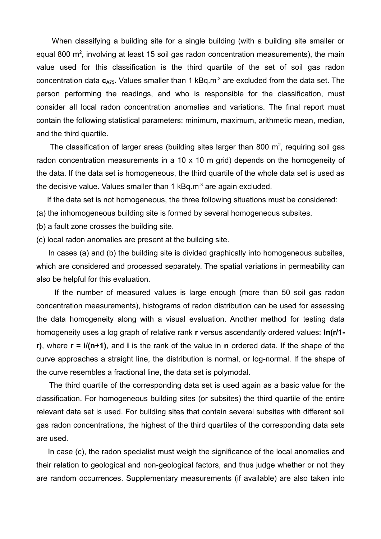When classifying a building site for a single building (with a building site smaller or equal 800 m<sup>2</sup>, involving at least 15 soil gas radon concentration measurements), the main value used for this classification is the third quartile of the set of soil gas radon concentration data  $c_{A75}$ . Values smaller than 1 kBq.m<sup>-3</sup> are excluded from the data set. The person performing the readings, and who is responsible for the classification, must consider all local radon concentration anomalies and variations. The final report must contain the following statistical parameters: minimum, maximum, arithmetic mean, median, and the third quartile.

The classification of larger areas (building sites larger than 800  $m<sup>2</sup>$ , requiring soil gas radon concentration measurements in a 10 x 10 m grid) depends on the homogeneity of the data. If the data set is homogeneous, the third quartile of the whole data set is used as the decisive value. Values smaller than 1  $kBa.m<sup>3</sup>$  are again excluded.

If the data set is not homogeneous, the three following situations must be considered:

(a) the inhomogeneous building site is formed by several homogeneous subsites.

(b) a fault zone crosses the building site.

(c) local radon anomalies are present at the building site.

In cases (a) and (b) the building site is divided graphically into homogeneous subsites, which are considered and processed separately. The spatial variations in permeability can also be helpful for this evaluation.

If the number of measured values is large enough (more than 50 soil gas radon concentration measurements), histograms of radon distribution can be used for assessing the data homogeneity along with a visual evaluation. Another method for testing data homogeneity uses a log graph of relative rank **r** versus ascendantly ordered values: **ln(r/1 r)**, where **r = i/(n+1)**, and **i** is the rank of the value in **n** ordered data. If the shape of the curve approaches a straight line, the distribution is normal, or log-normal. If the shape of the curve resembles a fractional line, the data set is polymodal.

The third quartile of the corresponding data set is used again as a basic value for the classification. For homogeneous building sites (or subsites) the third quartile of the entire relevant data set is used. For building sites that contain several subsites with different soil gas radon concentrations, the highest of the third quartiles of the corresponding data sets are used.

In case (c), the radon specialist must weigh the significance of the local anomalies and their relation to geological and non-geological factors, and thus judge whether or not they are random occurrences. Supplementary measurements (if available) are also taken into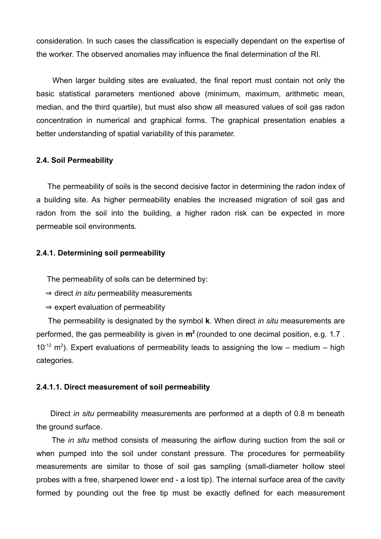consideration. In such cases the classification is especially dependant on the expertise of the worker. The observed anomalies may influence the final determination of the RI.

When larger building sites are evaluated, the final report must contain not only the basic statistical parameters mentioned above (minimum, maximum, arithmetic mean, median, and the third quartile), but must also show all measured values of soil gas radon concentration in numerical and graphical forms. The graphical presentation enables a better understanding of spatial variability of this parameter.

#### **2.4. Soil Permeability**

The permeability of soils is the second decisive factor in determining the radon index of a building site. As higher permeability enables the increased migration of soil gas and radon from the soil into the building, a higher radon risk can be expected in more permeable soil environments.

#### **2.4.1. Determining soil permeability**

The permeability of soils can be determined by:

- ⇒ direct *in situ* permeability measurements
- $\Rightarrow$  expert evaluation of permeability

The permeability is designated by the symbol **k**. When direct *in situ* measurements are performed, the gas permeability is given in **m<sup>2</sup>** (rounded to one decimal position, e.g. 1.7 .  $10^{-12}$  m<sup>2</sup>). Expert evaluations of permeability leads to assigning the low – medium – high categories.

#### **2.4.1.1. Direct measurement of soil permeability**

Direct *in situ* permeability measurements are performed at a depth of 0.8 m beneath the ground surface.

The *in situ* method consists of measuring the airflow during suction from the soil or when pumped into the soil under constant pressure. The procedures for permeability measurements are similar to those of soil gas sampling (small-diameter hollow steel probes with a free, sharpened lower end - a lost tip). The internal surface area of the cavity formed by pounding out the free tip must be exactly defined for each measurement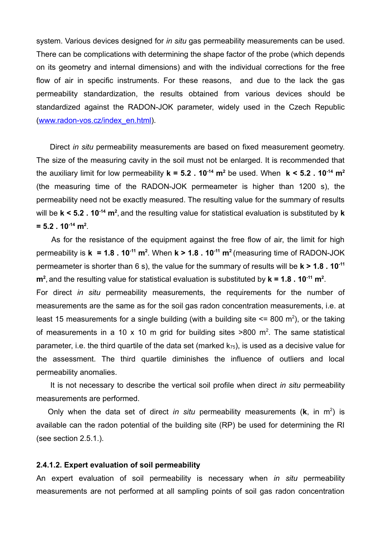system. Various devices designed for *in situ* gas permeability measurements can be used. There can be complications with determining the shape factor of the probe (which depends on its geometry and internal dimensions) and with the individual corrections for the free flow of air in specific instruments. For these reasons, and due to the lack the gas permeability standardization, the results obtained from various devices should be standardized against the RADON-JOK parameter, widely used in the Czech Republic (www.radon-vos.cz/index\_en.html).

Direct *in situ* permeability measurements are based on fixed measurement geometry. The size of the measuring cavity in the soil must not be enlarged. It is recommended that the auxiliary limit for low permeability **k = 5.2 . 10 -14 m<sup>2</sup>** be used. When **k < 5.2 . 10 -14 m<sup>2</sup>** (the measuring time of the RADON-JOK permeameter is higher than 1200 s), the permeability need not be exactly measured. The resulting value for the summary of results will be **k < 5.2 . 10 -14 m<sup>2</sup>** , and the resulting value for statistical evaluation is substituted by **k**  $= 5.2$  , 10<sup>-14</sup> m<sup>2</sup>.

As for the resistance of the equipment against the free flow of air, the limit for high permeability is **k = 1.8 . 10 -11 m<sup>2</sup>** . When **k > 1.8 . 10 -11 m<sup>2</sup>** (measuring time of RADON-JOK permeameter is shorter than 6 s), the value for the summary of results will be **k > 1.8 . 10 -11 m<sup>2</sup>** , and the resulting value for statistical evaluation is substituted by **k = 1.8 . 10 -11 m<sup>2</sup>** . For direct *in situ* permeability measurements, the requirements for the number of measurements are the same as for the soil gas radon concentration measurements, i.e. at least 15 measurements for a single building (with a building site  $\leq$  800 m<sup>2</sup>), or the taking of measurements in a 10 x 10 m grid for building sites  $>800$  m<sup>2</sup>. The same statistical parameter, i.e. the third quartile of the data set (marked  $k_{75}$ ), is used as a decisive value for the assessment. The third quartile diminishes the influence of outliers and local permeability anomalies.

It is not necessary to describe the vertical soil profile when direct *in situ* permeability measurements are performed.

Only when the data set of direct *in situ* permeability measurements (**k**, in m 2 ) is available can the radon potential of the building site (RP) be used for determining the RI (see section 2.5.1.).

#### **2.4.1.2. Expert evaluation of soil permeability**

An expert evaluation of soil permeability is necessary when *in situ* permeability measurements are not performed at all sampling points of soil gas radon concentration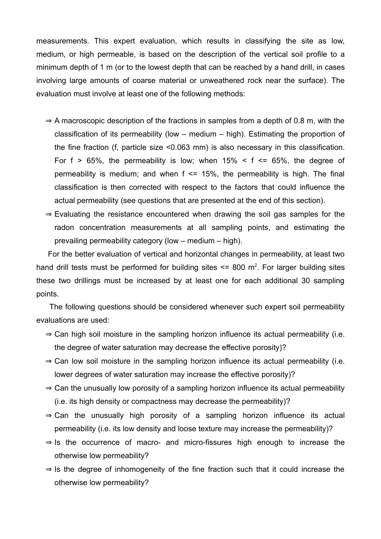measurements. This expert evaluation, which results in classifying the site as low, medium, or high permeable, is based on the description of the vertical soil profile to a minimum depth of 1 m (or to the lowest depth that can be reached by a hand drill, in cases involving large amounts of coarse material or unweathered rock near the surface). The evaluation must involve at least one of the following methods:

- $\Rightarrow$  A macroscopic description of the fractions in samples from a depth of 0.8 m, with the classification of its permeability (low – medium – high). Estimating the proportion of the fine fraction (f, particle size <0.063 mm) is also necessary in this classification. For  $f > 65\%$ , the permeability is low; when  $15\% < f \le 65\%$ , the degree of permeability is medium; and when  $f \le 15\%$ , the permeability is high. The final classification is then corrected with respect to the factors that could influence the actual permeability (see questions that are presented at the end of this section).
- $\Rightarrow$  Evaluating the resistance encountered when drawing the soil gas samples for the radon concentration measurements at all sampling points, and estimating the prevailing permeability category (low – medium – high).

For the better evaluation of vertical and horizontal changes in permeability, at least two hand drill tests must be performed for building sites  $\leq$  800 m<sup>2</sup>. For larger building sites these two drillings must be increased by at least one for each additional 30 sampling points.

The following questions should be considered whenever such expert soil permeability evaluations are used:

- $\Rightarrow$  Can high soil moisture in the sampling horizon influence its actual permeability (i.e. the degree of water saturation may decrease the effective porosity)?
- $\Rightarrow$  Can low soil moisture in the sampling horizon influence its actual permeability (i.e. lower degrees of water saturation may increase the effective porosity)?
- $\Rightarrow$  Can the unusually low porosity of a sampling horizon influence its actual permeability (i.e. its high density or compactness may decrease the permeability)?
- $\Rightarrow$  Can the unusually high porosity of a sampling horizon influence its actual permeability (i.e. its low density and loose texture may increase the permeability)?
- $\Rightarrow$  Is the occurrence of macro- and micro-fissures high enough to increase the otherwise low permeability?
- $\Rightarrow$  Is the degree of inhomogeneity of the fine fraction such that it could increase the otherwise low permeability?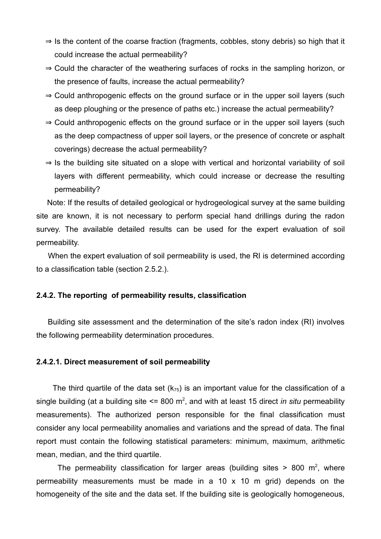- $\Rightarrow$  Is the content of the coarse fraction (fragments, cobbles, stony debris) so high that it could increase the actual permeability?
- ⇒ Could the character of the weathering surfaces of rocks in the sampling horizon, or the presence of faults, increase the actual permeability?
- $\Rightarrow$  Could anthropogenic effects on the ground surface or in the upper soil layers (such as deep ploughing or the presence of paths etc.) increase the actual permeability?
- ⇒ Could anthropogenic effects on the ground surface or in the upper soil layers (such as the deep compactness of upper soil layers, or the presence of concrete or asphalt coverings) decrease the actual permeability?
- $\Rightarrow$  Is the building site situated on a slope with vertical and horizontal variability of soil layers with different permeability, which could increase or decrease the resulting permeability?

Note: If the results of detailed geological or hydrogeological survey at the same building site are known, it is not necessary to perform special hand drillings during the radon survey. The available detailed results can be used for the expert evaluation of soil permeability.

When the expert evaluation of soil permeability is used, the RI is determined according to a classification table (section 2.5.2.).

#### **2.4.2. The reporting of permeability results, classification**

Building site assessment and the determination of the site's radon index (RI) involves the following permeability determination procedures.

#### **2.4.2.1. Direct measurement of soil permeability**

The third quartile of the data set  $(k_{75})$  is an important value for the classification of a single building (at a building site <= 800 m 2 , and with at least 15 direct *in situ* permeability measurements). The authorized person responsible for the final classification must consider any local permeability anomalies and variations and the spread of data. The final report must contain the following statistical parameters: minimum, maximum, arithmetic mean, median, and the third quartile.

The permeability classification for larger areas (building sites  $> 800$  m<sup>2</sup>, where permeability measurements must be made in a 10 x 10 m grid) depends on the homogeneity of the site and the data set. If the building site is geologically homogeneous,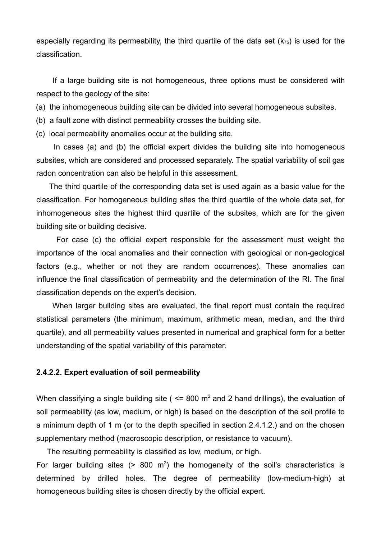especially regarding its permeability, the third quartile of the data set  $(k_{75})$  is used for the classification.

If a large building site is not homogeneous, three options must be considered with respect to the geology of the site:

(a) the inhomogeneous building site can be divided into several homogeneous subsites.

(b) a fault zone with distinct permeability crosses the building site.

(c) local permeability anomalies occur at the building site.

In cases (a) and (b) the official expert divides the building site into homogeneous subsites, which are considered and processed separately. The spatial variability of soil gas radon concentration can also be helpful in this assessment.

The third quartile of the corresponding data set is used again as a basic value for the classification. For homogeneous building sites the third quartile of the whole data set, for inhomogeneous sites the highest third quartile of the subsites, which are for the given building site or building decisive.

For case (c) the official expert responsible for the assessment must weight the importance of the local anomalies and their connection with geological or non-geological factors (e.g., whether or not they are random occurrences). These anomalies can influence the final classification of permeability and the determination of the RI. The final classification depends on the expert's decision.

When larger building sites are evaluated, the final report must contain the required statistical parameters (the minimum, maximum, arithmetic mean, median, and the third quartile), and all permeability values presented in numerical and graphical form for a better understanding of the spatial variability of this parameter.

#### **2.4.2.2. Expert evaluation of soil permeability**

When classifying a single building site ( $\leq$ = 800 m<sup>2</sup> and 2 hand drillings), the evaluation of soil permeability (as low, medium, or high) is based on the description of the soil profile to a minimum depth of 1 m (or to the depth specified in section 2.4.1.2.) and on the chosen supplementary method (macroscopic description, or resistance to vacuum).

The resulting permeability is classified as low, medium, or high.

For larger building sites  $(> 800 \text{ m}^2)$  the homogeneity of the soil's characteristics is determined by drilled holes. The degree of permeability (low-medium-high) at homogeneous building sites is chosen directly by the official expert.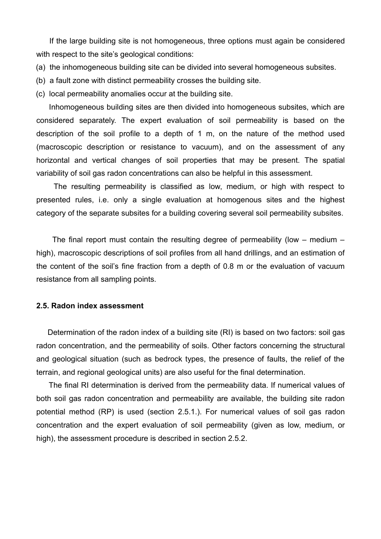If the large building site is not homogeneous, three options must again be considered with respect to the site's geological conditions:

- (a) the inhomogeneous building site can be divided into several homogeneous subsites.
- (b) a fault zone with distinct permeability crosses the building site.
- (c) local permeability anomalies occur at the building site.

Inhomogeneous building sites are then divided into homogeneous subsites, which are considered separately. The expert evaluation of soil permeability is based on the description of the soil profile to a depth of 1 m, on the nature of the method used (macroscopic description or resistance to vacuum), and on the assessment of any horizontal and vertical changes of soil properties that may be present. The spatial variability of soil gas radon concentrations can also be helpful in this assessment.

The resulting permeability is classified as low, medium, or high with respect to presented rules, i.e. only a single evaluation at homogenous sites and the highest category of the separate subsites for a building covering several soil permeability subsites.

The final report must contain the resulting degree of permeability (low  $-$  medium  $$ high), macroscopic descriptions of soil profiles from all hand drillings, and an estimation of the content of the soil's fine fraction from a depth of 0.8 m or the evaluation of vacuum resistance from all sampling points.

#### **2.5. Radon index assessment**

Determination of the radon index of a building site (RI) is based on two factors: soil gas radon concentration, and the permeability of soils. Other factors concerning the structural and geological situation (such as bedrock types, the presence of faults, the relief of the terrain, and regional geological units) are also useful for the final determination.

The final RI determination is derived from the permeability data. If numerical values of both soil gas radon concentration and permeability are available, the building site radon potential method (RP) is used (section 2.5.1.). For numerical values of soil gas radon concentration and the expert evaluation of soil permeability (given as low, medium, or high), the assessment procedure is described in section 2.5.2.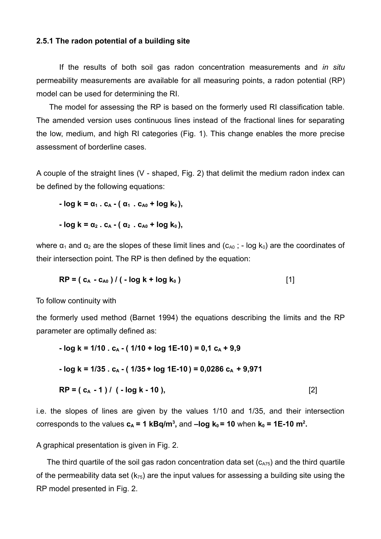#### **2.5.1 The radon potential of a building site**

If the results of both soil gas radon concentration measurements and *in situ* permeability measurements are available for all measuring points, a radon potential (RP) model can be used for determining the RI.

The model for assessing the RP is based on the formerly used RI classification table. The amended version uses continuous lines instead of the fractional lines for separating the low, medium, and high RI categories (Fig. 1). This change enables the more precise assessment of borderline cases.

A couple of the straight lines (V - shaped, Fig. 2) that delimit the medium radon index can be defined by the following equations:

$$
- \log k = \alpha_1 . c_A - (\alpha_1 . c_{A0} + \log k_0),
$$

$$
- \log k = \alpha_2 . c_A - (\alpha_2 . c_{A0} + \log k_0),
$$

where  $\alpha_1$  and  $\alpha_2$  are the slopes of these limit lines and ( $c_{A0}$ ; - log k<sub>0</sub>) are the coordinates of their intersection point. The RP is then defined by the equation:

$$
RP = (c_A - c_{A0}) / (-\log k + \log k_0)
$$
 [1]

To follow continuity with

the formerly used method (Barnet 1994) the equations describing the limits and the RP parameter are optimally defined as:

$$
- \log k = 1/10 \cdot c_A - (1/10 + \log 1E - 10) = 0,1 c_A + 9,9
$$
  

$$
- \log k = 1/35 \cdot c_A - (1/35 + \log 1E - 10) = 0,0286 c_A + 9,971
$$
  

$$
RP = (c_A - 1) / (-\log k - 10),
$$
 [2]

i.e. the slopes of lines are given by the values 1/10 and 1/35, and their intersection corresponds to the values  $c_A = 1$  kBq/m<sup>3</sup>, and  $-log k_0 = 10$  when  $k_0 = 1E-10$  m<sup>2</sup>.

A graphical presentation is given in Fig. 2.

The third quartile of the soil gas radon concentration data set  $(c_{A75})$  and the third quartile of the permeability data set  $(k_{75})$  are the input values for assessing a building site using the RP model presented in Fig. 2.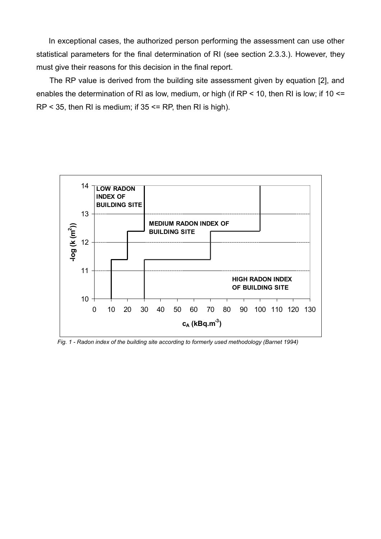In exceptional cases, the authorized person performing the assessment can use other statistical parameters for the final determination of RI (see section 2.3.3.). However, they must give their reasons for this decision in the final report.

The RP value is derived from the building site assessment given by equation [2], and enables the determination of RI as low, medium, or high (if RP < 10, then RI is low; if 10 <=  $RP < 35$ , then RI is medium; if  $35 \le PR$ , then RI is high).



*Fig. 1 - Radon index of the building site according to formerly used methodology (Barnet 1994)*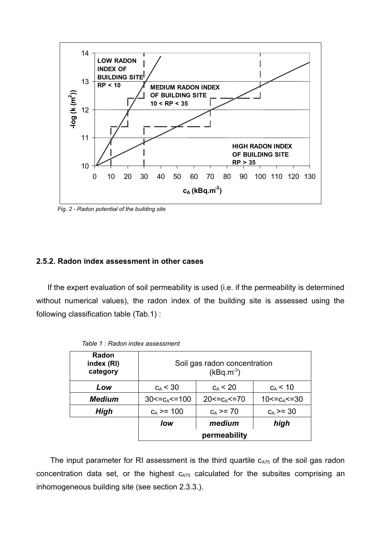

*Fig. 2 - Radon potential of the building site*

#### **2.5.2. Radon index assessment in other cases**

If the expert evaluation of soil permeability is used (i.e. if the permeability is determined without numerical values), the radon index of the building site is assessed using the following classification table (Tab.1) :

| Radon<br>index (RI)<br>category | Soil gas radon concentration<br>$(kBq.m^{-3})$ |                     |                    |  |
|---------------------------------|------------------------------------------------|---------------------|--------------------|--|
| Low                             | $c_A < 30$                                     | $c_A < 20$          | $c_A$ < 10         |  |
| <b>Medium</b>                   | $30 < = cA < = 100$                            | $20 < = c_A < = 70$ | $10 < = cA < = 30$ |  |
| High                            | $c_A$ >= 100                                   | $c_A \geq 70$       | $c_A \ge 30$       |  |
|                                 | low                                            | medium              | high               |  |
|                                 | permeability                                   |                     |                    |  |

*Table 1 : Radon index assessment*

The input parameter for RI assessment is the third quartile  $c_{A75}$  of the soil gas radon concentration data set, or the highest  $c_{A75}$  calculated for the subsites comprising an inhomogeneous building site (see section 2.3.3.).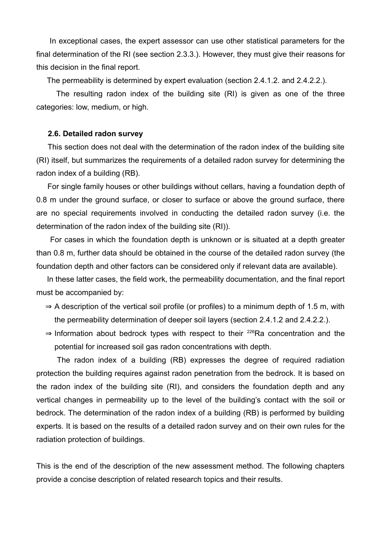In exceptional cases, the expert assessor can use other statistical parameters for the final determination of the RI (see section 2.3.3.). However, they must give their reasons for this decision in the final report.

The permeability is determined by expert evaluation (section 2.4.1.2. and 2.4.2.2.).

The resulting radon index of the building site (RI) is given as one of the three categories: low, medium, or high.

#### **2.6. Detailed radon survey**

This section does not deal with the determination of the radon index of the building site (RI) itself, but summarizes the requirements of a detailed radon survey for determining the radon index of a building (RB).

For single family houses or other buildings without cellars, having a foundation depth of 0.8 m under the ground surface, or closer to surface or above the ground surface, there are no special requirements involved in conducting the detailed radon survey (i.e. the determination of the radon index of the building site (RI)).

For cases in which the foundation depth is unknown or is situated at a depth greater than 0.8 m, further data should be obtained in the course of the detailed radon survey (the foundation depth and other factors can be considered only if relevant data are available).

In these latter cases, the field work, the permeability documentation, and the final report must be accompanied by:

- $\Rightarrow$  A description of the vertical soil profile (or profiles) to a minimum depth of 1.5 m, with the permeability determination of deeper soil layers (section 2.4.1.2 and 2.4.2.2.).
- $\Rightarrow$  Information about bedrock types with respect to their <sup>226</sup>Ra concentration and the potential for increased soil gas radon concentrations with depth.

The radon index of a building (RB) expresses the degree of required radiation protection the building requires against radon penetration from the bedrock. It is based on the radon index of the building site (RI), and considers the foundation depth and any vertical changes in permeability up to the level of the building's contact with the soil or bedrock. The determination of the radon index of a building (RB) is performed by building experts. It is based on the results of a detailed radon survey and on their own rules for the radiation protection of buildings.

This is the end of the description of the new assessment method. The following chapters provide a concise description of related research topics and their results.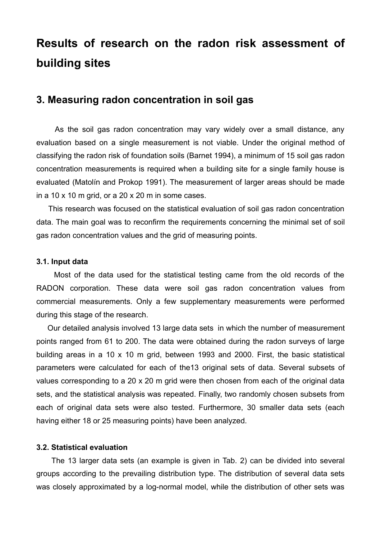## **Results of research on the radon risk assessment of building sites**

### **3. Measuring radon concentration in soil gas**

As the soil gas radon concentration may vary widely over a small distance, any evaluation based on a single measurement is not viable. Under the original method of classifying the radon risk of foundation soils (Barnet 1994), a minimum of 15 soil gas radon concentration measurements is required when a building site for a single family house is evaluated (Matolín and Prokop 1991). The measurement of larger areas should be made in a 10 x 10 m grid, or a 20 x 20 m in some cases.

This research was focused on the statistical evaluation of soil gas radon concentration data. The main goal was to reconfirm the requirements concerning the minimal set of soil gas radon concentration values and the grid of measuring points.

#### **3.1. Input data**

Most of the data used for the statistical testing came from the old records of the RADON corporation. These data were soil gas radon concentration values from commercial measurements. Only a few supplementary measurements were performed during this stage of the research.

Our detailed analysis involved 13 large data sets in which the number of measurement points ranged from 61 to 200. The data were obtained during the radon surveys of large building areas in a 10 x 10 m grid, between 1993 and 2000. First, the basic statistical parameters were calculated for each of the13 original sets of data. Several subsets of values corresponding to a 20 x 20 m grid were then chosen from each of the original data sets, and the statistical analysis was repeated. Finally, two randomly chosen subsets from each of original data sets were also tested. Furthermore, 30 smaller data sets (each having either 18 or 25 measuring points) have been analyzed.

#### **3.2. Statistical evaluation**

The 13 larger data sets (an example is given in Tab. 2) can be divided into several groups according to the prevailing distribution type. The distribution of several data sets was closely approximated by a log-normal model, while the distribution of other sets was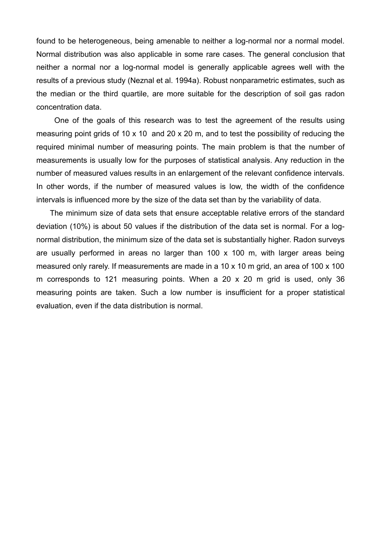found to be heterogeneous, being amenable to neither a log-normal nor a normal model. Normal distribution was also applicable in some rare cases. The general conclusion that neither a normal nor a log-normal model is generally applicable agrees well with the results of a previous study (Neznal et al. 1994a). Robust nonparametric estimates, such as the median or the third quartile, are more suitable for the description of soil gas radon concentration data.

One of the goals of this research was to test the agreement of the results using measuring point grids of 10 x 10 and 20 x 20 m, and to test the possibility of reducing the required minimal number of measuring points. The main problem is that the number of measurements is usually low for the purposes of statistical analysis. Any reduction in the number of measured values results in an enlargement of the relevant confidence intervals. In other words, if the number of measured values is low, the width of the confidence intervals is influenced more by the size of the data set than by the variability of data.

The minimum size of data sets that ensure acceptable relative errors of the standard deviation (10%) is about 50 values if the distribution of the data set is normal. For a lognormal distribution, the minimum size of the data set is substantially higher. Radon surveys are usually performed in areas no larger than 100 x 100 m, with larger areas being measured only rarely. If measurements are made in a 10 x 10 m grid, an area of 100 x 100 m corresponds to 121 measuring points. When a 20 x 20 m grid is used, only 36 measuring points are taken. Such a low number is insufficient for a proper statistical evaluation, even if the data distribution is normal.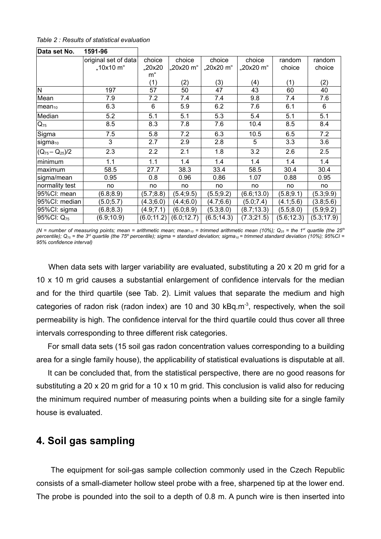| Table 2 : Results of statistical evaluation |  |  |
|---------------------------------------------|--|--|
|---------------------------------------------|--|--|

| Data set No.           | 1591-96              |             |             |             |             |             |             |
|------------------------|----------------------|-------------|-------------|-------------|-------------|-------------|-------------|
|                        | original set of data | choice      | choice      | choice      | choice      | random      | random      |
|                        | "10x10 m"            | "20x20      | "20x20 m"   | "20x20 m"   | "20x20 m"   | choice      | choice      |
|                        |                      | m"          |             |             |             |             |             |
|                        |                      | (1)         | (2)         | (3)         | (4)         | (1)         | (2)         |
| N                      | 197                  | 57          | 50          | 47          | 43          | 60          | 40          |
| Mean                   | 7.9                  | 7.2         | 7.4         | 7.4         | 9.8         | 7.4         | 7.6         |
| $mean_{10}$            | 6.3                  | $\,6$       | 5.9         | 6.2         | 7.6         | 6.1         | 6           |
| Median                 | 5.2                  | 5.1         | 5.1         | 5.3         | 5.4         | 5.1         | 5.1         |
| $Q_{75}$               | 8.5                  | 8.3         | 7.8         | 7.6         | 10.4        | 8.5         | 8.4         |
| Sigma                  | 7.5                  | 5.8         | 7.2         | 6.3         | 10.5        | 6.5         | 7.2         |
| sigma <sub>10</sub>    | 3                    | 2.7         | 2.9         | 2.8         | 5           | 3.3         | 3.6         |
| $(Q_{75}-Q_{25})/2$    | 2.3                  | 2.2         | 2.1         | 1.8         | 3.2         | 2.6         | 2.5         |
| minimum                | 1.1                  | 1.1         | 1.4         | 1.4         | 1.4         | 1.4         | 1.4         |
| maximum                | 58.5                 | 27.7        | 38.3        | 33.4        | 58.5        | 30.4        | 30.4        |
| sigma/mean             | 0.95                 | 0.8         | 0.96        | 0.86        | 1.07        | 0.88        | 0.95        |
| normality test         | no                   | no          | no          | no          | no          | no          | no          |
| 95%CI: mean            | (6.8; 8.9)           | (5.7; 8.8)  | (5.4; 9.5)  | (5.5; 9.2)  | (6.6; 13.0) | (5.8; 9.1)  | (5.3; 9.9)  |
| 95%CI: median          | (5.0; 5.7)           | (4.3;6.0)   | (4.4;6.0)   | (4.7;6.6)   | (5.0; 7.4)  | (4.1;5.6)   | (3.8, 5.6)  |
| 95%CI: sigma           | (6.8; 8.3)           | (4.9;7.1)   | (6.0; 8.9)  | (5.3; 8.0)  | (8.7; 13.3) | (5.5; 8.0)  | (5.9; 9.2)  |
| 95%CI: Q <sub>75</sub> | (6.9; 10.9)          | (6.0; 11.2) | (6.0; 12.7) | (6.5; 14.3) | (7.3;21.5)  | (5.6; 12.3) | (5.3; 17.9) |

(N = number of measuring points; mean = arithmetic mean; mean<sub>10</sub> = trimmed arithmetic mean (10%); Q<sub>25</sub> = the 1<sup>st</sup> quartile (the 25<sup>th</sup> percentile); Q<sub>75</sub> = the 3<sup>rd</sup> quartile (the 75<sup>th</sup> percentile); sigma = standard deviation; sigma<sub>10</sub> = trimmed standard deviation (10%); 95%Cl = *95% confidence interval)*

When data sets with larger variability are evaluated, substituting a 20 x 20 m grid for a 10 x 10 m grid causes a substantial enlargement of confidence intervals for the median and for the third quartile (see Tab. 2). Limit values that separate the medium and high categories of radon risk (radon index) are 10 and 30 kBq.m<sup>-3</sup>, respectively, when the soil permeability is high. The confidence interval for the third quartile could thus cover all three intervals corresponding to three different risk categories.

For small data sets (15 soil gas radon concentration values corresponding to a building area for a single family house), the applicability of statistical evaluations is disputable at all.

It can be concluded that, from the statistical perspective, there are no good reasons for substituting a 20 x 20 m grid for a 10 x 10 m grid. This conclusion is valid also for reducing the minimum required number of measuring points when a building site for a single family house is evaluated.

### **4. Soil gas sampling**

The equipment for soil-gas sample collection commonly used in the Czech Republic consists of a small-diameter hollow steel probe with a free, sharpened tip at the lower end. The probe is pounded into the soil to a depth of 0.8 m. A punch wire is then inserted into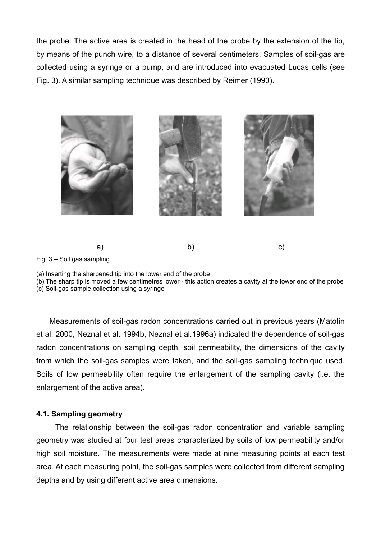the probe. The active area is created in the head of the probe by the extension of the tip, by means of the punch wire, to a distance of several centimeters. Samples of soil-gas are collected using a syringe or a pump, and are introduced into evacuated Lucas cells (see Fig. 3). A similar sampling technique was described by Reimer (1990).



Fig. 3 – Soil gas sampling

(b) The sharp tip is moved a few centimetres lower - this action creates a cavity at the lower end of the probe

(c) Soil-gas sample collection using a syringe

Measurements of soil-gas radon concentrations carried out in previous years (Matolín et al. 2000, Neznal et al. 1994b, Neznal et al.1996a) indicated the dependence of soil-gas radon concentrations on sampling depth, soil permeability, the dimensions of the cavity from which the soil-gas samples were taken, and the soil-gas sampling technique used. Soils of low permeability often require the enlargement of the sampling cavity (i.e. the enlargement of the active area).

#### **4.1. Sampling geometry**

The relationship between the soil-gas radon concentration and variable sampling geometry was studied at four test areas characterized by soils of low permeability and/or high soil moisture. The measurements were made at nine measuring points at each test area. At each measuring point, the soil-gas samples were collected from different sampling depths and by using different active area dimensions.

<sup>(</sup>a) Inserting the sharpened tip into the lower end of the probe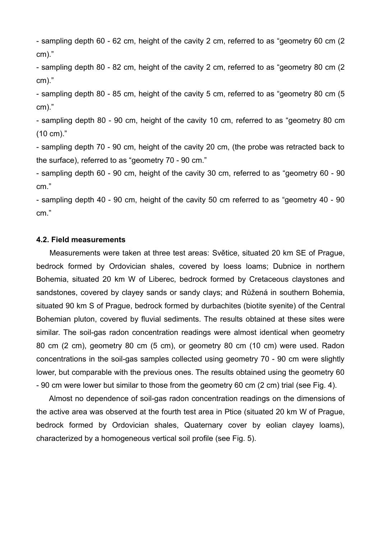- sampling depth 60 - 62 cm, height of the cavity 2 cm, referred to as "geometry 60 cm (2 cm)."

- sampling depth 80 - 82 cm, height of the cavity 2 cm, referred to as "geometry 80 cm (2 cm)."

- sampling depth 80 - 85 cm, height of the cavity 5 cm, referred to as "geometry 80 cm (5 cm)."

- sampling depth 80 - 90 cm, height of the cavity 10 cm, referred to as "geometry 80 cm (10 cm)."

- sampling depth 70 - 90 cm, height of the cavity 20 cm, (the probe was retracted back to the surface), referred to as "geometry 70 - 90 cm."

- sampling depth 60 - 90 cm, height of the cavity 30 cm, referred to as "geometry 60 - 90 cm."

- sampling depth 40 - 90 cm, height of the cavity 50 cm referred to as "geometry 40 - 90 cm."

#### **4.2. Field measurements**

Measurements were taken at three test areas: Světice, situated 20 km SE of Prague, bedrock formed by Ordovician shales, covered by loess loams; Dubnice in northern Bohemia, situated 20 km W of Liberec, bedrock formed by Cretaceous claystones and sandstones, covered by clayey sands or sandy clays; and Růžená in southern Bohemia, situated 90 km S of Prague, bedrock formed by durbachites (biotite syenite) of the Central Bohemian pluton, covered by fluvial sediments. The results obtained at these sites were similar. The soil-gas radon concentration readings were almost identical when geometry 80 cm (2 cm), geometry 80 cm (5 cm), or geometry 80 cm (10 cm) were used. Radon concentrations in the soil-gas samples collected using geometry 70 - 90 cm were slightly lower, but comparable with the previous ones. The results obtained using the geometry 60 - 90 cm were lower but similar to those from the geometry 60 cm (2 cm) trial (see Fig. 4).

Almost no dependence of soil-gas radon concentration readings on the dimensions of the active area was observed at the fourth test area in Ptice (situated 20 km W of Prague, bedrock formed by Ordovician shales, Quaternary cover by eolian clayey loams), characterized by a homogeneous vertical soil profile (see Fig. 5).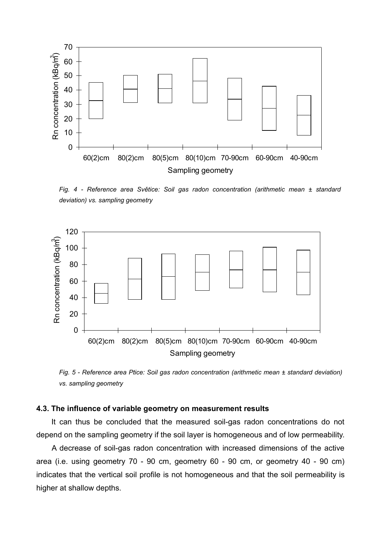

*Fig. 4 - Reference area Světice: Soil gas radon concentration (arithmetic mean ± standard deviation) vs. sampling geometry*



*Fig. 5 - Reference area Ptice: Soil gas radon concentration (arithmetic mean ± standard deviation) vs. sampling geometry*

#### **4.3. The influence of variable geometry on measurement results**

It can thus be concluded that the measured soil-gas radon concentrations do not depend on the sampling geometry if the soil layer is homogeneous and of low permeability.

A decrease of soil-gas radon concentration with increased dimensions of the active area (i.e. using geometry 70 - 90 cm, geometry 60 - 90 cm, or geometry 40 - 90 cm) indicates that the vertical soil profile is not homogeneous and that the soil permeability is higher at shallow depths.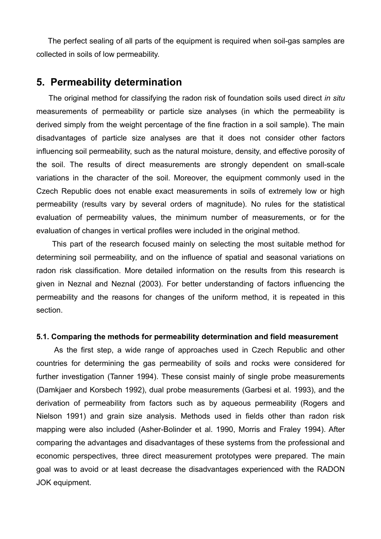The perfect sealing of all parts of the equipment is required when soil-gas samples are collected in soils of low permeability.

### **5. Permeability determination**

The original method for classifying the radon risk of foundation soils used direct *in situ* measurements of permeability or particle size analyses (in which the permeability is derived simply from the weight percentage of the fine fraction in a soil sample). The main disadvantages of particle size analyses are that it does not consider other factors influencing soil permeability, such as the natural moisture, density, and effective porosity of the soil. The results of direct measurements are strongly dependent on small-scale variations in the character of the soil. Moreover, the equipment commonly used in the Czech Republic does not enable exact measurements in soils of extremely low or high permeability (results vary by several orders of magnitude). No rules for the statistical evaluation of permeability values, the minimum number of measurements, or for the evaluation of changes in vertical profiles were included in the original method.

This part of the research focused mainly on selecting the most suitable method for determining soil permeability, and on the influence of spatial and seasonal variations on radon risk classification. More detailed information on the results from this research is given in Neznal and Neznal (2003). For better understanding of factors influencing the permeability and the reasons for changes of the uniform method, it is repeated in this section.

#### **5.1. Comparing the methods for permeability determination and field measurement**

As the first step, a wide range of approaches used in Czech Republic and other countries for determining the gas permeability of soils and rocks were considered for further investigation (Tanner 1994). These consist mainly of single probe measurements (Damkjaer and Korsbech 1992), dual probe measurements (Garbesi et al. 1993), and the derivation of permeability from factors such as by aqueous permeability (Rogers and Nielson 1991) and grain size analysis. Methods used in fields other than radon risk mapping were also included (Asher-Bolinder et al. 1990, Morris and Fraley 1994). After comparing the advantages and disadvantages of these systems from the professional and economic perspectives, three direct measurement prototypes were prepared. The main goal was to avoid or at least decrease the disadvantages experienced with the RADON JOK equipment.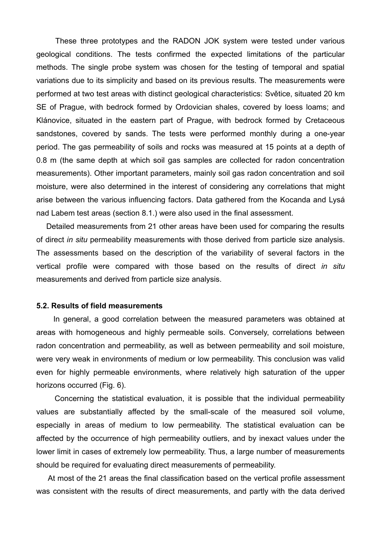These three prototypes and the RADON JOK system were tested under various geological conditions. The tests confirmed the expected limitations of the particular methods. The single probe system was chosen for the testing of temporal and spatial variations due to its simplicity and based on its previous results. The measurements were performed at two test areas with distinct geological characteristics: Světice, situated 20 km SE of Prague, with bedrock formed by Ordovician shales, covered by loess loams; and Klánovice, situated in the eastern part of Prague, with bedrock formed by Cretaceous sandstones, covered by sands. The tests were performed monthly during a one-year period. The gas permeability of soils and rocks was measured at 15 points at a depth of 0.8 m (the same depth at which soil gas samples are collected for radon concentration measurements). Other important parameters, mainly soil gas radon concentration and soil moisture, were also determined in the interest of considering any correlations that might arise between the various influencing factors. Data gathered from the Kocanda and Lysá nad Labem test areas (section 8.1.) were also used in the final assessment.

Detailed measurements from 21 other areas have been used for comparing the results of direct *in situ* permeability measurements with those derived from particle size analysis. The assessments based on the description of the variability of several factors in the vertical profile were compared with those based on the results of direct *in situ* measurements and derived from particle size analysis.

#### **5.2. Results of field measurements**

In general, a good correlation between the measured parameters was obtained at areas with homogeneous and highly permeable soils. Conversely, correlations between radon concentration and permeability, as well as between permeability and soil moisture, were very weak in environments of medium or low permeability. This conclusion was valid even for highly permeable environments, where relatively high saturation of the upper horizons occurred (Fig. 6).

Concerning the statistical evaluation, it is possible that the individual permeability values are substantially affected by the small-scale of the measured soil volume, especially in areas of medium to low permeability. The statistical evaluation can be affected by the occurrence of high permeability outliers, and by inexact values under the lower limit in cases of extremely low permeability. Thus, a large number of measurements should be required for evaluating direct measurements of permeability.

At most of the 21 areas the final classification based on the vertical profile assessment was consistent with the results of direct measurements, and partly with the data derived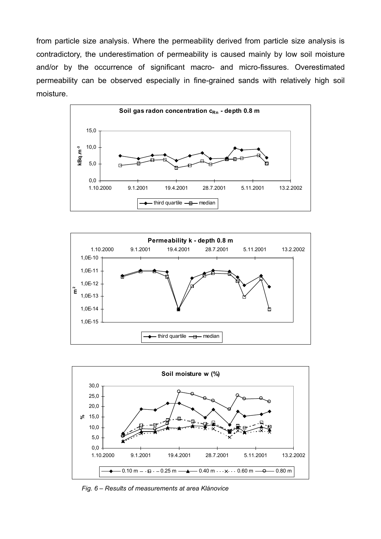from particle size analysis. Where the permeability derived from particle size analysis is contradictory, the underestimation of permeability is caused mainly by low soil moisture and/or by the occurrence of significant macro- and micro-fissures. Overestimated permeability can be observed especially in fine-grained sands with relatively high soil moisture.







*Fig. 6 – Results of measurements at area Klánovice*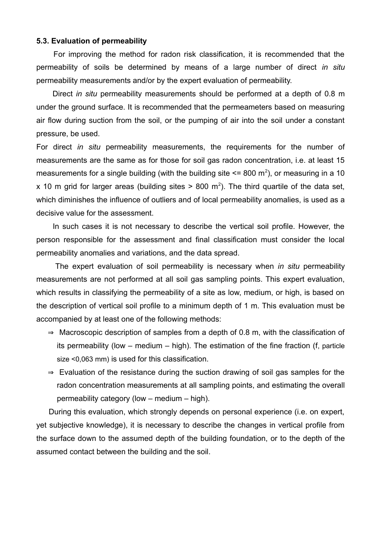#### **5.3. Evaluation of permeability**

For improving the method for radon risk classification, it is recommended that the permeability of soils be determined by means of a large number of direct *in situ* permeability measurements and/or by the expert evaluation of permeability.

Direct *in situ* permeability measurements should be performed at a depth of 0.8 m under the ground surface. It is recommended that the permeameters based on measuring air flow during suction from the soil, or the pumping of air into the soil under a constant pressure, be used.

For direct *in situ* permeability measurements, the requirements for the number of measurements are the same as for those for soil gas radon concentration, i.e. at least 15 measurements for a single building (with the building site  $\leq$  800 m<sup>2</sup>), or measuring in a 10 x 10 m grid for larger areas (building sites  $> 800$  m<sup>2</sup>). The third quartile of the data set, which diminishes the influence of outliers and of local permeability anomalies, is used as a decisive value for the assessment.

In such cases it is not necessary to describe the vertical soil profile. However, the person responsible for the assessment and final classification must consider the local permeability anomalies and variations, and the data spread.

The expert evaluation of soil permeability is necessary when *in situ* permeability measurements are not performed at all soil gas sampling points. This expert evaluation, which results in classifying the permeability of a site as low, medium, or high, is based on the description of vertical soil profile to a minimum depth of 1 m. This evaluation must be accompanied by at least one of the following methods:

- $\Rightarrow$  Macroscopic description of samples from a depth of 0.8 m, with the classification of its permeability (low – medium – high). The estimation of the fine fraction (f, particle size <0,063 mm) is used for this classification.
- $\Rightarrow$  Evaluation of the resistance during the suction drawing of soil gas samples for the radon concentration measurements at all sampling points, and estimating the overall permeability category (low – medium – high).

During this evaluation, which strongly depends on personal experience (i.e. on expert, yet subjective knowledge), it is necessary to describe the changes in vertical profile from the surface down to the assumed depth of the building foundation, or to the depth of the assumed contact between the building and the soil.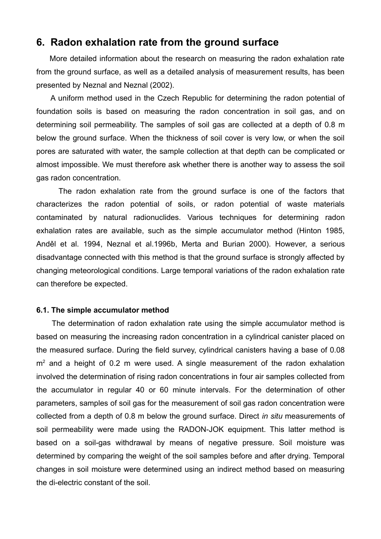### **6. Radon exhalation rate from the ground surface**

More detailed information about the research on measuring the radon exhalation rate from the ground surface, as well as a detailed analysis of measurement results, has been presented by Neznal and Neznal (2002).

A uniform method used in the Czech Republic for determining the radon potential of foundation soils is based on measuring the radon concentration in soil gas, and on determining soil permeability. The samples of soil gas are collected at a depth of 0.8 m below the ground surface. When the thickness of soil cover is very low, or when the soil pores are saturated with water, the sample collection at that depth can be complicated or almost impossible. We must therefore ask whether there is another way to assess the soil gas radon concentration.

The radon exhalation rate from the ground surface is one of the factors that characterizes the radon potential of soils, or radon potential of waste materials contaminated by natural radionuclides. Various techniques for determining radon exhalation rates are available, such as the simple accumulator method (Hinton 1985, Anděl et al. 1994, Neznal et al.1996b, Merta and Burian 2000). However, a serious disadvantage connected with this method is that the ground surface is strongly affected by changing meteorological conditions. Large temporal variations of the radon exhalation rate can therefore be expected.

#### **6.1. The simple accumulator method**

The determination of radon exhalation rate using the simple accumulator method is based on measuring the increasing radon concentration in a cylindrical canister placed on the measured surface. During the field survey, cylindrical canisters having a base of 0.08  $m<sup>2</sup>$  and a height of 0.2 m were used. A single measurement of the radon exhalation involved the determination of rising radon concentrations in four air samples collected from the accumulator in regular 40 or 60 minute intervals. For the determination of other parameters, samples of soil gas for the measurement of soil gas radon concentration were collected from a depth of 0.8 m below the ground surface. Direct *in situ* measurements of soil permeability were made using the RADON-JOK equipment. This latter method is based on a soil-gas withdrawal by means of negative pressure. Soil moisture was determined by comparing the weight of the soil samples before and after drying. Temporal changes in soil moisture were determined using an indirect method based on measuring the di-electric constant of the soil.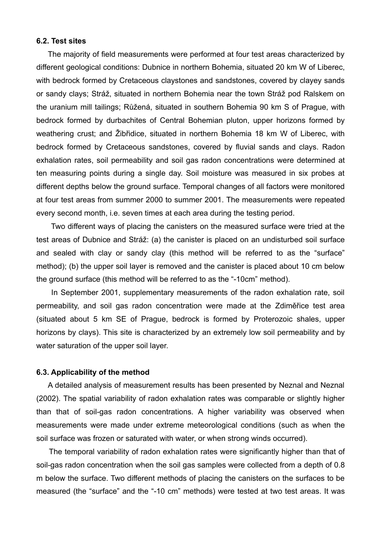#### **6.2. Test sites**

The majority of field measurements were performed at four test areas characterized by different geological conditions: Dubnice in northern Bohemia, situated 20 km W of Liberec, with bedrock formed by Cretaceous claystones and sandstones, covered by clayey sands or sandy clays; Stráž, situated in northern Bohemia near the town Stráž pod Ralskem on the uranium mill tailings; Růžená, situated in southern Bohemia 90 km S of Prague, with bedrock formed by durbachites of Central Bohemian pluton, upper horizons formed by weathering crust; and Žibřidice, situated in northern Bohemia 18 km W of Liberec, with bedrock formed by Cretaceous sandstones, covered by fluvial sands and clays. Radon exhalation rates, soil permeability and soil gas radon concentrations were determined at ten measuring points during a single day. Soil moisture was measured in six probes at different depths below the ground surface. Temporal changes of all factors were monitored at four test areas from summer 2000 to summer 2001. The measurements were repeated every second month, i.e. seven times at each area during the testing period.

Two different ways of placing the canisters on the measured surface were tried at the test areas of Dubnice and Stráž: (a) the canister is placed on an undisturbed soil surface and sealed with clay or sandy clay (this method will be referred to as the "surface" method); (b) the upper soil layer is removed and the canister is placed about 10 cm below the ground surface (this method will be referred to as the "-10cm" method).

In September 2001, supplementary measurements of the radon exhalation rate, soil permeability, and soil gas radon concentration were made at the Zdiměřice test area (situated about 5 km SE of Prague, bedrock is formed by Proterozoic shales, upper horizons by clays). This site is characterized by an extremely low soil permeability and by water saturation of the upper soil layer.

#### **6.3. Applicability of the method**

A detailed analysis of measurement results has been presented by Neznal and Neznal (2002). The spatial variability of radon exhalation rates was comparable or slightly higher than that of soil-gas radon concentrations. A higher variability was observed when measurements were made under extreme meteorological conditions (such as when the soil surface was frozen or saturated with water, or when strong winds occurred).

The temporal variability of radon exhalation rates were significantly higher than that of soil-gas radon concentration when the soil gas samples were collected from a depth of 0.8 m below the surface. Two different methods of placing the canisters on the surfaces to be measured (the "surface" and the "-10 cm" methods) were tested at two test areas. It was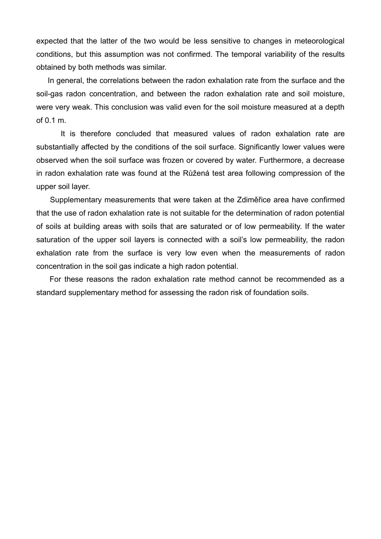expected that the latter of the two would be less sensitive to changes in meteorological conditions, but this assumption was not confirmed. The temporal variability of the results obtained by both methods was similar.

In general, the correlations between the radon exhalation rate from the surface and the soil-gas radon concentration, and between the radon exhalation rate and soil moisture, were very weak. This conclusion was valid even for the soil moisture measured at a depth of 0.1 m.

It is therefore concluded that measured values of radon exhalation rate are substantially affected by the conditions of the soil surface. Significantly lower values were observed when the soil surface was frozen or covered by water. Furthermore, a decrease in radon exhalation rate was found at the Růžená test area following compression of the upper soil layer.

Supplementary measurements that were taken at the Zdiměřice area have confirmed that the use of radon exhalation rate is not suitable for the determination of radon potential of soils at building areas with soils that are saturated or of low permeability. If the water saturation of the upper soil layers is connected with a soil's low permeability, the radon exhalation rate from the surface is very low even when the measurements of radon concentration in the soil gas indicate a high radon potential.

For these reasons the radon exhalation rate method cannot be recommended as a standard supplementary method for assessing the radon risk of foundation soils.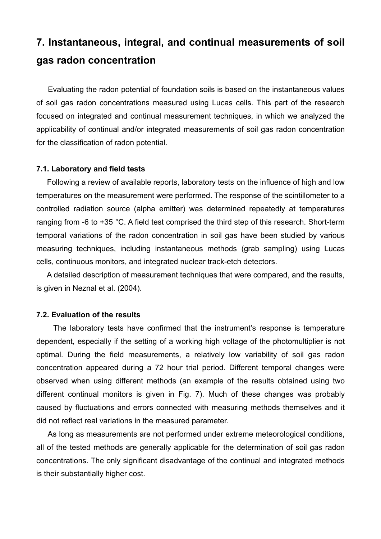## **7. Instantaneous, integral, and continual measurements of soil gas radon concentration**

Evaluating the radon potential of foundation soils is based on the instantaneous values of soil gas radon concentrations measured using Lucas cells. This part of the research focused on integrated and continual measurement techniques, in which we analyzed the applicability of continual and/or integrated measurements of soil gas radon concentration for the classification of radon potential.

#### **7.1. Laboratory and field tests**

Following a review of available reports, laboratory tests on the influence of high and low temperatures on the measurement were performed. The response of the scintillometer to a controlled radiation source (alpha emitter) was determined repeatedly at temperatures ranging from -6 to +35 °C. A field test comprised the third step of this research. Short-term temporal variations of the radon concentration in soil gas have been studied by various measuring techniques, including instantaneous methods (grab sampling) using Lucas cells, continuous monitors, and integrated nuclear track-etch detectors.

A detailed description of measurement techniques that were compared, and the results, is given in Neznal et al. (2004).

#### **7.2. Evaluation of the results**

The laboratory tests have confirmed that the instrument's response is temperature dependent, especially if the setting of a working high voltage of the photomultiplier is not optimal. During the field measurements, a relatively low variability of soil gas radon concentration appeared during a 72 hour trial period. Different temporal changes were observed when using different methods (an example of the results obtained using two different continual monitors is given in Fig. 7). Much of these changes was probably caused by fluctuations and errors connected with measuring methods themselves and it did not reflect real variations in the measured parameter.

As long as measurements are not performed under extreme meteorological conditions, all of the tested methods are generally applicable for the determination of soil gas radon concentrations. The only significant disadvantage of the continual and integrated methods is their substantially higher cost.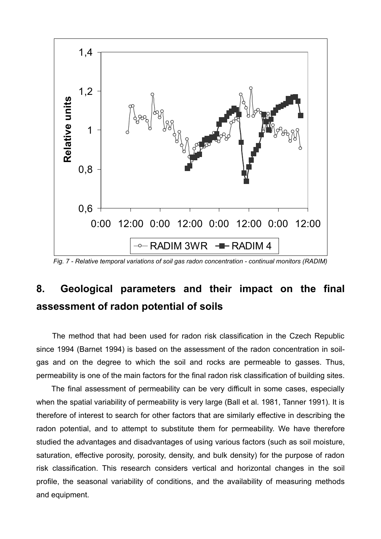

*Fig. 7 - Relative temporal variations of soil gas radon concentration - continual monitors (RADIM)*

## **8. Geological parameters and their impact on the final assessment of radon potential of soils**

The method that had been used for radon risk classification in the Czech Republic since 1994 (Barnet 1994) is based on the assessment of the radon concentration in soilgas and on the degree to which the soil and rocks are permeable to gasses. Thus, permeability is one of the main factors for the final radon risk classification of building sites.

The final assessment of permeability can be very difficult in some cases, especially when the spatial variability of permeability is very large (Ball et al. 1981, Tanner 1991). It is therefore of interest to search for other factors that are similarly effective in describing the radon potential, and to attempt to substitute them for permeability. We have therefore studied the advantages and disadvantages of using various factors (such as soil moisture, saturation, effective porosity, porosity, density, and bulk density) for the purpose of radon risk classification. This research considers vertical and horizontal changes in the soil profile, the seasonal variability of conditions, and the availability of measuring methods and equipment.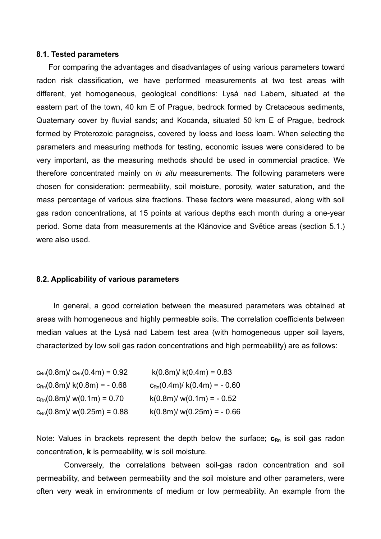#### **8.1. Tested parameters**

For comparing the advantages and disadvantages of using various parameters toward radon risk classification, we have performed measurements at two test areas with different, yet homogeneous, geological conditions: Lysá nad Labem, situated at the eastern part of the town, 40 km E of Prague, bedrock formed by Cretaceous sediments, Quaternary cover by fluvial sands; and Kocanda, situated 50 km E of Prague, bedrock formed by Proterozoic paragneiss, covered by loess and loess loam. When selecting the parameters and measuring methods for testing, economic issues were considered to be very important, as the measuring methods should be used in commercial practice. We therefore concentrated mainly on *in situ* measurements. The following parameters were chosen for consideration: permeability, soil moisture, porosity, water saturation, and the mass percentage of various size fractions. These factors were measured, along with soil gas radon concentrations, at 15 points at various depths each month during a one-year period. Some data from measurements at the Klánovice and Světice areas (section 5.1.) were also used.

#### **8.2. Applicability of various parameters**

In general, a good correlation between the measured parameters was obtained at areas with homogeneous and highly permeable soils. The correlation coefficients between median values at the Lysá nad Labem test area (with homogeneous upper soil layers, characterized by low soil gas radon concentrations and high permeability) are as follows:

| $c_{\rm Rn}(0.8\text{m})/c_{\rm Rn}(0.4\text{m}) = 0.92$ | $k(0.8m) / k(0.4m) = 0.83$                           |
|----------------------------------------------------------|------------------------------------------------------|
| $c_{\rm Rn}(0.8\text{m})$ / k(0.8m) = - 0.68             | $c_{\text{Rn}}(0.4\text{m})/ k(0.4\text{m}) = -0.60$ |
| $c_{\rm Rn}(0.8\text{m})/$ w(0.1m) = 0.70                | $k(0.8m) / w(0.1m) = -0.52$                          |
| $c_{\text{Rn}}(0.8\text{m})/$ w(0.25m) = 0.88            | $k(0.8m) / w(0.25m) = -0.66$                         |

Note: Values in brackets represent the depth below the surface;  $c_{Rn}$  is soil gas radon concentration, **k** is permeability, **w** is soil moisture.

Conversely, the correlations between soil-gas radon concentration and soil permeability, and between permeability and the soil moisture and other parameters, were often very weak in environments of medium or low permeability. An example from the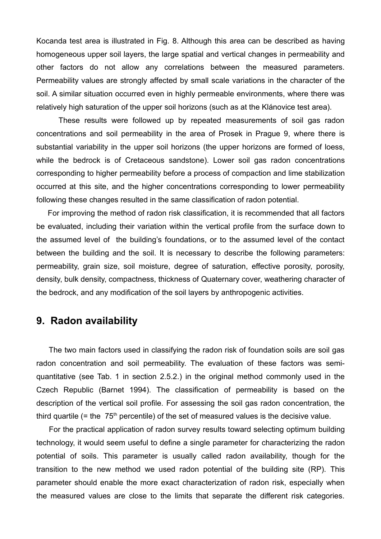Kocanda test area is illustrated in Fig. 8. Although this area can be described as having homogeneous upper soil layers, the large spatial and vertical changes in permeability and other factors do not allow any correlations between the measured parameters. Permeability values are strongly affected by small scale variations in the character of the soil. A similar situation occurred even in highly permeable environments, where there was relatively high saturation of the upper soil horizons (such as at the Klánovice test area).

These results were followed up by repeated measurements of soil gas radon concentrations and soil permeability in the area of Prosek in Prague 9, where there is substantial variability in the upper soil horizons (the upper horizons are formed of loess, while the bedrock is of Cretaceous sandstone). Lower soil gas radon concentrations corresponding to higher permeability before a process of compaction and lime stabilization occurred at this site, and the higher concentrations corresponding to lower permeability following these changes resulted in the same classification of radon potential.

For improving the method of radon risk classification, it is recommended that all factors be evaluated, including their variation within the vertical profile from the surface down to the assumed level of the building's foundations, or to the assumed level of the contact between the building and the soil. It is necessary to describe the following parameters: permeability, grain size, soil moisture, degree of saturation, effective porosity, porosity, density, bulk density, compactness, thickness of Quaternary cover, weathering character of the bedrock, and any modification of the soil layers by anthropogenic activities.

### **9. Radon availability**

The two main factors used in classifying the radon risk of foundation soils are soil gas radon concentration and soil permeability. The evaluation of these factors was semiquantitative (see Tab. 1 in section 2.5.2.) in the original method commonly used in the Czech Republic (Barnet 1994). The classification of permeability is based on the description of the vertical soil profile. For assessing the soil gas radon concentration, the third quartile (= the  $75<sup>th</sup>$  percentile) of the set of measured values is the decisive value.

For the practical application of radon survey results toward selecting optimum building technology, it would seem useful to define a single parameter for characterizing the radon potential of soils. This parameter is usually called radon availability, though for the transition to the new method we used radon potential of the building site (RP). This parameter should enable the more exact characterization of radon risk, especially when the measured values are close to the limits that separate the different risk categories.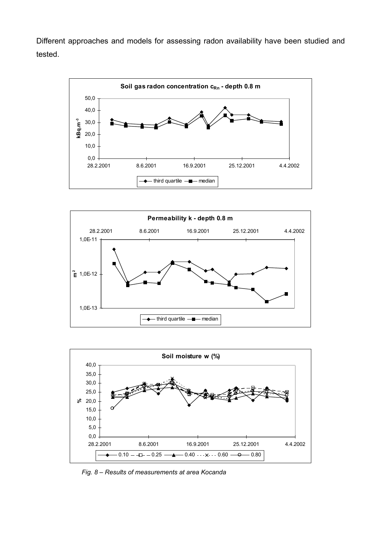Different approaches and models for assessing radon availability have been studied and tested.







*Fig. 8 – Results of measurements at area Kocanda*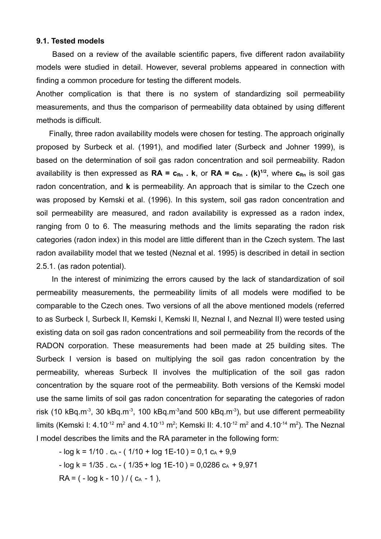### **9.1. Tested models**

Based on a review of the available scientific papers, five different radon availability models were studied in detail. However, several problems appeared in connection with finding a common procedure for testing the different models.

Another complication is that there is no system of standardizing soil permeability measurements, and thus the comparison of permeability data obtained by using different methods is difficult.

Finally, three radon availability models were chosen for testing. The approach originally proposed by Surbeck et al. (1991), and modified later (Surbeck and Johner 1999), is based on the determination of soil gas radon concentration and soil permeability. Radon availability is then expressed as **RA = cRn . k**, or **RA = cRn . (k) 1/2** , where **cRn** is soil gas radon concentration, and **k** is permeability. An approach that is similar to the Czech one was proposed by Kemski et al. (1996). In this system, soil gas radon concentration and soil permeability are measured, and radon availability is expressed as a radon index, ranging from 0 to 6. The measuring methods and the limits separating the radon risk categories (radon index) in this model are little different than in the Czech system. The last radon availability model that we tested (Neznal et al. 1995) is described in detail in section 2.5.1. (as radon potential).

In the interest of minimizing the errors caused by the lack of standardization of soil permeability measurements, the permeability limits of all models were modified to be comparable to the Czech ones. Two versions of all the above mentioned models (referred to as Surbeck I, Surbeck II, Kemski I, Kemski II, Neznal I, and Neznal II) were tested using existing data on soil gas radon concentrations and soil permeability from the records of the RADON corporation. These measurements had been made at 25 building sites. The Surbeck I version is based on multiplying the soil gas radon concentration by the permeability, whereas Surbeck II involves the multiplication of the soil gas radon concentration by the square root of the permeability. Both versions of the Kemski model use the same limits of soil gas radon concentration for separating the categories of radon risk (10 kBq.m<sup>-3</sup>, 30 kBq.m<sup>-3</sup>, 100 kBq.m<sup>-3</sup>and 500 kBq.m<sup>-3</sup>), but use different permeability limits (Kemski I: 4.10<sup>-12</sup> m<sup>2</sup> and 4.10<sup>-13</sup> m<sup>2</sup>; Kemski II: 4.10<sup>-12</sup> m<sup>2</sup> and 4.10<sup>-14</sup> m<sup>2</sup>). The Neznal I model describes the limits and the RA parameter in the following form:

 $-$  log k = 1/10  $\cdot$  c<sub>A</sub>  $-$  ( 1/10  $+$  log 1E-10 ) = 0,1 c<sub>A</sub>  $+$  9,9  $-$  log k = 1/35  $\cdot$  c<sub>A</sub>  $-$  ( 1/35 + log 1E-10 ) = 0,0286 c<sub>A</sub> + 9,971  $RA = (-log k - 10) / (c<sub>A</sub> - 1),$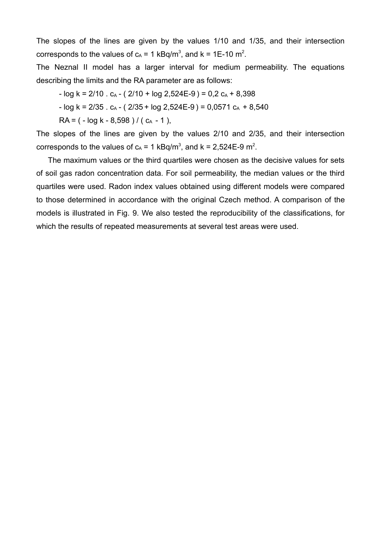The slopes of the lines are given by the values 1/10 and 1/35, and their intersection corresponds to the values of  $c_A = 1$  kBq/m<sup>3</sup>, and k = 1E-10 m<sup>2</sup>.

The Neznal II model has a larger interval for medium permeability. The equations describing the limits and the RA parameter are as follows:

 $-$  log k = 2/10  $\cdot$  c<sub>A</sub>  $-$  ( 2/10  $+$  log 2,524E-9 ) = 0,2 c<sub>A</sub>  $+$  8,398

 $-$  log k = 2/35 . c<sub>A</sub>  $-$  ( 2/35 + log 2,524E-9) = 0,0571 c<sub>A</sub> + 8,540

 $RA = (-\log k - 8.598) / (c_A - 1)$ ,

The slopes of the lines are given by the values 2/10 and 2/35, and their intersection corresponds to the values of  $c_A = 1$  kBq/m<sup>3</sup>, and k = 2,524E-9 m<sup>2</sup>.

The maximum values or the third quartiles were chosen as the decisive values for sets of soil gas radon concentration data. For soil permeability, the median values or the third quartiles were used. Radon index values obtained using different models were compared to those determined in accordance with the original Czech method. A comparison of the models is illustrated in Fig. 9. We also tested the reproducibility of the classifications, for which the results of repeated measurements at several test areas were used.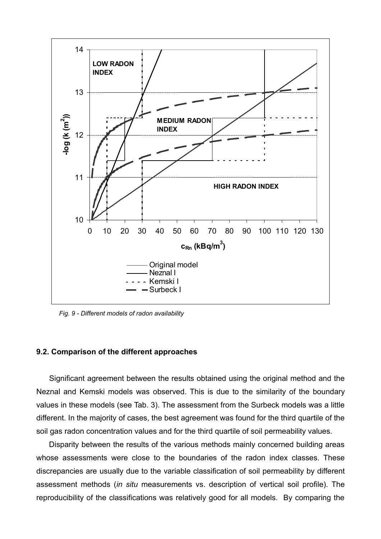

*Fig. 9 - Different models of radon availability*

#### **9.2. Comparison of the different approaches**

Significant agreement between the results obtained using the original method and the Neznal and Kemski models was observed. This is due to the similarity of the boundary values in these models (see Tab. 3). The assessment from the Surbeck models was a little different. In the majority of cases, the best agreement was found for the third quartile of the soil gas radon concentration values and for the third quartile of soil permeability values.

Disparity between the results of the various methods mainly concerned building areas whose assessments were close to the boundaries of the radon index classes. These discrepancies are usually due to the variable classification of soil permeability by different assessment methods (*in situ* measurements vs. description of vertical soil profile). The reproducibility of the classifications was relatively good for all models. By comparing the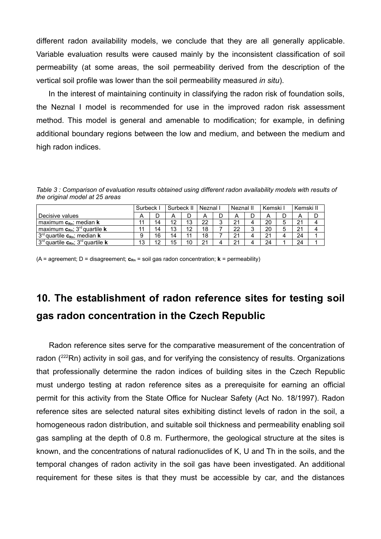different radon availability models, we conclude that they are all generally applicable. Variable evaluation results were caused mainly by the inconsistent classification of soil permeability (at some areas, the soil permeability derived from the description of the vertical soil profile was lower than the soil permeability measured *in situ*).

In the interest of maintaining continuity in classifying the radon risk of foundation soils, the Neznal I model is recommended for use in the improved radon risk assessment method. This model is general and amenable to modification; for example, in defining additional boundary regions between the low and medium, and between the medium and high radon indices.

*Table 3 : Comparison of evaluation results obtained using different radon availability models with results of the original model at 25 areas*

|                                                         | Surbeck |    | Surbeck II |    | Neznal |        | Neznal II |        | Kemski I |   | Kemski II |   |
|---------------------------------------------------------|---------|----|------------|----|--------|--------|-----------|--------|----------|---|-----------|---|
| Decisive values                                         | A       | ◡  |            |    |        | D      | Α         | D      | A        | D | Α         | ш |
| maximum $c_{Rn}$ ; median <b>k</b>                      | 11      | 14 | 12         | 13 | 22     | ົ<br>ັ | 21        | 4      | 20       | 5 | 21        |   |
| maximum $c_{Rn}$ ; 3 <sup>rd</sup> quartile <b>k</b>    | 11      | 14 | 13         | 12 | 18     | -      | 22        | ◠<br>J | 20       | 5 | 21        |   |
| $3rd$ quartile $c_{Rn}$ ; median <b>k</b>               | 9       | 16 | 14         | 44 | 18     |        | 21        | 4      | 21       |   | 24        |   |
| $3^{rd}$ quartile $c_{Rn}$ ; $3^{rd}$ quartile <b>k</b> | 13      | 12 | 15         | 10 | 21     | Δ      | 21        | 4      | 24       |   | 24        |   |

(A = agreement; D = disagreement; **cRn** = soil gas radon concentration; **k** = permeability)

# **10. The establishment of radon reference sites for testing soil gas radon concentration in the Czech Republic**

Radon reference sites serve for the comparative measurement of the concentration of radon  $(^{222}Rn)$  activity in soil gas, and for verifying the consistency of results. Organizations that professionally determine the radon indices of building sites in the Czech Republic must undergo testing at radon reference sites as a prerequisite for earning an official permit for this activity from the State Office for Nuclear Safety (Act No. 18/1997). Radon reference sites are selected natural sites exhibiting distinct levels of radon in the soil, a homogeneous radon distribution, and suitable soil thickness and permeability enabling soil gas sampling at the depth of 0.8 m. Furthermore, the geological structure at the sites is known, and the concentrations of natural radionuclides of K, U and Th in the soils, and the temporal changes of radon activity in the soil gas have been investigated. An additional requirement for these sites is that they must be accessible by car, and the distances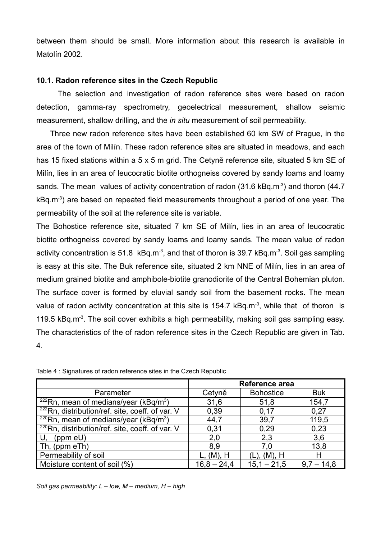between them should be small. More information about this research is available in Matolín 2002.

### **10.1. Radon reference sites in the Czech Republic**

The selection and investigation of radon reference sites were based on radon detection, gamma-ray spectrometry, geoelectrical measurement, shallow seismic measurement, shallow drilling, and the *in situ* measurement of soil permeability.

Three new radon reference sites have been established 60 km SW of Prague, in the area of the town of Milín. These radon reference sites are situated in meadows, and each has 15 fixed stations within a 5 x 5 m grid. The Cetyně reference site, situated 5 km SE of Milín, lies in an area of leucocratic biotite orthogneiss covered by sandy loams and loamy sands. The mean values of activity concentration of radon (31.6 kBq.m<sup>-3</sup>) and thoron (44.7 kBq.m<sup>-3</sup>) are based on repeated field measurements throughout a period of one year. The permeability of the soil at the reference site is variable.

The Bohostice reference site, situated 7 km SE of Milín, lies in an area of leucocratic biotite orthogneiss covered by sandy loams and loamy sands. The mean value of radon activity concentration is 51.8 kBq.m<sup>-3</sup>, and that of thoron is 39.7 kBq.m<sup>-3</sup>. Soil gas sampling is easy at this site. The Buk reference site, situated 2 km NNE of Milín, lies in an area of medium grained biotite and amphibole-biotite granodiorite of the Central Bohemian pluton. The surface cover is formed by eluvial sandy soil from the basement rocks. The mean value of radon activity concentration at this site is 154.7 kBq.m<sup>-3</sup>, while that of thoron is 119.5  $kBq.m<sup>3</sup>$ . The soil cover exhibits a high permeability, making soil gas sampling easy. The characteristics of the of radon reference sites in the Czech Republic are given in Tab. 4.

|                                                             | Reference area |                  |                 |  |  |
|-------------------------------------------------------------|----------------|------------------|-----------------|--|--|
| Parameter                                                   | Cetyně         | <b>Bohostice</b> | <b>Buk</b>      |  |  |
| $222$ Rn, mean of medians/year (kBq/m <sup>3</sup> )        | 31,6           | 51,8             | 154,7           |  |  |
| <sup>222</sup> Rn, distribution/ref. site, coeff. of var. V | 0,39           | 0,17             | 0,27            |  |  |
| $220$ Rn, mean of medians/year (kBq/m <sup>3</sup> )        | 44,7           | 39,7             | 119,5           |  |  |
| <sup>220</sup> Rn, distribution/ref. site, coeff. of var. V | 0,31           | 0,29             | 0.23            |  |  |
| (ppm eU)<br>U.                                              | 2,0            | 2,3              | 3,6             |  |  |
| Th, (ppm eTh)                                               | 8,9            | 7,0              | 13,8            |  |  |
| Permeability of soil                                        | L, (M), H      | (L), (M), H      | н               |  |  |
| Moisture content of soil (%)                                | $16.8 - 24.4$  | $15.1 - 21.5$    | 14,8<br>$9.7 -$ |  |  |

Table 4 : Signatures of radon reference sites in the Czech Republic

*Soil gas permeability: L – low, M – medium, H – high*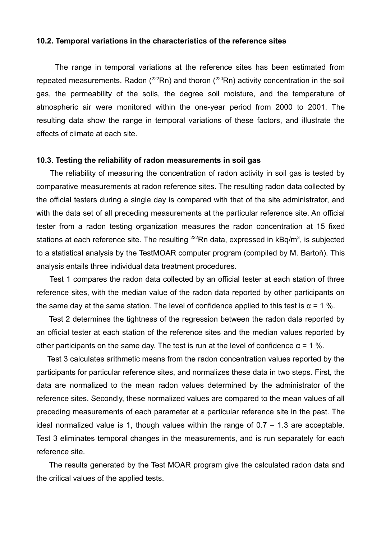#### **10.2. Temporal variations in the characteristics of the reference sites**

The range in temporal variations at the reference sites has been estimated from repeated measurements. Radon ( $^{222}$ Rn) and thoron ( $^{220}$ Rn) activity concentration in the soil gas, the permeability of the soils, the degree soil moisture, and the temperature of atmospheric air were monitored within the one-year period from 2000 to 2001. The resulting data show the range in temporal variations of these factors, and illustrate the effects of climate at each site.

### **10.3. Testing the reliability of radon measurements in soil gas**

The reliability of measuring the concentration of radon activity in soil gas is tested by comparative measurements at radon reference sites. The resulting radon data collected by the official testers during a single day is compared with that of the site administrator, and with the data set of all preceding measurements at the particular reference site. An official tester from a radon testing organization measures the radon concentration at 15 fixed stations at each reference site. The resulting <sup>222</sup>Rn data, expressed in kBq/m<sup>3</sup>, is subjected to a statistical analysis by the TestMOAR computer program (compiled by M. Bartoň). This analysis entails three individual data treatment procedures.

Test 1 compares the radon data collected by an official tester at each station of three reference sites, with the median value of the radon data reported by other participants on the same day at the same station. The level of confidence applied to this test is  $\alpha$  = 1 %.

Test 2 determines the tightness of the regression between the radon data reported by an official tester at each station of the reference sites and the median values reported by other participants on the same day. The test is run at the level of confidence  $\alpha$  = 1 %.

Test 3 calculates arithmetic means from the radon concentration values reported by the participants for particular reference sites, and normalizes these data in two steps. First, the data are normalized to the mean radon values determined by the administrator of the reference sites. Secondly, these normalized values are compared to the mean values of all preceding measurements of each parameter at a particular reference site in the past. The ideal normalized value is 1, though values within the range of  $0.7 - 1.3$  are acceptable. Test 3 eliminates temporal changes in the measurements, and is run separately for each reference site.

The results generated by the Test MOAR program give the calculated radon data and the critical values of the applied tests.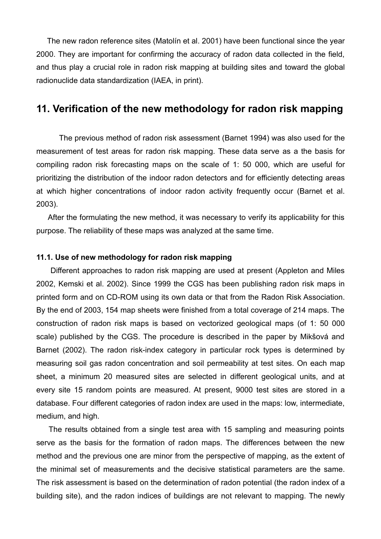The new radon reference sites (Matolín et al. 2001) have been functional since the year 2000. They are important for confirming the accuracy of radon data collected in the field, and thus play a crucial role in radon risk mapping at building sites and toward the global radionuclide data standardization (IAEA, in print).

### **11. Verification of the new methodology for radon risk mapping**

The previous method of radon risk assessment (Barnet 1994) was also used for the measurement of test areas for radon risk mapping. These data serve as a the basis for compiling radon risk forecasting maps on the scale of 1: 50 000, which are useful for prioritizing the distribution of the indoor radon detectors and for efficiently detecting areas at which higher concentrations of indoor radon activity frequently occur (Barnet et al. 2003).

After the formulating the new method, it was necessary to verify its applicability for this purpose. The reliability of these maps was analyzed at the same time.

### **11.1. Use of new methodology for radon risk mapping**

Different approaches to radon risk mapping are used at present (Appleton and Miles 2002, Kemski et al. 2002). Since 1999 the CGS has been publishing radon risk maps in printed form and on CD-ROM using its own data or that from the Radon Risk Association. By the end of 2003, 154 map sheets were finished from a total coverage of 214 maps. The construction of radon risk maps is based on vectorized geological maps (of 1: 50 000 scale) published by the CGS. The procedure is described in the paper by Mikšová and Barnet (2002). The radon risk-index category in particular rock types is determined by measuring soil gas radon concentration and soil permeability at test sites. On each map sheet, a minimum 20 measured sites are selected in different geological units, and at every site 15 random points are measured. At present, 9000 test sites are stored in a database. Four different categories of radon index are used in the maps: low, intermediate, medium, and high.

The results obtained from a single test area with 15 sampling and measuring points serve as the basis for the formation of radon maps. The differences between the new method and the previous one are minor from the perspective of mapping, as the extent of the minimal set of measurements and the decisive statistical parameters are the same. The risk assessment is based on the determination of radon potential (the radon index of a building site), and the radon indices of buildings are not relevant to mapping. The newly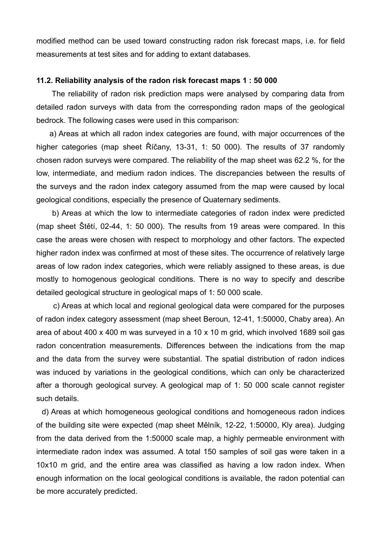modified method can be used toward constructing radon risk forecast maps, i.e. for field measurements at test sites and for adding to extant databases.

### **11.2. Reliability analysis of the radon risk forecast maps 1 : 50 000**

The reliability of radon risk prediction maps were analysed by comparing data from detailed radon surveys with data from the corresponding radon maps of the geological bedrock. The following cases were used in this comparison:

a) Areas at which all radon index categories are found, with major occurrences of the higher categories (map sheet Říčany, 13-31, 1: 50 000). The results of 37 randomly chosen radon surveys were compared. The reliability of the map sheet was 62.2 %, for the low, intermediate, and medium radon indices. The discrepancies between the results of the surveys and the radon index category assumed from the map were caused by local geological conditions, especially the presence of Quaternary sediments.

b) Areas at which the low to intermediate categories of radon index were predicted (map sheet Štětí, 02-44, 1: 50 000). The results from 19 areas were compared. In this case the areas were chosen with respect to morphology and other factors. The expected higher radon index was confirmed at most of these sites. The occurrence of relatively large areas of low radon index categories, which were reliably assigned to these areas, is due mostly to homogenous geological conditions. There is no way to specify and describe detailed geological structure in geological maps of 1: 50 000 scale.

c) Areas at which local and regional geological data were compared for the purposes of radon index category assessment (map sheet Beroun, 12-41, 1:50000, Chaby area). An area of about 400 x 400 m was surveyed in a 10 x 10 m grid, which involved 1689 soil gas radon concentration measurements. Differences between the indications from the map and the data from the survey were substantial. The spatial distribution of radon indices was induced by variations in the geological conditions, which can only be characterized after a thorough geological survey. A geological map of 1: 50 000 scale cannot register such details.

d) Areas at which homogeneous geological conditions and homogeneous radon indices of the building site were expected (map sheet Mělník, 12-22, 1:50000, Kly area). Judging from the data derived from the 1:50000 scale map, a highly permeable environment with intermediate radon index was assumed. A total 150 samples of soil gas were taken in a 10x10 m grid, and the entire area was classified as having a low radon index. When enough information on the local geological conditions is available, the radon potential can be more accurately predicted.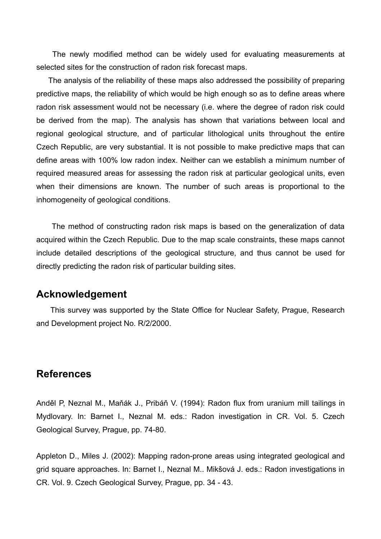The newly modified method can be widely used for evaluating measurements at selected sites for the construction of radon risk forecast maps.

The analysis of the reliability of these maps also addressed the possibility of preparing predictive maps, the reliability of which would be high enough so as to define areas where radon risk assessment would not be necessary (i.e. where the degree of radon risk could be derived from the map). The analysis has shown that variations between local and regional geological structure, and of particular lithological units throughout the entire Czech Republic, are very substantial. It is not possible to make predictive maps that can define areas with 100% low radon index. Neither can we establish a minimum number of required measured areas for assessing the radon risk at particular geological units, even when their dimensions are known. The number of such areas is proportional to the inhomogeneity of geological conditions.

The method of constructing radon risk maps is based on the generalization of data acquired within the Czech Republic. Due to the map scale constraints, these maps cannot include detailed descriptions of the geological structure, and thus cannot be used for directly predicting the radon risk of particular building sites.

### **Acknowledgement**

This survey was supported by the State Office for Nuclear Safety, Prague, Research and Development project No. R/2/2000.

### **References**

Anděl P, Neznal M., Maňák J., Pribáň V. (1994): Radon flux from uranium mill tailings in Mydlovary. In: Barnet I., Neznal M. eds.: Radon investigation in CR. Vol. 5. Czech Geological Survey, Prague, pp. 74-80.

Appleton D., Miles J. (2002): Mapping radon-prone areas using integrated geological and grid square approaches. In: Barnet I., Neznal M.. Mikšová J. eds.: Radon investigations in CR. Vol. 9. Czech Geological Survey, Prague, pp. 34 - 43.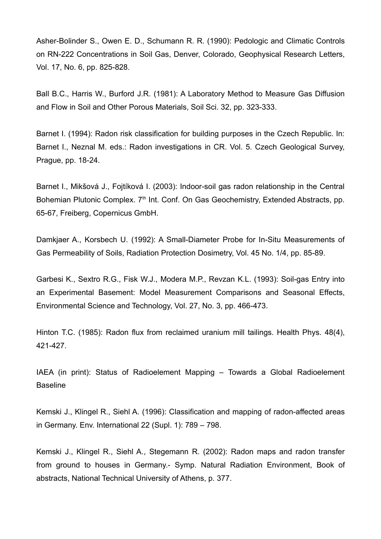Asher-Bolinder S., Owen E. D., Schumann R. R. (1990): Pedologic and Climatic Controls on RN-222 Concentrations in Soil Gas, Denver, Colorado, Geophysical Research Letters, Vol. 17, No. 6, pp. 825-828.

Ball B.C., Harris W., Burford J.R. (1981): A Laboratory Method to Measure Gas Diffusion and Flow in Soil and Other Porous Materials, Soil Sci. 32, pp. 323-333.

Barnet I. (1994): Radon risk classification for building purposes in the Czech Republic. In: Barnet I., Neznal M. eds.: Radon investigations in CR. Vol. 5. Czech Geological Survey, Prague, pp. 18-24.

Barnet I., Mikšová J., Foitíková I. (2003): Indoor-soil gas radon relationship in the Central Bohemian Plutonic Complex. 7<sup>th</sup> Int. Conf. On Gas Geochemistry, Extended Abstracts, pp. 65-67, Freiberg, Copernicus GmbH.

Damkjaer A., Korsbech U. (1992): A Small-Diameter Probe for In-Situ Measurements of Gas Permeability of Soils, Radiation Protection Dosimetry, Vol. 45 No. 1/4, pp. 85-89.

Garbesi K., Sextro R.G., Fisk W.J., Modera M.P., Revzan K.L. (1993): Soil-gas Entry into an Experimental Basement: Model Measurement Comparisons and Seasonal Effects, Environmental Science and Technology, Vol. 27, No. 3, pp. 466-473.

Hinton T.C. (1985): Radon flux from reclaimed uranium mill tailings. Health Phys. 48(4), 421-427.

IAEA (in print): Status of Radioelement Mapping – Towards a Global Radioelement Baseline

Kemski J., Klingel R., Siehl A. (1996): Classification and mapping of radon-affected areas in Germany. Env. International 22 (Supl. 1): 789 – 798.

Kemski J., Klingel R., Siehl A., Stegemann R. (2002): Radon maps and radon transfer from ground to houses in Germany.- Symp. Natural Radiation Environment, Book of abstracts, National Technical University of Athens, p. 377.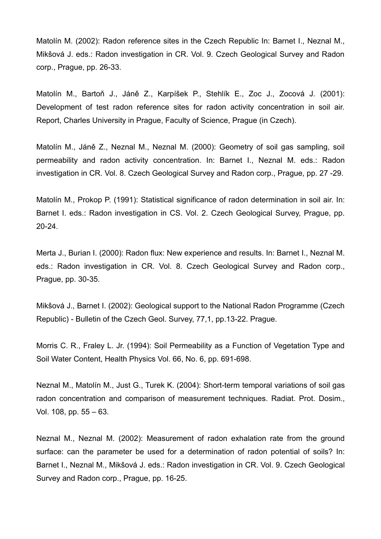Matolín M. (2002): Radon reference sites in the Czech Republic In: Barnet I., Neznal M., Mikšová J. eds.: Radon investigation in CR. Vol. 9. Czech Geological Survey and Radon corp., Prague, pp. 26-33.

Matolín M., Bartoň J., Jáně Z., Karpíšek P., Stehlík E., Zoc J., Zocová J. (2001): Development of test radon reference sites for radon activity concentration in soil air. Report, Charles University in Prague, Faculty of Science, Prague (in Czech).

Matolín M., Jáně Z., Neznal M., Neznal M. (2000): Geometry of soil gas sampling, soil permeability and radon activity concentration. In: Barnet I., Neznal M. eds.: Radon investigation in CR. Vol. 8. Czech Geological Survey and Radon corp., Prague, pp. 27 -29.

Matolín M., Prokop P. (1991): Statistical significance of radon determination in soil air. In: Barnet I. eds.: Radon investigation in CS. Vol. 2. Czech Geological Survey, Prague, pp. 20-24.

Merta J., Burian I. (2000): Radon flux: New experience and results. In: Barnet I., Neznal M. eds.: Radon investigation in CR. Vol. 8. Czech Geological Survey and Radon corp., Prague, pp. 30-35.

Mikšová J., Barnet I. (2002): Geological support to the National Radon Programme (Czech Republic) - Bulletin of the Czech Geol. Survey, 77,1, pp.13-22. Prague.

Morris C. R., Fraley L. Jr. (1994): Soil Permeability as a Function of Vegetation Type and Soil Water Content, Health Physics Vol. 66, No. 6, pp. 691-698.

Neznal M., Matolín M., Just G., Turek K. (2004): Short-term temporal variations of soil gas radon concentration and comparison of measurement techniques. Radiat. Prot. Dosim., Vol. 108, pp. 55 – 63.

Neznal M., Neznal M. (2002): Measurement of radon exhalation rate from the ground surface: can the parameter be used for a determination of radon potential of soils? In: Barnet I., Neznal M., Mikšová J. eds.: Radon investigation in CR. Vol. 9. Czech Geological Survey and Radon corp., Prague, pp. 16-25.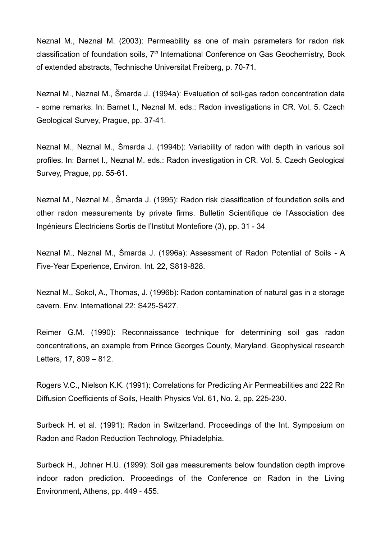Neznal M., Neznal M. (2003): Permeability as one of main parameters for radon risk classification of foundation soils, 7<sup>th</sup> International Conference on Gas Geochemistry, Book of extended abstracts, Technische Universitat Freiberg, p. 70-71.

Neznal M., Neznal M., Šmarda J. (1994a): Evaluation of soil-gas radon concentration data - some remarks. In: Barnet I., Neznal M. eds.: Radon investigations in CR. Vol. 5. Czech Geological Survey, Prague, pp. 37-41.

Neznal M., Neznal M., Šmarda J. (1994b): Variability of radon with depth in various soil profiles. In: Barnet I., Neznal M. eds.: Radon investigation in CR. Vol. 5. Czech Geological Survey, Prague, pp. 55-61.

Neznal M., Neznal M., Šmarda J. (1995): Radon risk classification of foundation soils and other radon measurements by private firms. Bulletin Scientifique de l'Association des Ingénieurs Électriciens Sortis de l'Institut Montefiore (3), pp. 31 - 34

Neznal M., Neznal M., Šmarda J. (1996a): Assessment of Radon Potential of Soils - A Five-Year Experience, Environ. Int. 22, S819-828.

Neznal M., Sokol, A., Thomas, J. (1996b): Radon contamination of natural gas in a storage cavern. Env. International 22: S425-S427.

Reimer G.M. (1990): Reconnaissance technique for determining soil gas radon concentrations, an example from Prince Georges County, Maryland. Geophysical research Letters, 17, 809 – 812.

Rogers V.C., Nielson K.K. (1991): Correlations for Predicting Air Permeabilities and 222 Rn Diffusion Coefficients of Soils, Health Physics Vol. 61, No. 2, pp. 225-230.

Surbeck H. et al. (1991): Radon in Switzerland. Proceedings of the Int. Symposium on Radon and Radon Reduction Technology, Philadelphia.

Surbeck H., Johner H.U. (1999): Soil gas measurements below foundation depth improve indoor radon prediction. Proceedings of the Conference on Radon in the Living Environment, Athens, pp. 449 - 455.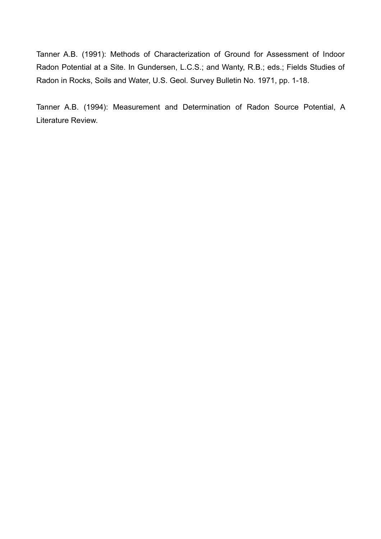Tanner A.B. (1991): Methods of Characterization of Ground for Assessment of Indoor Radon Potential at a Site. In Gundersen, L.C.S.; and Wanty, R.B.; eds.; Fields Studies of Radon in Rocks, Soils and Water, U.S. Geol. Survey Bulletin No. 1971, pp. 1-18.

Tanner A.B. (1994): Measurement and Determination of Radon Source Potential, A Literature Review.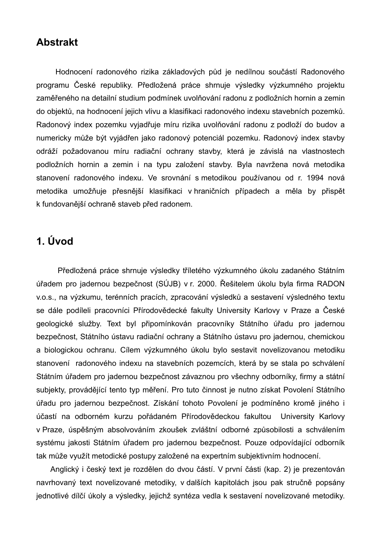### **Abstrakt**

Hodnocení radonového rizika základových půd je nedílnou součástí Radonového programu České republiky. Předložená práce shrnuje výsledky výzkumného projektu zaměřeného na detailní studium podmínek uvolňování radonu z podložních hornin a zemin do objektů, na hodnocení jejich vlivu a klasifikaci radonového indexu stavebních pozemků. Radonový index pozemku vyjadřuje míru rizika uvolňování radonu z podloží do budov a numericky může být vyjádřen jako radonový potenciál pozemku. Radonový index stavby odráží požadovanou míru radiační ochrany stavby, která je závislá na vlastnostech podložních hornin a zemin i na typu založení stavby. Byla navržena nová metodika stanovení radonového indexu. Ve srovnání s metodikou používanou od r. 1994 nová metodika umožňuje přesnější klasifikaci v hraničních případech a měla by přispět k fundovanější ochraně staveb před radonem.

## **1. Úvod**

Předložená práce shrnuje výsledky tříletého výzkumného úkolu zadaného Státním úřadem pro jadernou bezpečnost (SÚJB) v r. 2000. Řešitelem úkolu byla firma RADON v.o.s., na výzkumu, terénních pracích, zpracování výsledků a sestavení výsledného textu se dále podíleli pracovníci Přírodovědecké fakulty University Karlovy v Praze a České geologické služby. Text byl připomínkován pracovníky Státního úřadu pro jadernou bezpečnost, Státního ústavu radiační ochrany a Státního ústavu pro jadernou, chemickou a biologickou ochranu. Cílem výzkumného úkolu bylo sestavit novelizovanou metodiku stanovení radonového indexu na stavebních pozemcích, která by se stala po schválení Státním úřadem pro jadernou bezpečnost závaznou pro všechny odborníky, firmy a státní subjekty, provádějící tento typ měření. Pro tuto činnost je nutno získat Povolení Státního úřadu pro jadernou bezpečnost. Získání tohoto Povolení je podmíněno kromě jiného i účastí na odborném kurzu pořádaném Přírodovědeckou fakultou University Karlovy v Praze, úspěšným absolvováním zkoušek zvláštní odborné způsobilosti a schválením systému jakosti Státním úřadem pro jadernou bezpečnost. Pouze odpovídající odborník tak může využít metodické postupy založené na expertním subjektivním hodnocení.

Anglický i český text je rozdělen do dvou částí. V první části (kap. 2) je prezentován navrhovaný text novelizované metodiky, v dalších kapitolách jsou pak stručně popsány jednotlivé dílčí úkoly a výsledky, jejichž syntéza vedla k sestavení novelizované metodiky.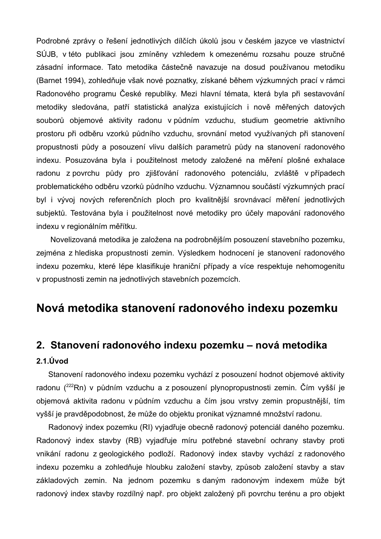Podrobné zprávy o řešení jednotlivých dílčích úkolů jsou v českém jazyce ve vlastnictví SÚJB, v této publikaci jsou zmíněny vzhledem k omezenému rozsahu pouze stručné zásadní informace. Tato metodika částečně navazuje na dosud používanou metodiku (Barnet 1994), zohledňuje však nové poznatky, získané během výzkumných prací v rámci Radonového programu České republiky. Mezi hlavní témata, která byla při sestavování metodiky sledována, patří statistická analýza existujících i nově měřených datových souborů objemové aktivity radonu v půdním vzduchu, studium geometrie aktivního prostoru při odběru vzorků půdního vzduchu, srovnání metod využívaných při stanovení propustnosti půdy a posouzení vlivu dalších parametrů půdy na stanovení radonového indexu. Posuzována byla i použitelnost metody založené na měření plošné exhalace radonu z povrchu půdy pro zjišťování radonového potenciálu, zvláště v případech problematického odběru vzorků půdního vzduchu. Významnou součástí výzkumných prací byl i vývoj nových referenčních ploch pro kvalitnější srovnávací měření jednotlivých subjektů. Testována byla i použitelnost nové metodiky pro účely mapování radonového indexu v regionálním měřítku.

Novelizovaná metodika je založena na podrobnějším posouzení stavebního pozemku, zejména z hlediska propustnosti zemin. Výsledkem hodnocení je stanovení radonového indexu pozemku, které lépe klasifikuje hraniční případy a více respektuje nehomogenitu v propustnosti zemin na jednotlivých stavebních pozemcích.

## **Nová metodika stanovení radonového indexu pozemku**

### **2. Stanovení radonového indexu pozemku – nová metodika**

### **2.1.Úvod**

Stanovení radonového indexu pozemku vychází z posouzení hodnot objemové aktivity radonu (<sup>222</sup>Rn) v půdním vzduchu a z posouzení plynopropustnosti zemin. Čím vyšší je objemová aktivita radonu v půdním vzduchu a čím jsou vrstvy zemin propustnější, tím vyšší je pravděpodobnost, že může do objektu pronikat významné množství radonu.

Radonový index pozemku (RI) vyjadřuje obecně radonový potenciál daného pozemku. Radonový index stavby (RB) vyjadřuje míru potřebné stavební ochrany stavby proti vnikání radonu z geologického podloží. Radonový index stavby vychází z radonového indexu pozemku a zohledňuje hloubku založení stavby, způsob založení stavby a stav základových zemin. Na jednom pozemku s daným radonovým indexem může být radonový index stavby rozdílný např. pro objekt založený při povrchu terénu a pro objekt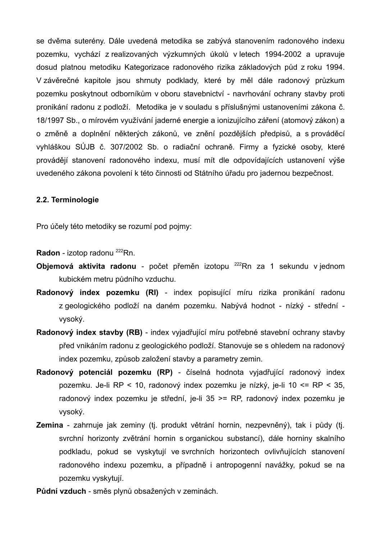se dvěma suterény. Dále uvedená metodika se zabývá stanovením radonového indexu pozemku, vychází z realizovaných výzkumných úkolů v letech 1994-2002 a upravuje dosud platnou metodiku Kategorizace radonového rizika základových půd z roku 1994. V závěrečné kapitole jsou shrnuty podklady, které by měl dále radonový průzkum pozemku poskytnout odborníkům v oboru stavebnictví - navrhování ochrany stavby proti pronikání radonu z podloží. Metodika je v souladu s příslušnými ustanoveními zákona č. 18/1997 Sb., o mírovém využívání jaderné energie a ionizujícího záření (atomový zákon) a o změně a doplnění některých zákonů, ve znění pozdějších předpisů, a s prováděcí vyhláškou SÚJB č. 307/2002 Sb. o radiační ochraně. Firmy a fyzické osoby, které provádějí stanovení radonového indexu, musí mít dle odpovídajících ustanovení výše uvedeného zákona povolení k této činnosti od Státního úřadu pro jadernou bezpečnost.

### **2.2. Terminologie**

Pro účely této metodiky se rozumí pod pojmy:

Radon - izotop radonu <sup>222</sup>Rn.

- **Objemová aktivita radonu** počet přeměn izotopu <sup>222</sup>Rn za 1 sekundu v jednom kubickém metru půdního vzduchu.
- **Radonový index pozemku (RI)** index popisující míru rizika pronikání radonu z geologického podloží na daném pozemku. Nabývá hodnot - nízký - střední vysoký.
- **Radonový index stavby (RB)** index vyjadřující míru potřebné stavební ochrany stavby před vnikáním radonu z geologického podloží. Stanovuje se s ohledem na radonový index pozemku, způsob založení stavby a parametry zemin.
- **Radonový potenciál pozemku (RP)** číselná hodnota vyjadřující radonový index pozemku. Je-li RP < 10, radonový index pozemku je nízký, je-li 10 <= RP < 35, radonový index pozemku je střední, je-li 35 >= RP, radonový index pozemku je vysoký.
- **Zemina** zahrnuje jak zeminy (tj. produkt větrání hornin, nezpevněný), tak i půdy (tj. svrchní horizonty zvětrání hornin s organickou substancí), dále horniny skalního podkladu, pokud se vyskytují ve svrchních horizontech ovlivňujících stanovení radonového indexu pozemku, a případně i antropogenní navážky, pokud se na pozemku vyskytují.

**Půdní vzduch** - směs plynů obsažených v zeminách.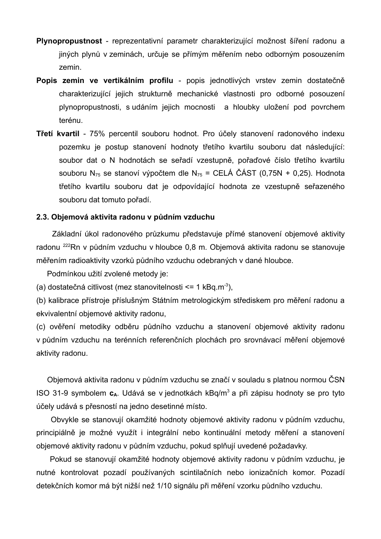- **Plynopropustnost** reprezentativní parametr charakterizující možnost šíření radonu a jiných plynů v zeminách, určuje se přímým měřením nebo odborným posouzením zemin.
- **Popis zemin ve vertikálním profilu** popis jednotlivých vrstev zemin dostatečně charakterizující jejich strukturně mechanické vlastnosti pro odborné posouzení plynopropustnosti, s udáním jejich mocnosti a hloubky uložení pod povrchem terénu.
- **Třetí kvartil** 75% percentil souboru hodnot. Pro účely stanovení radonového indexu pozemku je postup stanovení hodnoty třetího kvartilu souboru dat následující: soubor dat o N hodnotách se seřadí vzestupně, pořaďové číslo třetího kvartilu souboru N<sub>75</sub> se stanoví výpočtem dle N<sub>75</sub> = CELÁ ČÁST (0,75N + 0,25). Hodnota třetího kvartilu souboru dat je odpovídající hodnota ze vzestupně seřazeného souboru dat tomuto pořadí.

### **2.3. Objemová aktivita radonu v půdním vzduchu**

Základní úkol radonového průzkumu představuje přímé stanovení objemové aktivity radonu <sup>222</sup>Rn v půdním vzduchu v hloubce 0,8 m. Objemová aktivita radonu se stanovuje měřením radioaktivity vzorků půdního vzduchu odebraných v dané hloubce.

Podmínkou užití zvolené metody je:

(a) dostatečná citlivost (mez stanovitelnosti <= 1 kBq.m<sup>-3</sup>),

(b) kalibrace přístroje příslušným Státním metrologickým střediskem pro měření radonu a ekvivalentní objemové aktivity radonu,

(c) ověření metodiky odběru půdního vzduchu a stanovení objemové aktivity radonu v půdním vzduchu na terénních referenčních plochách pro srovnávací měření objemové aktivity radonu.

Objemová aktivita radonu v půdním vzduchu se značí v souladu s platnou normou ČSN ISO 31-9 symbolem **cA**. Udává se v jednotkách kBq/m 3 a při zápisu hodnoty se pro tyto účely udává s přesností na jedno desetinné místo.

Obvykle se stanovují okamžité hodnoty objemové aktivity radonu v půdním vzduchu, principiálně je možné využít i integrální nebo kontinuální metody měření a stanovení objemové aktivity radonu v půdním vzduchu, pokud splňují uvedené požadavky.

Pokud se stanovují okamžité hodnoty objemové aktivity radonu v půdním vzduchu, je nutné kontrolovat pozadí používaných scintilačních nebo ionizačních komor. Pozadí detekčních komor má být nižší než 1/10 signálu při měření vzorku půdního vzduchu.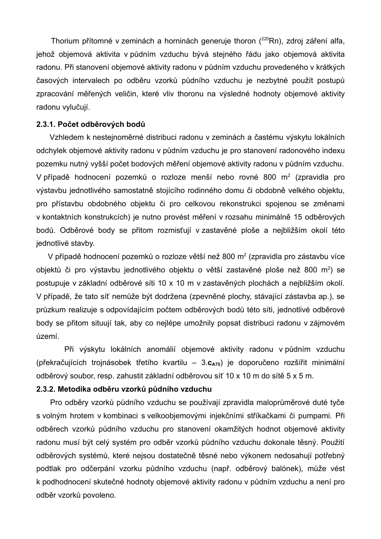Thorium přítomné v zeminách a horninách generuje thoron (<sup>220</sup>Rn), zdroj záření alfa, jehož objemová aktivita v půdním vzduchu bývá stejného řádu jako objemová aktivita radonu. Při stanovení objemové aktivity radonu v půdním vzduchu provedeného v krátkých časových intervalech po odběru vzorků půdního vzduchu je nezbytné použít postupů zpracování měřených veličin, které vliv thoronu na výsledné hodnoty objemové aktivity radonu vylučují.

### **2.3.1. Počet odběrových bodů**

Vzhledem k nestejnoměrné distribuci radonu v zeminách a častému výskytu lokálních odchylek objemové aktivity radonu v půdním vzduchu je pro stanovení radonového indexu pozemku nutný vyšší počet bodových měření objemové aktivity radonu v půdním vzduchu. V případě hodnocení pozemků o rozloze menší nebo rovné 800 m<sup>2</sup> (zpravidla pro výstavbu jednotlivého samostatně stojícího rodinného domu či obdobně velkého objektu, pro přístavbu obdobného objektu či pro celkovou rekonstrukci spojenou se změnami v kontaktních konstrukcích) je nutno provést měření v rozsahu minimálně 15 odběrových bodů. Odběrové body se přitom rozmisťují v zastavěné ploše a nejbližším okolí této jednotlivé stavby.

V případě hodnocení pozemků o rozloze větší než 800 m<sup>2</sup> (zpravidla pro zástavbu více objektů či pro výstavbu jednotlivého objektu o větší zastavěné ploše než 800 m<sup>2</sup>) se postupuje v základní odběrové síti 10 x 10 m v zastavěných plochách a nejbližším okolí. V případě, že tato síť nemůže být dodržena (zpevněné plochy, stávající zástavba ap.), se průzkum realizuje s odpovídajícím počtem odběrových bodů této síti, jednotlivé odběrové body se přitom situují tak, aby co nejlépe umožnily popsat distribuci radonu v zájmovém území.

Při výskytu lokálních anomálií objemové aktivity radonu v půdním vzduchu (překračujících trojnásobek třetího kvartilu – 3.**cA75**) je doporučeno rozšířit minimální odběrový soubor, resp. zahustit základní odběrovou síť 10 x 10 m do sítě 5 x 5 m.

### **2.3.2. Metodika odběru vzorků půdního vzduchu**

Pro odběry vzorků půdního vzduchu se používají zpravidla maloprůměrové duté tyče s volným hrotem v kombinaci s velkoobjemovými injekčními stříkačkami či pumpami. Při odběrech vzorků půdního vzduchu pro stanovení okamžitých hodnot objemové aktivity radonu musí být celý systém pro odběr vzorků půdního vzduchu dokonale těsný. Použití odběrových systémů, které nejsou dostatečně těsné nebo výkonem nedosahují potřebný podtlak pro odčerpání vzorku půdního vzduchu (např. odběrový balónek), může vést k podhodnocení skutečné hodnoty objemové aktivity radonu v půdním vzduchu a není pro odběr vzorků povoleno.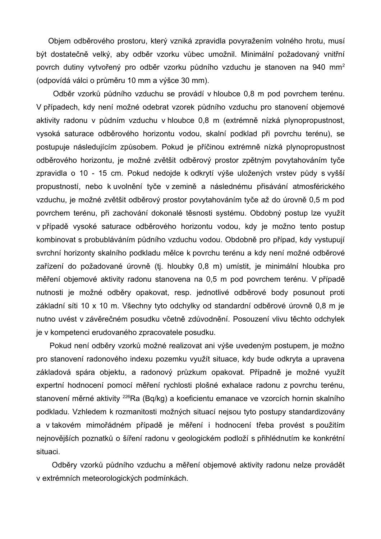Objem odběrového prostoru, který vzniká zpravidla povyražením volného hrotu, musí být dostatečně velký, aby odběr vzorku vůbec umožnil. Minimální požadovaný vnitřní povrch dutiny vytvořený pro odběr vzorku půdního vzduchu je stanoven na 940 mm<sup>2</sup> (odpovídá válci o průměru 10 mm a výšce 30 mm).

Odběr vzorků půdního vzduchu se provádí v hloubce 0,8 m pod povrchem terénu. V případech, kdy není možné odebrat vzorek půdního vzduchu pro stanovení objemové aktivity radonu v půdním vzduchu v hloubce 0,8 m (extrémně nízká plynopropustnost, vysoká saturace odběrového horizontu vodou, skalní podklad při povrchu terénu), se postupuje následujícím způsobem. Pokud je příčinou extrémně nízká plynopropustnost odběrového horizontu, je možné zvětšit odběrový prostor zpětným povytahováním tyče zpravidla o 10 - 15 cm. Pokud nedojde k odkrytí výše uložených vrstev půdy s vyšší propustností, nebo k uvolnění tyče v zemině a následnému přisávání atmosférického vzduchu, je možné zvětšit odběrový prostor povytahováním tyče až do úrovně 0,5 m pod povrchem terénu, při zachování dokonalé těsnosti systému. Obdobný postup lze využít v případě vysoké saturace odběrového horizontu vodou, kdy je možno tento postup kombinovat s probubláváním půdního vzduchu vodou. Obdobně pro případ, kdy vystupují svrchní horizonty skalního podkladu mělce k povrchu terénu a kdy není možné odběrové zařízení do požadované úrovně (tj. hloubky 0,8 m) umístit, je minimální hloubka pro měření objemové aktivity radonu stanovena na 0,5 m pod povrchem terénu. V případě nutnosti je možné odběry opakovat, resp. jednotlivé odběrové body posunout proti základní síti 10 x 10 m. Všechny tyto odchylky od standardní odběrové úrovně 0,8 m je nutno uvést v závěrečném posudku včetně zdůvodnění. Posouzení vlivu těchto odchylek je v kompetenci erudovaného zpracovatele posudku.

Pokud není odběry vzorků možné realizovat ani výše uvedeným postupem, je možno pro stanovení radonového indexu pozemku využít situace, kdy bude odkryta a upravena základová spára objektu, a radonový průzkum opakovat. Případně je možné využít expertní hodnocení pomocí měření rychlosti plošné exhalace radonu z povrchu terénu, stanovení měrné aktivity <sup>226</sup>Ra (Bq/kg) a koeficientu emanace ve vzorcích hornin skalního podkladu. Vzhledem k rozmanitosti možných situací nejsou tyto postupy standardizovány a v takovém mimořádném případě je měření i hodnocení třeba provést s použitím nejnovějších poznatků o šíření radonu v geologickém podloží s přihlédnutím ke konkrétní situaci.

Odběry vzorků půdního vzduchu a měření objemové aktivity radonu nelze provádět v extrémních meteorologických podmínkách.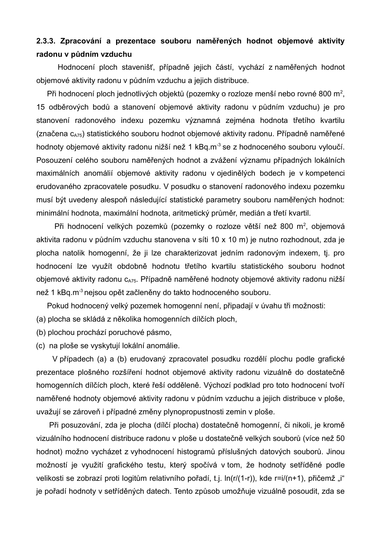### **2.3.3. Zpracování a prezentace souboru naměřených hodnot objemové aktivity radonu v půdním vzduchu**

Hodnocení ploch stavenišť, případně jejich částí, vychází z naměřených hodnot objemové aktivity radonu v půdním vzduchu a jejich distribuce.

Při hodnocení ploch jednotlivých objektů (pozemky o rozloze menší nebo rovné 800 m<sup>2</sup>, 15 odběrových bodů a stanovení objemové aktivity radonu v půdním vzduchu) je pro stanovení radonového indexu pozemku významná zejména hodnota třetího kvartilu (značena c<sub>A75</sub>) statistického souboru hodnot objemové aktivity radonu. Případně naměřené hodnoty objemové aktivity radonu nižší než 1 kBq.m<sup>-3</sup> se z hodnoceného souboru vyloučí. Posouzení celého souboru naměřených hodnot a zvážení významu případných lokálních maximálních anomálií objemové aktivity radonu v ojedinělých bodech je v kompetenci erudovaného zpracovatele posudku. V posudku o stanovení radonového indexu pozemku musí být uvedeny alespoň následující statistické parametry souboru naměřených hodnot: minimální hodnota, maximální hodnota, aritmetický průměr, medián a třetí kvartil.

Při hodnocení velkých pozemků (pozemky o rozloze větší než 800 m<sup>2</sup>, objemová aktivita radonu v půdním vzduchu stanovena v síti 10 x 10 m) je nutno rozhodnout, zda je plocha natolik homogenní, že ji lze charakterizovat jedním radonovým indexem, tj. pro hodnocení lze využít obdobně hodnotu třetího kvartilu statistického souboru hodnot objemové aktivity radonu c<sub>A75</sub>. Případně naměřené hodnoty objemové aktivity radonu nižší než 1 kBq.m<sup>-3</sup> nejsou opět začleněny do takto hodnoceného souboru.

Pokud hodnocený velký pozemek homogenní není, připadají v úvahu tři možnosti:

- (a) plocha se skládá z několika homogenních dílčích ploch,
- (b) plochou prochází poruchové pásmo,
- (c) na ploše se vyskytují lokální anomálie.

V případech (a) a (b) erudovaný zpracovatel posudku rozdělí plochu podle grafické prezentace plošného rozšíření hodnot objemové aktivity radonu vizuálně do dostatečně homogenních dílčích ploch, které řeší odděleně. Výchozí podklad pro toto hodnocení tvoří naměřené hodnoty objemové aktivity radonu v půdním vzduchu a jejich distribuce v ploše, uvažují se zároveň i případné změny plynopropustnosti zemin v ploše.

Při posuzování, zda je plocha (dílčí plocha) dostatečně homogenní, či nikoli, je kromě vizuálního hodnocení distribuce radonu v ploše u dostatečně velkých souborů (více než 50 hodnot) možno vycházet z vyhodnocení histogramů příslušných datových souborů. Jinou možností je využití grafického testu, který spočívá v tom, že hodnoty setříděné podle velikosti se zobrazí proti logitům relativního pořadí, t.j. ln(r/(1-r)), kde r=i/(n+1), přičemž "i" je pořadí hodnoty v setříděných datech. Tento způsob umožňuje vizuálně posoudit, zda se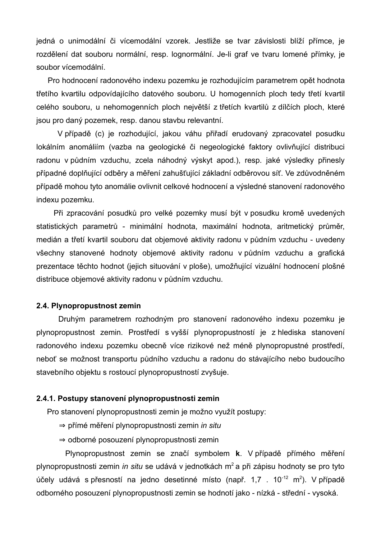jedná o unimodální či vícemodální vzorek. Jestliže se tvar závislosti blíží přímce, je rozdělení dat souboru normální, resp. lognormální. Je-li graf ve tvaru lomené přímky, je soubor vícemodální.

Pro hodnocení radonového indexu pozemku je rozhodujícím parametrem opět hodnota třetího kvartilu odpovídajícího datového souboru. U homogenních ploch tedy třetí kvartil celého souboru, u nehomogenních ploch největší z třetích kvartilů z dílčích ploch, které jsou pro daný pozemek, resp. danou stavbu relevantní.

V případě (c) je rozhodující, jakou váhu přiřadí erudovaný zpracovatel posudku lokálním anomáliím (vazba na geologické či negeologické faktory ovlivňující distribuci radonu v půdním vzduchu, zcela náhodný výskyt apod.), resp. jaké výsledky přinesly případné doplňující odběry a měření zahušťující základní odběrovou síť. Ve zdůvodněném případě mohou tyto anomálie ovlivnit celkové hodnocení a výsledné stanovení radonového indexu pozemku.

Při zpracování posudků pro velké pozemky musí být v posudku kromě uvedených statistických parametrů - minimální hodnota, maximální hodnota, aritmetický průměr, medián a třetí kvartil souboru dat objemové aktivity radonu v půdním vzduchu - uvedeny všechny stanovené hodnoty objemové aktivity radonu v půdním vzduchu a grafická prezentace těchto hodnot (jejich situování v ploše), umožňující vizuální hodnocení plošné distribuce objemové aktivity radonu v půdním vzduchu.

### **2.4. Plynopropustnost zemin**

Druhým parametrem rozhodným pro stanovení radonového indexu pozemku je plynopropustnost zemin. Prostředí s vyšší plynopropustností je z hlediska stanovení radonového indexu pozemku obecně více rizikové než méně plynopropustné prostředí, neboť se možnost transportu půdního vzduchu a radonu do stávajícího nebo budoucího stavebního objektu s rostoucí plynopropustností zvyšuje.

#### **2.4.1. Postupy stanovení plynopropustnosti zemin**

Pro stanovení plynopropustnosti zemin je možno využít postupy:

- ⇒ přímé měření plynopropustnosti zemin *in situ*
- ⇒ odborné posouzení plynopropustnosti zemin

Plynopropustnost zemin se značí symbolem **k**. V případě přímého měření plynopropustnosti zemin *in situ* se udává v jednotkách m 2 a při zápisu hodnoty se pro tyto účely udává s přesností na jedno desetinné místo (např. 1,7).  $10^{-12}$  m<sup>2</sup>). V případě odborného posouzení plynopropustnosti zemin se hodnotí jako - nízká - střední - vysoká.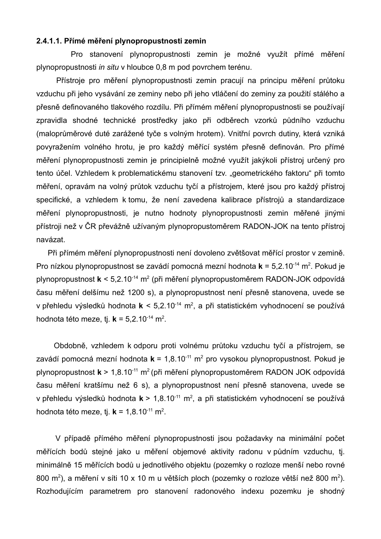### **2.4.1.1. Přímé měření plynopropustnosti zemin**

Pro stanovení plynopropustnosti zemin je možné využít přímé měření plynopropustnosti *in situ* v hloubce 0,8 m pod povrchem terénu.

Přístroje pro měření plynopropustnosti zemin pracují na principu měření průtoku vzduchu při jeho vysávání ze zeminy nebo při jeho vtláčení do zeminy za použití stálého a přesně definovaného tlakového rozdílu. Při přímém měření plynopropustnosti se používají zpravidla shodné technické prostředky jako při odběrech vzorků půdního vzduchu (maloprůměrové duté zarážené tyče s volným hrotem). Vnitřní povrch dutiny, která vzniká povyražením volného hrotu, je pro každý měřící systém přesně definován. Pro přímé měření plynopropustnosti zemin je principielně možné využít jakýkoli přístroj určený pro tento účel. Vzhledem k problematickému stanovení tzv. "geometrického faktoru" při tomto měření, opravám na volný průtok vzduchu tyčí a přístrojem, které jsou pro každý přístroj specifické, a vzhledem k tomu, že není zavedena kalibrace přístrojů a standardizace měření plynopropustnosti, je nutno hodnoty plynopropustnosti zemin měřené jinými přístroji než v ČR převážně užívaným plynopropustoměrem RADON-JOK na tento přístroj navázat.

Při přímém měření plynopropustnosti není dovoleno zvětšovat měřící prostor v zemině. Pro nízkou plynopropustnost se zavádí pomocná mezní hodnota **k** = 5,2.10<sup>-14</sup> m<sup>2</sup>. Pokud je plynopropustnost **k** < 5,2.10<sup>-14</sup> m<sup>2</sup> (při měření plynopropustoměrem RADON-JOK odpovídá času měření delšímu než 1200 s), a plynopropustnost není přesně stanovena, uvede se v přehledu výsledků hodnota **k** < 5,2.10<sup>-14</sup> m<sup>2</sup>, a při statistickém vyhodnocení se používá hodnota této meze, tj. **k** = 5,2.10<sup>-14</sup> m<sup>2</sup>.

Obdobně, vzhledem k odporu proti volnému průtoku vzduchu tyčí a přístrojem, se zavádí pomocná mezní hodnota **k** = 1,8.10 -11 m<sup>2</sup> pro vysokou plynopropustnost. Pokud je plynopropustnost **k** > 1,8.10<sup>-11</sup> m<sup>2</sup> (při měření plynopropustoměrem RADON JOK odpovídá času měření kratšímu než 6 s), a plynopropustnost není přesně stanovena, uvede se v přehledu výsledků hodnota k > 1,8.10<sup>-11</sup> m<sup>2</sup>, a při statistickém vyhodnocení se používá hodnota této meze, tj. **k** = 1,8.10<sup>-11</sup> m<sup>2</sup>.

V případě přímého měření plynopropustnosti jsou požadavky na minimální počet měřících bodů stejné jako u měření objemové aktivity radonu v půdním vzduchu, tj. minimálně 15 měřících bodů u jednotlivého objektu (pozemky o rozloze menší nebo rovné 800 m<sup>2</sup>), a měření v síti 10 x 10 m u větších ploch (pozemky o rozloze větší než 800 m<sup>2</sup>). Rozhodujícím parametrem pro stanovení radonového indexu pozemku je shodný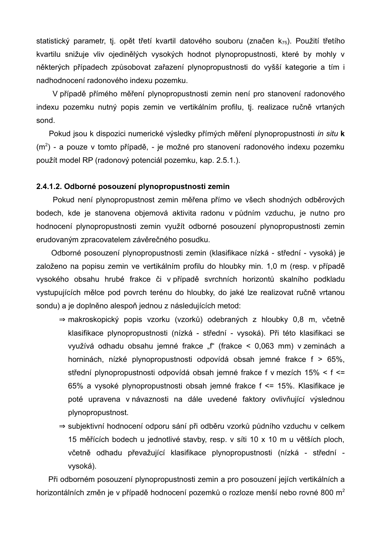statistický parametr, tj. opět třetí kvartil datového souboru (značen  $k_{75}$ ). Použití třetího kvartilu snižuje vliv ojedinělých vysokých hodnot plynopropustnosti, které by mohly v některých případech způsobovat zařazení plynopropustnosti do vyšší kategorie a tím i nadhodnocení radonového indexu pozemku.

V případě přímého měření plynopropustnosti zemin není pro stanovení radonového indexu pozemku nutný popis zemin ve vertikálním profilu, tj. realizace ručně vrtaných sond.

Pokud jsou k dispozici numerické výsledky přímých měření plynopropustnosti *in situ* **k**  $(m<sup>2</sup>)$  - a pouze v tomto případě, - je možné pro stanovení radonového indexu pozemku použít model RP (radonový potenciál pozemku, kap. 2.5.1.).

### **2.4.1.2. Odborné posouzení plynopropustnosti zemin**

Pokud není plynopropustnost zemin měřena přímo ve všech shodných odběrových bodech, kde je stanovena objemová aktivita radonu v půdním vzduchu, je nutno pro hodnocení plynopropustnosti zemin využít odborné posouzení plynopropustnosti zemin erudovaným zpracovatelem závěrečného posudku.

Odborné posouzení plynopropustnosti zemin (klasifikace nízká - střední - vysoká) je založeno na popisu zemin ve vertikálním profilu do hloubky min. 1,0 m (resp. v případě vysokého obsahu hrubé frakce či v případě svrchních horizontů skalního podkladu vystupujících mělce pod povrch terénu do hloubky, do jaké lze realizovat ručně vrtanou sondu) a je doplněno alespoň jednou z následujících metod:

- ⇒ makroskopický popis vzorku (vzorků) odebraných z hloubky 0,8 m, včetně klasifikace plynopropustnosti (nízká - střední - vysoká). Při této klasifikaci se využívá odhadu obsahu jemné frakce "f" (frakce < 0,063 mm) v zeminách a horninách, nízké plynopropustnosti odpovídá obsah jemné frakce f > 65%, střední plynopropustnosti odpovídá obsah jemné frakce f v mezích 15% < f <= 65% a vysoké plynopropustnosti obsah jemné frakce f <= 15%. Klasifikace je poté upravena v návaznosti na dále uvedené faktory ovlivňující výslednou plynopropustnost.
- ⇒ subjektivní hodnocení odporu sání při odběru vzorků půdního vzduchu v celkem 15 měřících bodech u jednotlivé stavby, resp. v síti 10 x 10 m u větších ploch, včetně odhadu převažující klasifikace plynopropustnosti (nízká - střední vysoká).

Při odborném posouzení plynopropustnosti zemin a pro posouzení jejích vertikálních a horizontálních změn je v případě hodnocení pozemků o rozloze menší nebo rovné 800 m<sup>2</sup>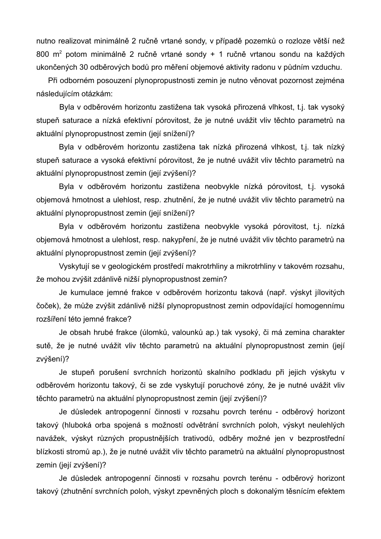nutno realizovat minimálně 2 ručně vrtané sondy, v případě pozemků o rozloze větší než 800 m<sup>2</sup> potom minimálně 2 ručně vrtané sondy + 1 ručně vrtanou sondu na každých ukončených 30 odběrových bodů pro měření objemové aktivity radonu v půdním vzduchu.

Při odborném posouzení plynopropustnosti zemin je nutno věnovat pozornost zejména následujícím otázkám:

Byla v odběrovém horizontu zastižena tak vysoká přirozená vlhkost, t.j. tak vysoký stupeň saturace a nízká efektivní pórovitost, že je nutné uvážit vliv těchto parametrů na aktuální plynopropustnost zemin (její snížení)?

Byla v odběrovém horizontu zastižena tak nízká přirozená vlhkost, t.j. tak nízký stupeň saturace a vysoká efektivní pórovitost, že je nutné uvážit vliv těchto parametrů na aktuální plynopropustnost zemin (její zvýšení)?

Byla v odběrovém horizontu zastižena neobvykle nízká pórovitost, t.j. vysoká objemová hmotnost a ulehlost, resp. zhutnění, že je nutné uvážit vliv těchto parametrů na aktuální plynopropustnost zemin (její snížení)?

Byla v odběrovém horizontu zastižena neobvykle vysoká pórovitost, t.j. nízká objemová hmotnost a ulehlost, resp. nakypření, že je nutné uvážit vliv těchto parametrů na aktuální plynopropustnost zemin (její zvýšení)?

Vyskytují se v geologickém prostředí makrotrhliny a mikrotrhliny v takovém rozsahu, že mohou zvýšit zdánlivě nižší plynopropustnost zemin?

Je kumulace jemné frakce v odběrovém horizontu taková (např. výskyt jílovitých čoček), že může zvýšit zdánlivě nižší plynopropustnost zemin odpovídající homogennímu rozšíření této jemné frakce?

Je obsah hrubé frakce (úlomků, valounků ap.) tak vysoký, či má zemina charakter sutě, že je nutné uvážit vliv těchto parametrů na aktuální plynopropustnost zemin (její zvýšení)?

Je stupeň porušení svrchních horizontů skalního podkladu při jejich výskytu v odběrovém horizontu takový, či se zde vyskytují poruchové zóny, že je nutné uvážit vliv těchto parametrů na aktuální plynopropustnost zemin (její zvýšení)?

Je důsledek antropogenní činnosti v rozsahu povrch terénu - odběrový horizont takový (hluboká orba spojená s možností odvětrání svrchních poloh, výskyt neulehlých navážek, výskyt různých propustnějších trativodů, odběry možné jen v bezprostřední blízkosti stromů ap.), že je nutné uvážit vliv těchto parametrů na aktuální plynopropustnost zemin (její zvýšení)?

Je důsledek antropogenní činnosti v rozsahu povrch terénu - odběrový horizont takový (zhutnění svrchních poloh, výskyt zpevněných ploch s dokonalým těsnícím efektem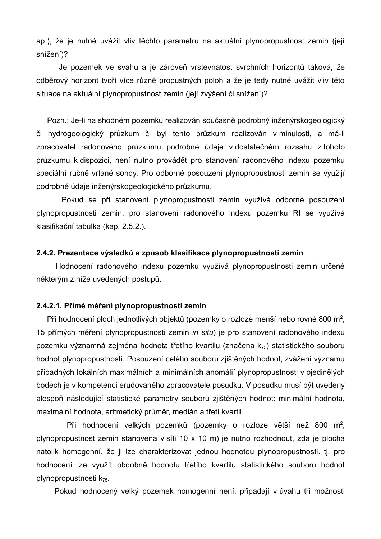ap.), že je nutné uvážit vliv těchto parametrů na aktuální plynopropustnost zemin (její snížení)?

Je pozemek ve svahu a je zároveň vrstevnatost svrchních horizontů taková, že odběrový horizont tvoří více různě propustných poloh a že je tedy nutné uvážit vliv této situace na aktuální plynopropustnost zemin (její zvýšení či snížení)?

Pozn.: Je-li na shodném pozemku realizován současně podrobný inženýrskogeologický či hydrogeologický průzkum či byl tento průzkum realizován v minulosti, a má-li zpracovatel radonového průzkumu podrobné údaje v dostatečném rozsahu z tohoto průzkumu k dispozici, není nutno provádět pro stanovení radonového indexu pozemku speciální ručně vrtané sondy. Pro odborné posouzení plynopropustnosti zemin se využijí podrobné údaje inženýrskogeologického průzkumu.

Pokud se při stanovení plynopropustnosti zemin využívá odborné posouzení plynopropustnosti zemin, pro stanovení radonového indexu pozemku RI se využívá klasifikační tabulka (kap. 2.5.2.).

#### **2.4.2. Prezentace výsledků a způsob klasifikace plynopropustnosti zemin**

Hodnocení radonového indexu pozemku využívá plynopropustnosti zemin určené některým z níže uvedených postupů.

### **2.4.2.1. Přímé měření plynopropustnosti zemin**

Při hodnocení ploch jednotlivých objektů (pozemky o rozloze menší nebo rovné 800 m<sup>2</sup>, 15 přímých měření plynopropustnosti zemin *in situ*) je pro stanovení radonového indexu pozemku významná zejména hodnota třetího kvartilu (značena k<sub>75</sub>) statistického souboru hodnot plynopropustnosti. Posouzení celého souboru zjištěných hodnot, zvážení významu případných lokálních maximálních a minimálních anomálií plynopropustnosti v ojedinělých bodech je v kompetenci erudovaného zpracovatele posudku. V posudku musí být uvedeny alespoň následující statistické parametry souboru zjištěných hodnot: minimální hodnota, maximální hodnota, aritmetický průměr, medián a třetí kvartil.

Při hodnocení velkých pozemků (pozemky o rozloze větší než 800 m<sup>2</sup>, plynopropustnost zemin stanovena v síti 10 x 10 m) je nutno rozhodnout, zda je plocha natolik homogenní, že ji lze charakterizovat jednou hodnotou plynopropustnosti. tj. pro hodnocení lze využít obdobně hodnotu třetího kvartilu statistického souboru hodnot plynopropustnosti k<sub>75</sub>.

Pokud hodnocený velký pozemek homogenní není, připadají v úvahu tři možnosti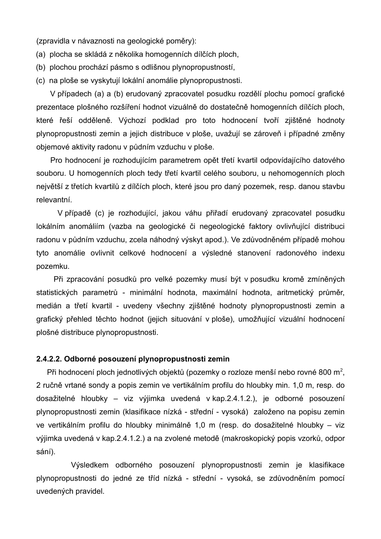(zpravidla v návaznosti na geologické poměry):

- (a) plocha se skládá z několika homogenních dílčích ploch,
- (b) plochou prochází pásmo s odlišnou plynopropustností,
- (c) na ploše se vyskytují lokální anomálie plynopropustnosti.

V případech (a) a (b) erudovaný zpracovatel posudku rozdělí plochu pomocí grafické prezentace plošného rozšíření hodnot vizuálně do dostatečně homogenních dílčích ploch, které řeší odděleně. Výchozí podklad pro toto hodnocení tvoří zjištěné hodnoty plynopropustnosti zemin a jejich distribuce v ploše, uvažují se zároveň i případné změny objemové aktivity radonu v půdním vzduchu v ploše.

Pro hodnocení je rozhodujícím parametrem opět třetí kvartil odpovídajícího datového souboru. U homogenních ploch tedy třetí kvartil celého souboru, u nehomogenních ploch největší z třetích kvartilů z dílčích ploch, které jsou pro daný pozemek, resp. danou stavbu relevantní.

V případě (c) je rozhodující, jakou váhu přiřadí erudovaný zpracovatel posudku lokálním anomáliím (vazba na geologické či negeologické faktory ovlivňující distribuci radonu v půdním vzduchu, zcela náhodný výskyt apod.). Ve zdůvodněném případě mohou tyto anomálie ovlivnit celkové hodnocení a výsledné stanovení radonového indexu pozemku.

Při zpracování posudků pro velké pozemky musí být v posudku kromě zmíněných statistických parametrů - minimální hodnota, maximální hodnota, aritmetický průměr, medián a třetí kvartil - uvedeny všechny zjištěné hodnoty plynopropustnosti zemin a grafický přehled těchto hodnot (jejich situování v ploše), umožňující vizuální hodnocení plošné distribuce plynopropustnosti.

#### **2.4.2.2. Odborné posouzení plynopropustnosti zemin**

Při hodnocení ploch jednotlivých objektů (pozemky o rozloze menší nebo rovné 800 m<sup>2</sup>, 2 ručně vrtané sondy a popis zemin ve vertikálním profilu do hloubky min. 1,0 m, resp. do dosažitelné hloubky – viz výjimka uvedená v kap.2.4.1.2.), je odborné posouzení plynopropustnosti zemin (klasifikace nízká - střední - vysoká) založeno na popisu zemin ve vertikálním profilu do hloubky minimálně 1,0 m (resp. do dosažitelné hloubky – viz výjimka uvedená v kap.2.4.1.2.) a na zvolené metodě (makroskopický popis vzorků, odpor sání).

Výsledkem odborného posouzení plynopropustnosti zemin je klasifikace plynopropustnosti do jedné ze tříd nízká - střední - vysoká, se zdůvodněním pomocí uvedených pravidel.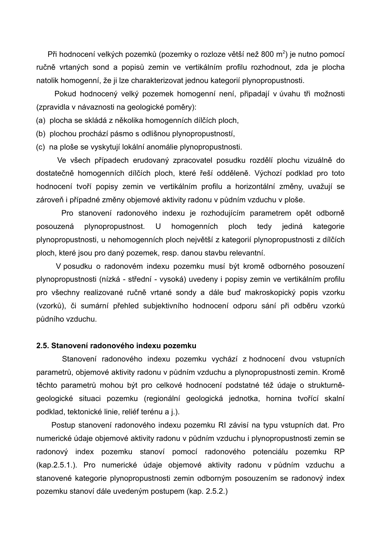Při hodnocení velkých pozemků (pozemky o rozloze větší než 800 m<sup>2</sup>) je nutno pomocí ručně vrtaných sond a popisů zemin ve vertikálním profilu rozhodnout, zda je plocha natolik homogenní, že ji lze charakterizovat jednou kategorií plynopropustnosti.

Pokud hodnocený velký pozemek homogenní není, připadají v úvahu tři možnosti (zpravidla v návaznosti na geologické poměry):

(a) plocha se skládá z několika homogenních dílčích ploch,

(b) plochou prochází pásmo s odlišnou plynopropustností,

(c) na ploše se vyskytují lokální anomálie plynopropustnosti.

Ve všech případech erudovaný zpracovatel posudku rozdělí plochu vizuálně do dostatečně homogenních dílčích ploch, které řeší odděleně. Výchozí podklad pro toto hodnocení tvoří popisy zemin ve vertikálním profilu a horizontální změny, uvažují se zároveň i případné změny objemové aktivity radonu v půdním vzduchu v ploše.

Pro stanovení radonového indexu je rozhodujícím parametrem opět odborně posouzená plynopropustnost. U homogenních ploch tedy jediná kategorie plynopropustnosti, u nehomogenních ploch největší z kategorií plynopropustnosti z dílčích ploch, které jsou pro daný pozemek, resp. danou stavbu relevantní.

V posudku o radonovém indexu pozemku musí být kromě odborného posouzení plynopropustnosti (nízká - střední - vysoká) uvedeny i popisy zemin ve vertikálním profilu pro všechny realizované ručně vrtané sondy a dále buď makroskopický popis vzorku (vzorků), či sumární přehled subjektivního hodnocení odporu sání při odběru vzorků půdního vzduchu.

#### **2.5. Stanovení radonového indexu pozemku**

Stanovení radonového indexu pozemku vychází z hodnocení dvou vstupních parametrů, objemové aktivity radonu v půdním vzduchu a plynopropustnosti zemin. Kromě těchto parametrů mohou být pro celkové hodnocení podstatné též údaje o strukturněgeologické situaci pozemku (regionální geologická jednotka, hornina tvořící skalní podklad, tektonické linie, reliéf terénu a j.).

Postup stanovení radonového indexu pozemku RI závisí na typu vstupních dat. Pro numerické údaje objemové aktivity radonu v půdním vzduchu i plynopropustnosti zemin se radonový index pozemku stanoví pomocí radonového potenciálu pozemku RP (kap.2.5.1.). Pro numerické údaje objemové aktivity radonu v půdním vzduchu a stanovené kategorie plynopropustnosti zemin odborným posouzením se radonový index pozemku stanoví dále uvedeným postupem (kap. 2.5.2.)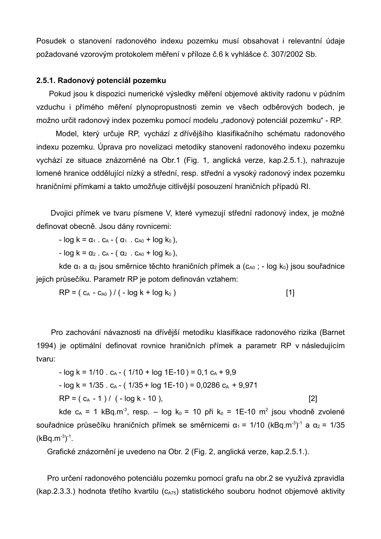Posudek o stanovení radonového indexu pozemku musí obsahovat i relevantní údaje požadované vzorovým protokolem měření v příloze č.6 k vyhlášce č. 307/2002 Sb.

### **2.5.1. Radonový potenciál pozemku**

Pokud jsou k dispozici numerické výsledky měření objemové aktivity radonu v půdním vzduchu i přímého měření plynopropustnosti zemin ve všech odběrových bodech, je možno určit radonový index pozemku pomocí modelu "radonový potenciál pozemku" - RP.

Model, který určuje RP, vychází z dřívějšího klasifikačního schématu radonového indexu pozemku. Úprava pro novelizaci metodiky stanovení radonového indexu pozemku vychází ze situace znázorněné na Obr.1 (Fig. 1, anglická verze, kap.2.5.1.), nahrazuje lomené hranice oddělující nízký a střední, resp. střední a vysoký radonový index pozemku hraničními přímkami a takto umožňuje citlivější posouzení hraničních případů RI.

Dvojici přímek ve tvaru písmene V, které vymezují střední radonový index, je možné definovat obecně. Jsou dány rovnicemi:

 $-$  log k =  $\alpha_1$  .  $c_A$  - ( $\alpha_1$  .  $c_{A0}$  + log k<sub>0</sub>),

 $-$  log k =  $\alpha_2$  .  $c_A$  - ( $\alpha_2$  .  $c_{A0}$  + log k<sub>0</sub>),

kde  $\alpha_1$  a  $\alpha_2$  jsou směrnice těchto hraničních přímek a (c<sub>A0</sub> ; - log k<sub>0</sub>) jsou souřadnice jejich průsečíku. Parametr RP je potom definován vztahem:

$$
RP = (c_A - c_{A0}) / (-\log k + \log k_0)
$$
 [1]

Pro zachování návaznosti na dřívější metodiku klasifikace radonového rizika (Barnet 1994) je optimální definovat rovnice hraničních přímek a parametr RP v následujícím tvaru:

- log k = 1/10 . c<sup>A</sup> - ( 1/10 + log 1E-10 ) = 0,1 c<sup>A</sup> + 9,9 - log k = 1/35 . c<sup>A</sup> - ( 1/35 + log 1E-10 ) = 0,0286 c<sup>A</sup> + 9,971 RP = ( c<sup>A</sup> - 1 ) / ( - log k - 10 ), [2]

kde  $c_A$  = 1 kBq.m<sup>-3</sup>, resp. – log k<sub>0</sub> = 10 při k<sub>0</sub> = 1E-10 m<sup>2</sup> jsou vhodně zvolené souřadnice průsečíku hraničních přímek se směrnicemi α<sub>1</sub> = 1/10 (kBq.m<sup>-3</sup>)<sup>-1</sup> a α<sub>2</sub> = 1/35  $(kBq.m^{-3})^{-1}$ .

Grafické znázornění je uvedeno na Obr. 2 (Fig. 2, anglická verze, kap.2.5.1.).

Pro určení radonového potenciálu pozemku pomocí grafu na obr.2 se využívá zpravidla (kap.2.3.3.) hodnota třetího kvartilu ( $c_{A75}$ ) statistického souboru hodnot objemové aktivity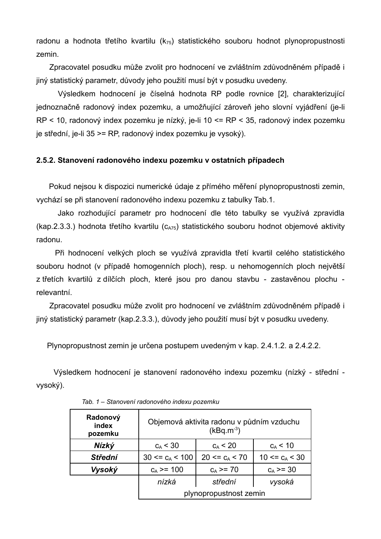radonu a hodnota třetího kvartilu  $(k_{75})$  statistického souboru hodnot plynopropustnosti zemin.

Zpracovatel posudku může zvolit pro hodnocení ve zvláštním zdůvodněném případě i jiný statistický parametr, důvody jeho použití musí být v posudku uvedeny.

Výsledkem hodnocení je číselná hodnota RP podle rovnice [2], charakterizující jednoznačně radonový index pozemku, a umožňující zároveň jeho slovní vyjádření (je-li RP < 10, radonový index pozemku je nízký, je-li 10 <= RP < 35, radonový index pozemku je střední, je-li 35 >= RP, radonový index pozemku je vysoký).

### **2.5.2. Stanovení radonového indexu pozemku v ostatních případech**

Pokud nejsou k dispozici numerické údaje z přímého měření plynopropustnosti zemin, vychází se při stanovení radonového indexu pozemku z tabulky Tab.1.

Jako rozhodující parametr pro hodnocení dle této tabulky se využívá zpravidla (kap.2.3.3.) hodnota třetího kvartilu ( $c_{A75}$ ) statistického souboru hodnot objemové aktivity radonu.

Při hodnocení velkých ploch se využívá zpravidla třetí kvartil celého statistického souboru hodnot (v případě homogenních ploch), resp. u nehomogenních ploch největší z třetích kvartilů z dílčích ploch, které jsou pro danou stavbu - zastavěnou plochu relevantní.

Zpracovatel posudku může zvolit pro hodnocení ve zvláštním zdůvodněném případě i jiný statistický parametr (kap.2.3.3.), důvody jeho použití musí být v posudku uvedeny.

Plynopropustnost zemin je určena postupem uvedeným v kap. 2.4.1.2. a 2.4.2.2.

Výsledkem hodnocení je stanovení radonového indexu pozemku (nízký - střední vysoký).

| Radonový<br>index<br>pozemku | Objemová aktivita radonu v půdním vzduchu<br>$(kBq.m^{-3})$ |                       |                  |  |  |  |  |  |
|------------------------------|-------------------------------------------------------------|-----------------------|------------------|--|--|--|--|--|
| Nízký                        | $c_A < 30$                                                  | $c_A < 20$            | $c_A$ < 10       |  |  |  |  |  |
| <b>Střední</b>               | $30 \leq c_A \leq 100$                                      | $20 \leq c_A \leq 70$ | 10 <= $c_A$ < 30 |  |  |  |  |  |
| Vysoký                       | $c_A$ >= 100                                                | $c_A \geq 70$         | $c_A \ge 30$     |  |  |  |  |  |
|                              | nízká                                                       | střední               | vysoká           |  |  |  |  |  |
|                              | plynopropustnost zemin                                      |                       |                  |  |  |  |  |  |

*Tab. 1 – Stanovení radonového indexu pozemku*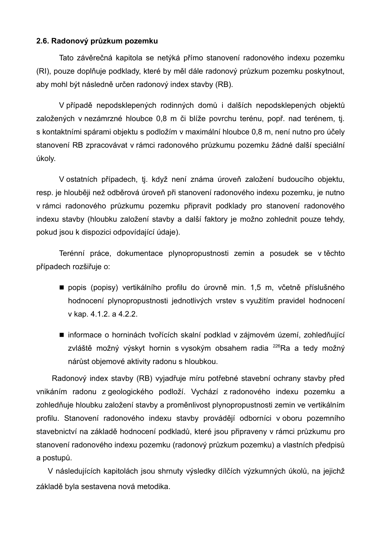### **2.6. Radonový průzkum pozemku**

Tato závěrečná kapitola se netýká přímo stanovení radonového indexu pozemku (RI), pouze doplňuje podklady, které by měl dále radonový průzkum pozemku poskytnout, aby mohl být následně určen radonový index stavby (RB).

V případě nepodsklepených rodinných domů i dalších nepodsklepených objektů založených v nezámrzné hloubce 0,8 m či blíže povrchu terénu, popř. nad terénem, tj. s kontaktními spárami objektu s podložím v maximální hloubce 0,8 m, není nutno pro účely stanovení RB zpracovávat v rámci radonového průzkumu pozemku žádné další speciální úkoly.

V ostatních případech, tj. když není známa úroveň založení budoucího objektu, resp. je hlouběji než odběrová úroveň při stanovení radonového indexu pozemku, je nutno v rámci radonového průzkumu pozemku připravit podklady pro stanovení radonového indexu stavby (hloubku založení stavby a další faktory je možno zohlednit pouze tehdy, pokud jsou k dispozici odpovídající údaje).

Terénní práce, dokumentace plynopropustnosti zemin a posudek se v těchto případech rozšiřuje o:

- popis (popisy) vertikálního profilu do úrovně min. 1,5 m, včetně příslušného hodnocení plynopropustnosti jednotlivých vrstev s využitím pravidel hodnocení v kap. 4.1.2. a 4.2.2.
- informace o horninách tvořících skalní podklad v zájmovém území, zohledňující zvláště možný výskyt hornin s vysokým obsahem radia <sup>226</sup>Ra a tedy možný nárůst objemové aktivity radonu s hloubkou.

Radonový index stavby (RB) vyjadřuje míru potřebné stavební ochrany stavby před vnikáním radonu z geologického podloží. Vychází z radonového indexu pozemku a zohledňuje hloubku založení stavby a proměnlivost plynopropustnosti zemin ve vertikálním profilu. Stanovení radonového indexu stavby provádějí odborníci v oboru pozemního stavebnictví na základě hodnocení podkladů, které jsou připraveny v rámci průzkumu pro stanovení radonového indexu pozemku (radonový průzkum pozemku) a vlastních předpisů a postupů.

V následujících kapitolách jsou shrnuty výsledky dílčích výzkumných úkolů, na jejichž základě byla sestavena nová metodika.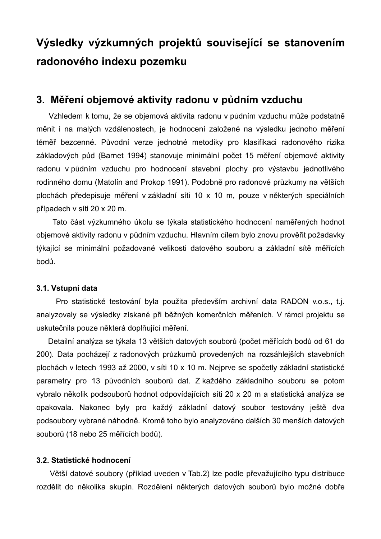# **Výsledky výzkumných projektů související se stanovením radonového indexu pozemku**

### **3. Měření objemové aktivity radonu v půdním vzduchu**

Vzhledem k tomu, že se objemová aktivita radonu v půdním vzduchu může podstatně měnit i na malých vzdálenostech, je hodnocení založené na výsledku jednoho měření téměř bezcenné. Původní verze jednotné metodiky pro klasifikaci radonového rizika základových půd (Barnet 1994) stanovuje minimální počet 15 měření objemové aktivity radonu v půdním vzduchu pro hodnocení stavební plochy pro výstavbu jednotlivého rodinného domu (Matolín and Prokop 1991). Podobně pro radonové průzkumy na větších plochách předepisuje měření v základní síti 10 x 10 m, pouze v některých speciálních případech v síti 20 x 20 m.

Tato část výzkumného úkolu se týkala statistického hodnocení naměřených hodnot objemové aktivity radonu v půdním vzduchu. Hlavním cílem bylo znovu prověřit požadavky týkající se minimální požadované velikosti datového souboru a základní sítě měřících bodů.

### **3.1. Vstupní data**

Pro statistické testování byla použita především archivní data RADON v.o.s., t.j. analyzovaly se výsledky získané při běžných komerčních měřeních. V rámci projektu se uskutečnila pouze některá doplňující měření.

Detailní analýza se týkala 13 větších datových souborů (počet měřících bodů od 61 do 200). Data pocházejí z radonových průzkumů provedených na rozsáhlejších stavebních plochách v letech 1993 až 2000, v síti 10 x 10 m. Nejprve se spočetly základní statistické parametry pro 13 původních souborů dat. Z každého základního souboru se potom vybralo několik podsouborů hodnot odpovídajících síti 20 x 20 m a statistická analýza se opakovala. Nakonec byly pro každý základní datový soubor testovány ještě dva podsoubory vybrané náhodně. Kromě toho bylo analyzováno dalších 30 menších datových souborů (18 nebo 25 měřících bodů).

### **3.2. Statistické hodnocení**

Větší datové soubory (příklad uveden v Tab.2) lze podle převažujícího typu distribuce rozdělit do několika skupin. Rozdělení některých datových souborů bylo možné dobře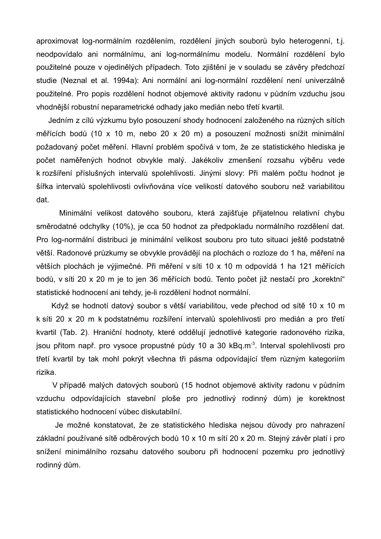aproximovat log-normálním rozdělením, rozdělení jiných souborů bylo heterogenní, t.j. neodpovídalo ani normálnímu, ani log-normálnímu modelu. Normální rozdělení bylo použitelné pouze v ojedinělých případech. Toto zjištění je v souladu se závěry předchozí studie (Neznal et al. 1994a): Ani normální ani log-normální rozdělení není univerzálně použitelné. Pro popis rozdělení hodnot objemové aktivity radonu v půdním vzduchu jsou vhodnější robustní neparametrické odhady jako medián nebo třetí kvartil.

Jedním z cílů výzkumu bylo posouzení shody hodnocení založeného na různých sítích měřících bodů (10 x 10 m, nebo 20 x 20 m) a posouzení možnosti snížit minimální požadovaný počet měření. Hlavní problém spočívá v tom, že ze statistického hlediska je počet naměřených hodnot obvykle malý. Jakékoliv zmenšení rozsahu výběru vede k rozšíření příslušných intervalů spolehlivosti. Jinými slovy: Při malém počtu hodnot je šířka intervalů spolehlivosti ovlivňována více velikostí datového souboru než variabilitou dat.

Minimální velikost datového souboru, která zajišťuje přijatelnou relativní chybu směrodatné odchylky (10%), je cca 50 hodnot za předpokladu normálního rozdělení dat. Pro log-normální distribuci je minimální velikost souboru pro tuto situaci ještě podstatně větší. Radonové průzkumy se obvykle provádějí na plochách o rozloze do 1 ha, měření na větších plochách je výjimečné. Při měření v síti 10 x 10 m odpovídá 1 ha 121 měřících bodů, v síti 20 x 20 m je to jen 36 měřících bodů. Tento počet již nestačí pro "korektní" statistické hodnocení ani tehdy, je-li rozdělení hodnot normální.

Když se hodnotí datový soubor s větší variabilitou, vede přechod od sítě 10 x 10 m k síti 20 x 20 m k podstatnému rozšíření intervalů spolehlivosti pro medián a pro třetí kvartil (Tab. 2). Hraniční hodnoty, které oddělují jednotlivé kategorie radonového rizika, jsou přitom např. pro vysoce propustné půdy 10 a 30 kBq.m<sup>-3</sup>. Interval spolehlivosti pro třetí kvartil by tak mohl pokrýt všechna tři pásma odpovídající třem různým kategoriím rizika.

V případě malých datových souborů (15 hodnot objemové aktivity radonu v půdním vzduchu odpovídajících stavební ploše pro jednotlivý rodinný dům) je korektnost statistického hodnocení vůbec diskutabilní.

Je možné konstatovat, že ze statistického hlediska nejsou důvody pro nahrazení základní používané sítě odběrových bodů 10 x 10 m sítí 20 x 20 m. Stejný závěr platí i pro snížení minimálního rozsahu datového souboru při hodnocení pozemku pro jednotlivý rodinný dům.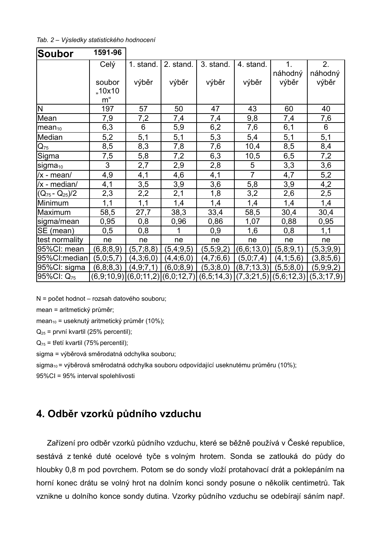*Tab. 2 – Výsledky statistického hodnocení*

| <b>Soubor</b>          | 1591-96        |                           |            |            |                |                           |            |
|------------------------|----------------|---------------------------|------------|------------|----------------|---------------------------|------------|
|                        | Celý           | 1. stand.                 | 2. stand.  | 3. stand.  | 4. stand.      | $\mathbf 1$ .             | 2.         |
|                        |                |                           |            |            |                | náhodný                   | náhodný    |
|                        | soubor         | výběr                     | výběr      | výběr      | výběr          | výběr                     | výběr      |
|                        | "10x10         |                           |            |            |                |                           |            |
|                        | m"             |                           |            |            |                |                           |            |
| N                      | 197            | 57                        | 50         | 47         | 43             | 60                        | 40         |
| Mean                   | 7,9            | 7,2                       | 7,4        | 7,4        | 9,8            | 7,4                       | 7,6        |
| $mean_{10}$            | 6,3            | 6                         | 5,9        | 6,2        | 7,6            | 6,1                       | 6          |
| Median                 | 5,2            | 5,1                       | 5,1        | 5,3        | 5,4            | 5,1                       | 5,1        |
| $\mathsf{Q}_{75}$      | 8,5            | 8,3                       | 7,8        | 7,6        | 10,4           | 8,5                       | 8,4        |
| Sigma                  | 7,5            | 5,8                       | 7,2        | 6,3        | 10,5           | 6,5                       | 7,2        |
| sigma <sub>10</sub>    | $\overline{3}$ | 2,7                       | 2,9        | 2,8        | 5              | 3,3                       | 3,6        |
| /x - mean/             | 4,9            | 4,1                       | 4,6        | 4,1        | $\overline{7}$ | 4,7                       | 5,2        |
| /x - median/           | 4,1            | 3,5                       | 3,9        | 3,6        | 5,8            | 3,9                       | 4,2        |
| $(Q_{75} - Q_{25})/2$  | 2,3            | 2,2                       | 2,1        | 1,8        | 3,2            | 2,6                       | 2,5        |
| Minimum                | 1,1            | 1,1                       | 1,4        | 1,4        | 1,4            | 1,4                       | 1,4        |
| Maximum                | 58,5           | 27,7                      | 38,3       | 33,4       | 58,5           | 30,4                      | 30,4       |
| sigma/mean             | 0,95           | 0,8                       | 0,96       | 0,86       | 1,07           | 0,88                      | 0,95       |
| SE (mean)              | 0,5            | 0,8                       | 1          | 0,9        | 1,6            | 0,8                       | 1,1        |
| test normality         | ne             | ne                        | ne         | ne         | ne             | ne                        | ne         |
| 95%CI: mean            | (6,8;8,9)      | (5,7,8,8)                 | (5,4,9,5)  | (5,5,9,2)  | (6,6;13,0)     | (5,8,9,1)                 | (5,3,9,9)  |
| 95%Cl:median           | (5,0;5,7)      | (4,3;6,0)                 | (4,4,6,0)  | (4,7,6,6)  | (5,0,7,4)      | (4,1;5,6)                 | (3,8,5,6)  |
| 95%CI: sigma           | (6, 8, 8, 3)   | (4, 9, 7, 1)              | (6,0;8,9)  | (5,3;8,0)  | (8,7;13,3)     | (5,5,8,0)                 | (5,9,9,2)  |
| 95%CI: Q <sub>75</sub> |                | $(6,9,10,9)$ $(6,0,11,2)$ | (6,0;12,7) | (6,5;14,3) |                | $(7,3;21,5)$ $(5,6;12,3)$ | (5,3;17,9) |

N = počet hodnot – rozsah datového souboru;

mean = aritmetický průměr;

mean<sub>10</sub> = useknutý aritmetický průměr (10%);

 $Q_{25}$  = první kvartil (25% percentil);

 $Q_{75}$  = třetí kvartil (75% percentil);

sigma = výběrová směrodatná odchylka souboru;

sigma<sub>10</sub> = výběrová směrodatná odchylka souboru odpovídající useknutému průměru (10%);

95%CI = 95% interval spolehlivosti

## **4. Odběr vzorků půdního vzduchu**

Zařízení pro odběr vzorků půdního vzduchu, které se běžně používá v České republice, sestává z tenké duté ocelové tyče s volným hrotem. Sonda se zatlouká do půdy do hloubky 0,8 m pod povrchem. Potom se do sondy vloží protahovací drát a poklepáním na horní konec drátu se volný hrot na dolním konci sondy posune o několik centimetrů. Tak vznikne u dolního konce sondy dutina. Vzorky půdního vzduchu se odebírají sáním např.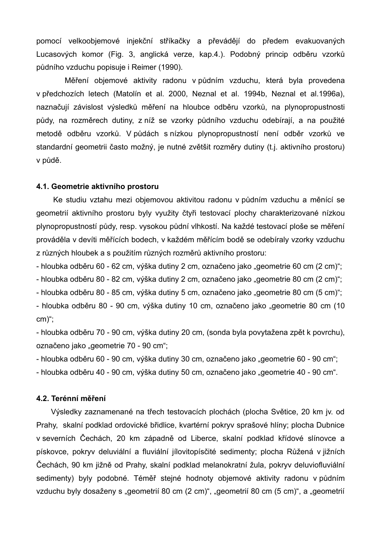pomocí velkoobjemové injekční stříkačky a převádějí do předem evakuovaných Lucasových komor (Fig. 3, anglická verze, kap.4.). Podobný princip odběru vzorků půdního vzduchu popisuje i Reimer (1990).

Měření objemové aktivity radonu v půdním vzduchu, která byla provedena v předchozích letech (Matolín et al. 2000, Neznal et al. 1994b, Neznal et al.1996a), naznačují závislost výsledků měření na hloubce odběru vzorků, na plynopropustnosti půdy, na rozměrech dutiny, z níž se vzorky půdního vzduchu odebírají, a na použité metodě odběru vzorků. V půdách s nízkou plynopropustností není odběr vzorků ve standardní geometrii často možný, je nutné zvětšit rozměry dutiny (t.j. aktivního prostoru) v půdě.

#### **4.1. Geometrie aktivního prostoru**

Ke studiu vztahu mezi objemovou aktivitou radonu v půdním vzduchu a měnící se geometrií aktivního prostoru byly využity čtyři testovací plochy charakterizované nízkou plynopropustností půdy, resp. vysokou půdní vlhkostí. Na každé testovací ploše se měření prováděla v devíti měřících bodech, v každém měřícím bodě se odebíraly vzorky vzduchu z různých hloubek a s použitím různých rozměrů aktivního prostoru:

- hloubka odběru 60 - 62 cm, výška dutiny 2 cm, označeno jako "geometrie 60 cm (2 cm)";

- hloubka odběru 80 - 82 cm, výška dutiny 2 cm, označeno jako "geometrie 80 cm (2 cm)";

- hloubka odběru 80 - 85 cm, výška dutiny 5 cm, označeno jako "geometrie 80 cm (5 cm)";

- hloubka odběru 80 - 90 cm, výška dutiny 10 cm, označeno jako "geometrie 80 cm (10 cm)";

- hloubka odběru 70 - 90 cm, výška dutiny 20 cm, (sonda byla povytažena zpět k povrchu), označeno jako "geometrie 70 - 90 cm";

- hloubka odběru 60 - 90 cm, výška dutiny 30 cm, označeno jako "geometrie 60 - 90 cm";

- hloubka odběru 40 - 90 cm, výška dutiny 50 cm, označeno jako "geometrie 40 - 90 cm".

### **4.2. Terénní měření**

Výsledky zaznamenané na třech testovacích plochách (plocha Světice, 20 km jv. od Prahy, skalní podklad ordovické břidlice, kvartérní pokryv sprašové hlíny; plocha Dubnice v severních Čechách, 20 km západně od Liberce, skalní podklad křídové slínovce a pískovce, pokryv deluviální a fluviální jílovitopísčité sedimenty; plocha Růžená v jižních Čechách, 90 km jižně od Prahy, skalní podklad melanokratní žula, pokryv deluviofluviální sedimenty) byly podobné. Téměř stejné hodnoty objemové aktivity radonu v půdním vzduchu byly dosaženy s "geometrií 80 cm (2 cm)", "geometrií 80 cm (5 cm)", a "geometrií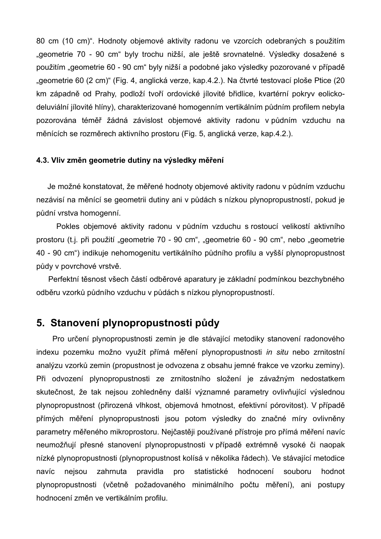80 cm (10 cm)". Hodnoty objemové aktivity radonu ve vzorcích odebraných s použitím "geometrie 70 - 90 cm" byly trochu nižší, ale ještě srovnatelné. Výsledky dosažené s použitím "geometrie 60 - 90 cm" byly nižší a podobné jako výsledky pozorované v případě "geometrie 60 (2 cm)" (Fig. 4, anglická verze, kap. 4.2.). Na čtvrté testovací ploše Ptice (20 km západně od Prahy, podloží tvoří ordovické jílovité břidlice, kvartérní pokryv eolickodeluviální jílovité hlíny), charakterizované homogenním vertikálním půdním profilem nebyla pozorována téměř žádná závislost objemové aktivity radonu v půdním vzduchu na měnících se rozměrech aktivního prostoru (Fig. 5, anglická verze, kap.4.2.).

#### **4.3. Vliv změn geometrie dutiny na výsledky měření**

Je možné konstatovat, že měřené hodnoty objemové aktivity radonu v půdním vzduchu nezávisí na měnící se geometrii dutiny ani v půdách s nízkou plynopropustností, pokud je půdní vrstva homogenní.

Pokles objemové aktivity radonu v půdním vzduchu s rostoucí velikostí aktivního prostoru (t.j. při použití "geometrie 70 - 90 cm", "geometrie 60 - 90 cm", nebo "geometrie 40 - 90 cm") indikuje nehomogenitu vertikálního půdního profilu a vyšší plynopropustnost půdy v povrchové vrstvě.

Perfektní těsnost všech částí odběrové aparatury je základní podmínkou bezchybného odběru vzorků půdního vzduchu v půdách s nízkou plynopropustností.

## **5. Stanovení plynopropustnosti půdy**

Pro určení plynopropustnosti zemin je dle stávající metodiky stanovení radonového indexu pozemku možno využít přímá měření plynopropustnosti *in situ* nebo zrnitostní analýzu vzorků zemin (propustnost je odvozena z obsahu jemné frakce ve vzorku zeminy). Při odvození plynopropustnosti ze zrnitostního složení je závažným nedostatkem skutečnost, že tak nejsou zohledněny další významné parametry ovlivňující výslednou plynopropustnost (přirozená vlhkost, objemová hmotnost, efektivní pórovitost). V případě přímých měření plynopropustnosti jsou potom výsledky do značné míry ovlivněny parametry měřeného mikroprostoru. Nejčastěji používané přístroje pro přímá měření navíc neumožňují přesné stanovení plynopropustnosti v případě extrémně vysoké či naopak nízké plynopropustnosti (plynopropustnost kolísá v několika řádech). Ve stávající metodice navíc nejsou zahrnuta pravidla pro statistické hodnocení souboru hodnot plynopropustnosti (včetně požadovaného minimálního počtu měření), ani postupy hodnocení změn ve vertikálním profilu.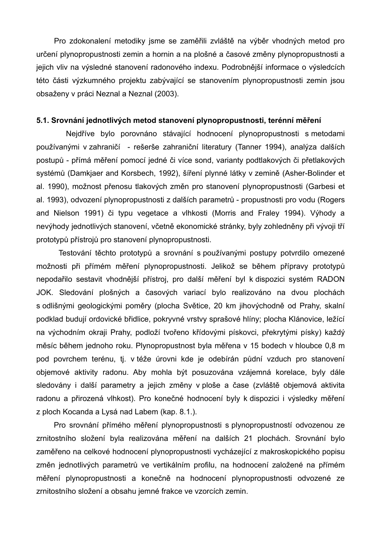Pro zdokonalení metodiky jsme se zaměřili zvláště na výběr vhodných metod pro určení plynopropustnosti zemin a hornin a na plošné a časové změny plynopropustnosti a jejich vliv na výsledné stanovení radonového indexu. Podrobnější informace o výsledcích této části výzkumného projektu zabývající se stanovením plynopropustnosti zemin jsou obsaženy v práci Neznal a Neznal (2003).

#### **5.1. Srovnání jednotlivých metod stanovení plynopropustnosti, terénní měření**

Nejdříve bylo porovnáno stávající hodnocení plynopropustnosti s metodami používanými v zahraničí - rešerše zahraniční literatury (Tanner 1994), analýza dalších postupů - přímá měření pomocí jedné či více sond, varianty podtlakových či přetlakových systémů (Damkjaer and Korsbech, 1992), šíření plynné látky v zemině (Asher-Bolinder et al. 1990), možnost přenosu tlakových změn pro stanovení plynopropustnosti (Garbesi et al. 1993), odvození plynopropustnosti z dalších parametrů - propustnosti pro vodu (Rogers and Nielson 1991) či typu vegetace a vlhkosti (Morris and Fraley 1994). Výhody a nevýhody jednotlivých stanovení, včetně ekonomické stránky, byly zohledněny při vývoji tří prototypů přístrojů pro stanovení plynopropustnosti.

Testování těchto prototypů a srovnání s používanými postupy potvrdilo omezené možnosti při přímém měření plynopropustnosti. Jelikož se během přípravy prototypů nepodařilo sestavit vhodnější přístroj, pro další měření byl k dispozici systém RADON JOK. Sledování plošných a časových variací bylo realizováno na dvou plochách s odlišnými geologickými poměry (plocha Světice, 20 km jihovýchodně od Prahy, skalní podklad budují ordovické břidlice, pokryvné vrstvy sprašové hlíny; plocha Klánovice, ležící na východním okraji Prahy, podloží tvořeno křídovými pískovci, překrytými písky) každý měsíc během jednoho roku. Plynopropustnost byla měřena v 15 bodech v hloubce 0,8 m pod povrchem terénu, tj. v téže úrovni kde je odebírán půdní vzduch pro stanovení objemové aktivity radonu. Aby mohla být posuzována vzájemná korelace, byly dále sledovány i další parametry a jejich změny v ploše a čase (zvláště objemová aktivita radonu a přirozená vlhkost). Pro konečné hodnocení byly k dispozici i výsledky měření z ploch Kocanda a Lysá nad Labem (kap. 8.1.).

Pro srovnání přímého měření plynopropustnosti s plynopropustností odvozenou ze zrnitostního složení byla realizována měření na dalších 21 plochách. Srovnání bylo zaměřeno na celkové hodnocení plynopropustnosti vycházející z makroskopického popisu změn jednotlivých parametrů ve vertikálním profilu, na hodnocení založené na přímém měření plynopropustnosti a konečně na hodnocení plynopropustnosti odvozené ze zrnitostního složení a obsahu jemné frakce ve vzorcích zemin.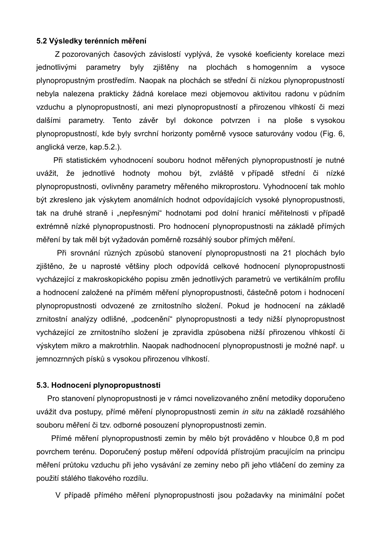#### **5.2 Výsledky terénních měření**

Z pozorovaných časových závislostí vyplývá, že vysoké koeficienty korelace mezi jednotlivými parametry byly zjištěny na plochách s homogenním a vysoce plynopropustným prostředím. Naopak na plochách se střední či nízkou plynopropustností nebyla nalezena prakticky žádná korelace mezi objemovou aktivitou radonu v půdním vzduchu a plynopropustností, ani mezi plynopropustností a přirozenou vlhkostí či mezi dalšími parametry. Tento závěr byl dokonce potvrzen i na ploše s vysokou plynopropustností, kde byly svrchní horizonty poměrně vysoce saturovány vodou (Fig. 6, anglická verze, kap.5.2.).

Při statistickém vyhodnocení souboru hodnot měřených plynopropustností je nutné uvážit, že jednotlivé hodnoty mohou být, zvláště v případě střední či nízké plynopropustnosti, ovlivněny parametry měřeného mikroprostoru. Vyhodnocení tak mohlo být zkresleno jak výskytem anomálních hodnot odpovídajících vysoké plynopropustnosti, tak na druhé straně i "nepřesnými" hodnotami pod dolní hranicí měřitelnosti v případě extrémně nízké plynopropustnosti. Pro hodnocení plynopropustnosti na základě přímých měření by tak měl být vyžadován poměrně rozsáhlý soubor přímých měření.

Při srovnání různých způsobů stanovení plynopropustnosti na 21 plochách bylo zjištěno, že u naprosté většiny ploch odpovídá celkové hodnocení plynopropustnosti vycházející z makroskopického popisu změn jednotlivých parametrů ve vertikálním profilu a hodnocení založené na přímém měření plynopropustnosti, částečně potom i hodnocení plynopropustnosti odvozené ze zrnitostního složení. Pokud je hodnocení na základě zrnitostní analýzy odlišné, "podcenění" plynopropustnosti a tedy nižší plynopropustnost vycházející ze zrnitostního složení je zpravidla způsobena nižší přirozenou vlhkostí či výskytem mikro a makrotrhlin. Naopak nadhodnocení plynopropustnosti je možné např. u jemnozrnných písků s vysokou přirozenou vlhkostí.

#### **5.3. Hodnocení plynopropustnosti**

Pro stanovení plynopropustnosti je v rámci novelizovaného znění metodiky doporučeno uvážit dva postupy, přímé měření plynopropustnosti zemin *in situ* na základě rozsáhlého souboru měření či tzv. odborné posouzení plynopropustnosti zemin.

Přímé měření plynopropustnosti zemin by mělo být prováděno v hloubce 0,8 m pod povrchem terénu. Doporučený postup měření odpovídá přístrojům pracujícím na principu měření průtoku vzduchu při jeho vysávání ze zeminy nebo při jeho vtláčení do zeminy za použití stálého tlakového rozdílu.

V případě přímého měření plynopropustnosti jsou požadavky na minimální počet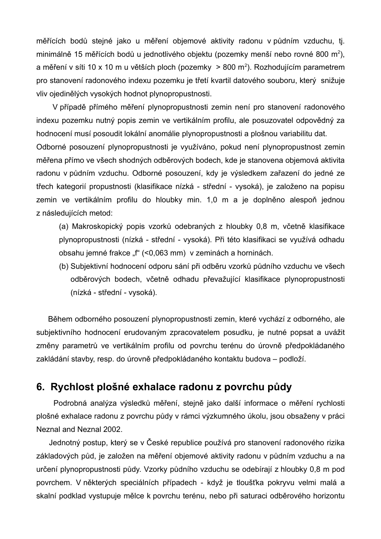měřících bodů stejné jako u měření objemové aktivity radonu v půdním vzduchu, tj. minimálně 15 měřících bodů u jednotlivého objektu (pozemky menší nebo rovné 800 m<sup>2</sup>), a měření v síti 10 x 10 m u větších ploch (pozemky  $\geq 800$  m<sup>2</sup>). Rozhodujícím parametrem pro stanovení radonového indexu pozemku je třetí kvartil datového souboru, který snižuje vliv ojedinělých vysokých hodnot plynopropustnosti.

V případě přímého měření plynopropustnosti zemin není pro stanovení radonového indexu pozemku nutný popis zemin ve vertikálním profilu, ale posuzovatel odpovědný za hodnocení musí posoudit lokální anomálie plynopropustnosti a plošnou variabilitu dat. Odborné posouzení plynopropustnosti je využíváno, pokud není plynopropustnost zemin měřena přímo ve všech shodných odběrových bodech, kde je stanovena objemová aktivita radonu v půdním vzduchu. Odborné posouzení, kdy je výsledkem zařazení do jedné ze třech kategorií propustnosti (klasifikace nízká - střední - vysoká), je založeno na popisu zemin ve vertikálním profilu do hloubky min. 1,0 m a je doplněno alespoň jednou z následujících metod:

(a) Makroskopický popis vzorků odebraných z hloubky 0,8 m, včetně klasifikace plynopropustnosti (nízká - střední - vysoká). Při této klasifikaci se využívá odhadu obsahu jemné frakce "f" (<0,063 mm) v zeminách a horninách.

(b) Subjektivní hodnocení odporu sání při odběru vzorků půdního vzduchu ve všech odběrových bodech, včetně odhadu převažující klasifikace plynopropustnosti (nízká - střední - vysoká).

Během odborného posouzení plynopropustnosti zemin, které vychází z odborného, ale subjektivního hodnocení erudovaným zpracovatelem posudku, je nutné popsat a uvážit změny parametrů ve vertikálním profilu od povrchu terénu do úrovně předpokládaného zakládání stavby, resp. do úrovně předpokládaného kontaktu budova – podloží.

## **6. Rychlost plošné exhalace radonu z povrchu půdy**

Podrobná analýza výsledků měření, stejně jako další informace o měření rychlosti plošné exhalace radonu z povrchu půdy v rámci výzkumného úkolu, jsou obsaženy v práci Neznal and Neznal 2002.

Jednotný postup, který se v České republice používá pro stanovení radonového rizika základových půd, je založen na měření objemové aktivity radonu v půdním vzduchu a na určení plynopropustnosti půdy. Vzorky půdního vzduchu se odebírají z hloubky 0,8 m pod povrchem. V některých speciálních případech - když je tloušťka pokryvu velmi malá a skalní podklad vystupuje mělce k povrchu terénu, nebo při saturaci odběrového horizontu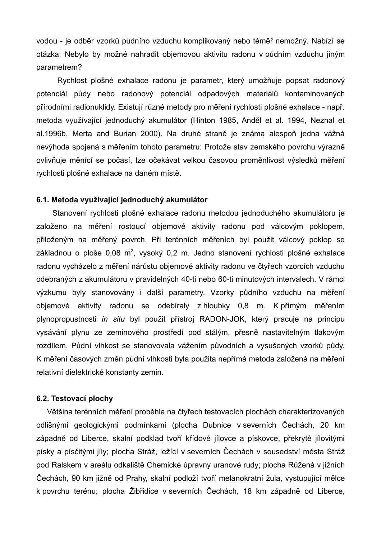vodou - je odběr vzorků půdního vzduchu komplikovaný nebo téměř nemožný. Nabízí se otázka: Nebylo by možné nahradit objemovou aktivitu radonu v půdním vzduchu jiným parametrem?

Rychlost plošné exhalace radonu je parametr, který umožňuje popsat radonový potenciál půdy nebo radonový potenciál odpadových materiálů kontaminovaných přírodními radionuklidy. Existují různé metody pro měření rychlosti plošné exhalace - např. metoda využívající jednoduchý akumulátor (Hinton 1985, Anděl et al. 1994, Neznal et al.1996b, Merta and Burian 2000). Na druhé straně je známa alespoň jedna vážná nevýhoda spojená s měřením tohoto parametru: Protože stav zemského povrchu výrazně ovlivňuje měnící se počasí, lze očekávat velkou časovou proměnlivost výsledků měření rychlosti plošné exhalace na daném místě.

#### **6.1. Metoda využívající jednoduchý akumulátor**

Stanovení rychlosti plošné exhalace radonu metodou jednoduchého akumulátoru je založeno na měření rostoucí objemové aktivity radonu pod válcovým poklopem, přiloženým na měřený povrch. Při terénních měřeních byl použit válcový poklop se základnou o ploše 0,08 m<sup>2</sup>, vysoký 0,2 m. Jedno stanovení rychlosti plošné exhalace radonu vycházelo z měření nárůstu objemové aktivity radonu ve čtyřech vzorcích vzduchu odebraných z akumulátoru v pravidelných 40-ti nebo 60-ti minutových intervalech. V rámci výzkumu byly stanovovány i další parametry. Vzorky půdního vzduchu na měření objemové aktivity radonu se odebíraly z hloubky 0,8 m. K přímým měřením plynopropustnosti *in situ* byl použit přístroj RADON-JOK, který pracuje na principu vysávání plynu ze zeminového prostředí pod stálým, přesně nastavitelným tlakovým rozdílem. Půdní vlhkost se stanovovala vážením původních a vysušených vzorků půdy. K měření časových změn půdní vlhkosti byla použita nepřímá metoda založená na měření relativní dielektrické konstanty zemin.

#### **6.2. Testovací plochy**

Většina terénních měření proběhla na čtyřech testovacích plochách charakterizovaných odlišnými geologickými podmínkami (plocha Dubnice v severních Čechách, 20 km západně od Liberce, skalní podklad tvoří křídové jílovce a pískovce, překryté jílovitými písky a písčitými jíly; plocha Stráž, ležící v severních Čechách v sousedství města Stráž pod Ralskem v areálu odkaliště Chemické úpravny uranové rudy; plocha Růžená v jižních Čechách, 90 km jižně od Prahy, skalní podloží tvoří melanokratní žula, vystupující mělce k povrchu terénu; plocha Žibřidice v severních Čechách, 18 km západně od Liberce,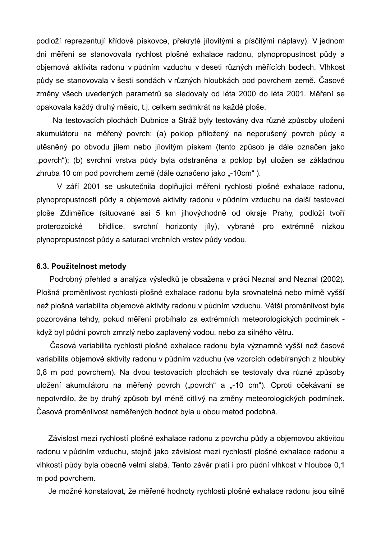podloží reprezentují křídové pískovce, překryté jílovitými a písčitými náplavy). V jednom dni měření se stanovovala rychlost plošné exhalace radonu, plynopropustnost půdy a objemová aktivita radonu v půdním vzduchu v deseti různých měřících bodech. Vlhkost půdy se stanovovala v šesti sondách v různých hloubkách pod povrchem země. Časové změny všech uvedených parametrů se sledovaly od léta 2000 do léta 2001. Měření se opakovala každý druhý měsíc, t.j. celkem sedmkrát na každé ploše.

Na testovacích plochách Dubnice a Stráž byly testovány dva různé způsoby uložení akumulátoru na měřený povrch: (a) poklop přiložený na neporušený povrch půdy a utěsněný po obvodu jílem nebo jílovitým pískem (tento způsob je dále označen jako "povrch"); (b) svrchní vrstva půdy byla odstraněna a poklop byl uložen se základnou zhruba 10 cm pod povrchem země (dále označeno jako "-10cm").

V září 2001 se uskutečnila doplňující měření rychlosti plošné exhalace radonu, plynopropustnosti půdy a objemové aktivity radonu v půdním vzduchu na další testovací ploše Zdiměřice (situované asi 5 km jihovýchodně od okraje Prahy, podloží tvoří proterozoické břidlice, svrchní horizonty jíly), vybrané pro extrémně nízkou plynopropustnost půdy a saturaci vrchních vrstev půdy vodou.

#### **6.3. Použitelnost metody**

Podrobný přehled a analýza výsledků je obsažena v práci Neznal and Neznal (2002). Plošná proměnlivost rychlosti plošné exhalace radonu byla srovnatelná nebo mírně vyšší než plošná variabilita objemové aktivity radonu v půdním vzduchu. Větší proměnlivost byla pozorována tehdy, pokud měření probíhalo za extrémních meteorologických podmínek když byl půdní povrch zmrzlý nebo zaplavený vodou, nebo za silného větru.

Časová variabilita rychlosti plošné exhalace radonu byla významně vyšší než časová variabilita objemové aktivity radonu v půdním vzduchu (ve vzorcích odebíraných z hloubky 0,8 m pod povrchem). Na dvou testovacích plochách se testovaly dva různé způsoby uložení akumulátoru na měřený povrch ("povrch" a "-10 cm"). Oproti očekávaní se nepotvrdilo, že by druhý způsob byl méně citlivý na změny meteorologických podmínek. Časová proměnlivost naměřených hodnot byla u obou metod podobná.

Závislost mezi rychlostí plošné exhalace radonu z povrchu půdy a objemovou aktivitou radonu v půdním vzduchu, stejně jako závislost mezi rychlostí plošné exhalace radonu a vlhkostí půdy byla obecně velmi slabá. Tento závěr platí i pro půdní vlhkost v hloubce 0,1 m pod povrchem.

Je možné konstatovat, že měřené hodnoty rychlosti plošné exhalace radonu jsou silně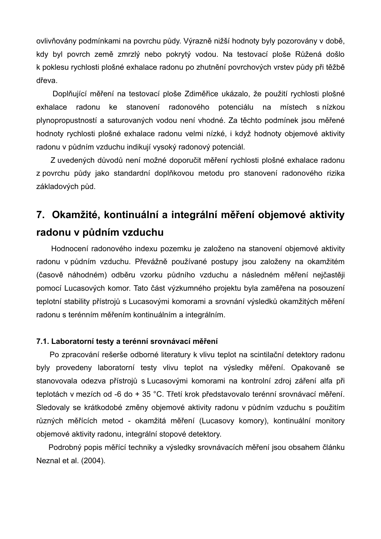ovlivňovány podmínkami na povrchu půdy. Výrazně nižší hodnoty byly pozorovány v době, kdy byl povrch země zmrzlý nebo pokrytý vodou. Na testovací ploše Růžená došlo k poklesu rychlosti plošné exhalace radonu po zhutnění povrchových vrstev půdy při těžbě dřeva.

Doplňující měření na testovací ploše Zdiměřice ukázalo, že použití rychlosti plošné exhalace radonu ke stanovení radonového potenciálu na místech s nízkou plynopropustností a saturovaných vodou není vhodné. Za těchto podmínek jsou měřené hodnoty rychlosti plošné exhalace radonu velmi nízké, i když hodnoty objemové aktivity radonu v půdním vzduchu indikují vysoký radonový potenciál.

Z uvedených důvodů není možné doporučit měření rychlosti plošné exhalace radonu z povrchu půdy jako standardní doplňkovou metodu pro stanovení radonového rizika základových půd.

## **7. Okamžité, kontinuální a integrální měření objemové aktivity radonu v půdním vzduchu**

Hodnocení radonového indexu pozemku je založeno na stanovení objemové aktivity radonu v půdním vzduchu. Převážně používané postupy jsou založeny na okamžitém (časově náhodném) odběru vzorku půdního vzduchu a následném měření nejčastěji pomocí Lucasových komor. Tato část výzkumného projektu byla zaměřena na posouzení teplotní stability přístrojů s Lucasovými komorami a srovnání výsledků okamžitých měření radonu s terénním měřením kontinuálním a integrálním.

#### **7.1. Laboratorní testy a terénní srovnávací měření**

Po zpracování rešerše odborné literatury k vlivu teplot na scintilační detektory radonu byly provedeny laboratorní testy vlivu teplot na výsledky měření. Opakovaně se stanovovala odezva přístrojů s Lucasovými komorami na kontrolní zdroj záření alfa při teplotách v mezích od -6 do + 35 °C. Třetí krok představovalo terénní srovnávací měření. Sledovaly se krátkodobé změny objemové aktivity radonu v půdním vzduchu s použitím různých měřících metod - okamžitá měření (Lucasovy komory), kontinuální monitory objemové aktivity radonu, integrální stopové detektory.

Podrobný popis měřící techniky a výsledky srovnávacích měření jsou obsahem článku Neznal et al. (2004).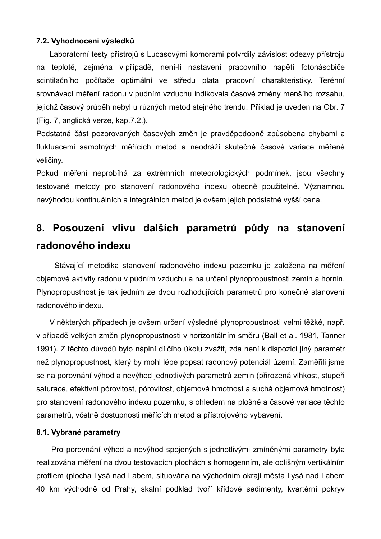#### **7.2. Vyhodnocení výsledků**

Laboratorní testy přístrojů s Lucasovými komorami potvrdily závislost odezvy přístrojů na teplotě, zejména v případě, není-li nastavení pracovního napětí fotonásobiče scintilačního počítače optimální ve středu plata pracovní charakteristiky. Terénní srovnávací měření radonu v půdním vzduchu indikovala časové změny menšího rozsahu, jejichž časový průběh nebyl u různých metod stejného trendu. Příklad je uveden na Obr. 7 (Fig. 7, anglická verze, kap.7.2.).

Podstatná část pozorovaných časových změn je pravděpodobně způsobena chybami a fluktuacemi samotných měřících metod a neodráží skutečné časové variace měřené veličiny.

Pokud měření neprobíhá za extrémních meteorologických podmínek, jsou všechny testované metody pro stanovení radonového indexu obecně použitelné. Významnou nevýhodou kontinuálních a integrálních metod je ovšem jejich podstatně vyšší cena.

# **8. Posouzení vlivu dalších parametrů půdy na stanovení radonového indexu**

Stávající metodika stanovení radonového indexu pozemku je založena na měření objemové aktivity radonu v půdním vzduchu a na určení plynopropustnosti zemin a hornin. Plynopropustnost je tak jedním ze dvou rozhodujících parametrů pro konečné stanovení radonového indexu.

V některých případech je ovšem určení výsledné plynopropustnosti velmi těžké, např. v případě velkých změn plynopropustnosti v horizontálním směru (Ball et al. 1981, Tanner 1991). Z těchto důvodů bylo náplní dílčího úkolu zvážit, zda není k dispozici jiný parametr než plynopropustnost, který by mohl lépe popsat radonový potenciál území. Zaměřili jsme se na porovnání výhod a nevýhod jednotlivých parametrů zemin (přirozená vlhkost, stupeň saturace, efektivní pórovitost, pórovitost, objemová hmotnost a suchá objemová hmotnost) pro stanovení radonového indexu pozemku, s ohledem na plošné a časové variace těchto parametrů, včetně dostupnosti měřících metod a přístrojového vybavení.

#### **8.1. Vybrané parametry**

Pro porovnání výhod a nevýhod spojených s jednotlivými zmíněnými parametry byla realizována měření na dvou testovacích plochách s homogenním, ale odlišným vertikálním profilem (plocha Lysá nad Labem, situována na východním okraji města Lysá nad Labem 40 km východně od Prahy, skalní podklad tvoří křídové sedimenty, kvartérní pokryv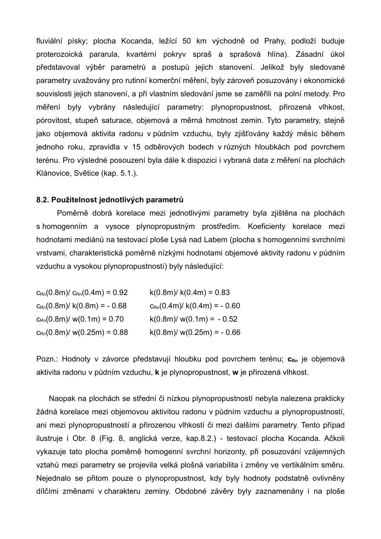fluviální písky; plocha Kocanda, ležící 50 km východně od Prahy, podloží buduje proterozoická pararula, kvartérní pokryv spraš a sprašová hlína). Zásadní úkol představoval výběr parametrů a postupů jejich stanovení. Jelikož byly sledované parametry uvažovány pro rutinní komerční měření, byly zároveň posuzovány i ekonomické souvislosti jejich stanovení, a při vlastním sledování jsme se zaměřili na polní metody. Pro měření byly vybrány následující parametry: plynopropustnost, přirozená vlhkost, pórovitost, stupeň saturace, objemová a měrná hmotnost zemin. Tyto parametry, stejně jako objemová aktivita radonu v půdním vzduchu, byly zjišťovány každý měsíc během jednoho roku, zpravidla v 15 odběrových bodech v různých hloubkách pod povrchem terénu. Pro výsledné posouzení byla dále k dispozici i vybraná data z měření na plochách Klánovice, Světice (kap. 5.1.).

#### **8.2. Použitelnost jednotlivých parametrů**

Poměrně dobrá korelace mezi jednotlivými parametry byla zjištěna na plochách s homogenním a vysoce plynopropustným prostředím. Koeficienty korelace mezi hodnotami mediánů na testovací ploše Lysá nad Labem (plocha s homogenními svrchními vrstvami, charakteristická poměrně nízkými hodnotami objemové aktivity radonu v půdním vzduchu a vysokou plynopropustností) byly následující:

| $c_{\rm Rn}(0.8\text{m})/c_{\rm Rn}(0.4\text{m}) = 0.92$ | $k(0.8m) / k(0.4m) = 0.83$                           |
|----------------------------------------------------------|------------------------------------------------------|
| $c_{\text{Rn}}(0.8\text{m})/ k(0.8\text{m}) = -0.68$     | $c_{\text{Rn}}(0.4\text{m})/ k(0.4\text{m}) = -0.60$ |
| $c_{\rm Rn}(0.8\text{m})/$ w(0.1m) = 0.70                | $k(0.8m) / w(0.1m) = -0.52$                          |
| $c_{\rm Rn}(0.8\text{m})/$ w(0.25m) = 0.88               | $k(0.8m) / w(0.25m) = -0.66$                         |

Pozn.: Hodnoty v závorce představují hloubku pod povrchem terénu; c<sub>Rn</sub> je objemová aktivita radonu v půdním vzduchu, **k** je plynopropustnost, **w** je přirozená vlhkost.

Naopak na plochách se střední či nízkou plynopropustností nebyla nalezena prakticky žádná korelace mezi objemovou aktivitou radonu v půdním vzduchu a plynopropustností, ani mezi plynopropustností a přirozenou vlhkostí či mezi dalšími parametry. Tento případ ilustruje i Obr. 8 (Fig. 8, anglická verze, kap.8.2.) - testovací plocha Kocanda. Ačkoli vykazuje tato plocha poměrně homogenní svrchní horizonty, při posuzování vzájemných vztahů mezi parametry se projevila velká plošná variabilita i změny ve vertikálním směru. Nejednalo se přitom pouze o plynopropustnost, kdy byly hodnoty podstatně ovlivněny dílčími změnami v charakteru zeminy. Obdobné závěry byly zaznamenány i na ploše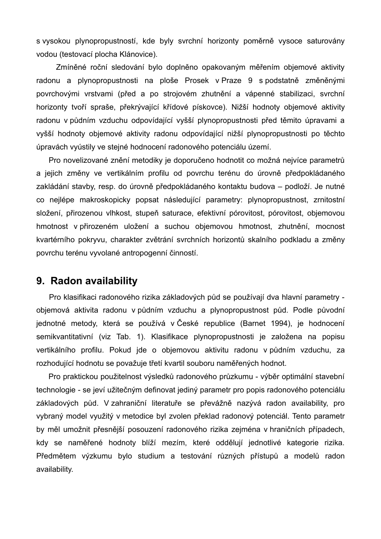s vysokou plynopropustností, kde byly svrchní horizonty poměrně vysoce saturovány vodou (testovací plocha Klánovice).

Zmíněné roční sledování bylo doplněno opakovaným měřením objemové aktivity radonu a plynopropustnosti na ploše Prosek v Praze 9 s podstatně změněnými povrchovými vrstvami (před a po strojovém zhutnění a vápenné stabilizaci, svrchní horizonty tvoří spraše, překrývající křídové pískovce). Nižší hodnoty objemové aktivity radonu v půdním vzduchu odpovídající vyšší plynopropustnosti před těmito úpravami a vyšší hodnoty objemové aktivity radonu odpovídající nižší plynopropustnosti po těchto úpravách vyústily ve stejné hodnocení radonového potenciálu území.

Pro novelizované znění metodiky je doporučeno hodnotit co možná nejvíce parametrů a jejich změny ve vertikálním profilu od povrchu terénu do úrovně předpokládaného zakládání stavby, resp. do úrovně předpokládaného kontaktu budova – podloží. Je nutné co nejlépe makroskopicky popsat následující parametry: plynopropustnost, zrnitostní složení, přirozenou vlhkost, stupeň saturace, efektivní pórovitost, pórovitost, objemovou hmotnost v přirozeném uložení a suchou objemovou hmotnost, zhutnění, mocnost kvartérního pokryvu, charakter zvětrání svrchních horizontů skalního podkladu a změny povrchu terénu vyvolané antropogenní činností.

## **9. Radon availability**

Pro klasifikaci radonového rizika základových půd se používají dva hlavní parametry objemová aktivita radonu v půdním vzduchu a plynopropustnost půd. Podle původní jednotné metody, která se používá v České republice (Barnet 1994), je hodnocení semikvantitativní (viz Tab. 1). Klasifikace plynopropustnosti je založena na popisu vertikálního profilu. Pokud jde o objemovou aktivitu radonu v půdním vzduchu, za rozhodující hodnotu se považuje třetí kvartil souboru naměřených hodnot.

Pro praktickou použitelnost výsledků radonového průzkumu - výběr optimální stavební technologie - se jeví užitečným definovat jediný parametr pro popis radonového potenciálu základových půd. V zahraniční literatuře se převážně nazývá radon availability, pro vybraný model využitý v metodice byl zvolen překlad radonový potenciál. Tento parametr by měl umožnit přesnější posouzení radonového rizika zejména v hraničních případech, kdy se naměřené hodnoty blíží mezím, které oddělují jednotlivé kategorie rizika. Předmětem výzkumu bylo studium a testování různých přístupů a modelů radon availability.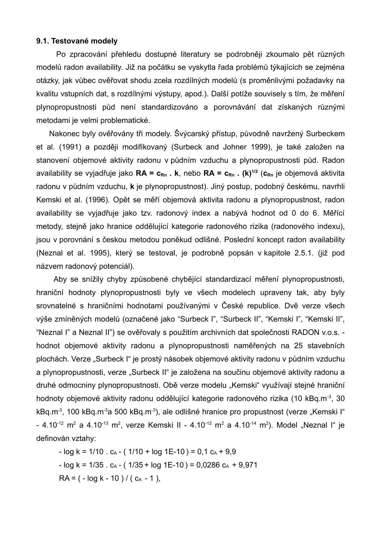#### **9.1. Testované modely**

Po zpracování přehledu dostupné literatury se podrobněji zkoumalo pět různých modelů radon availability. Již na počátku se vyskytla řada problémů týkajících se zejména otázky, jak vůbec ověřovat shodu zcela rozdílných modelů (s proměnlivými požadavky na kvalitu vstupních dat, s rozdílnými výstupy, apod.). Další potíže souvisely s tím, že měření plynopropustnosti půd není standardizováno a porovnávání dat získaných různými metodami je velmi problematické.

Nakonec byly ověřovány tři modely. Švýcarský přístup, původně navržený Surbeckem et al. (1991) a později modifikovaný (Surbeck and Johner 1999), je také založen na stanovení objemové aktivity radonu v půdním vzduchu a plynopropustnosti půd. Radon availability se vyjadřuje jako **RA = cRn . k**, nebo **RA = cRn . (k) 1/2** (**cRn** je objemová aktivita radonu v půdním vzduchu, **k** je plynopropustnost). Jiný postup, podobný českému, navrhli Kemski et al. (1996). Opět se měří objemová aktivita radonu a plynopropustnost, radon availability se vyjadřuje jako tzv. radonový index a nabývá hodnot od 0 do 6. Měřící metody, stejně jako hranice oddělující kategorie radonového rizika (radonového indexu), jsou v porovnání s českou metodou poněkud odlišné. Poslední koncept radon availability (Neznal et al. 1995), který se testoval, je podrobně popsán v kapitole 2.5.1. (již pod názvem radonový potenciál).

Aby se snížily chyby způsobené chybějící standardizací měření plynopropustnosti, hraniční hodnoty plynopropustnosti byly ve všech modelech upraveny tak, aby byly srovnatelné s hraničními hodnotami používanými v České republice. Dvě verze všech výše zmíněných modelů (označené jako "Surbeck I", "Surbeck II", "Kemski I", "Kemski II", "Neznal I" a Neznal II") se ověřovaly s použitím archivních dat společnosti RADON v.o.s. hodnot objemové aktivity radonu a plynopropustnosti naměřených na 25 stavebních plochách. Verze "Surbeck I" je prostý násobek objemové aktivity radonu v půdním vzduchu a plynopropustnosti, verze "Surbeck II" je založena na součinu objemové aktivity radonu a druhé odmocniny plynopropustnosti. Obě verze modelu "Kemski" využívají stejné hraniční hodnoty objemové aktivity radonu oddělující kategorie radonového rizika (10 kBq.m<sup>-3</sup>, 30 kBq.m<sup>-3</sup>, 100 kBq.m<sup>-3</sup>a 500 kBq.m<sup>-3</sup>), ale odlišné hranice pro propustnost (verze "Kemski I" - 4.10<sup>-12</sup> m<sup>2</sup> a 4.10<sup>-13</sup> m<sup>2</sup>, verze Kemski II - 4.10<sup>-12</sup> m<sup>2</sup> a 4.10<sup>-14</sup> m<sup>2</sup>). Model "Neznal I" je definován vztahy:

 $-$  log k = 1/10  $\cdot$  c<sub>A</sub>  $-$  ( 1/10  $+$  log 1E-10 ) = 0,1 c<sub>A</sub>  $+$  9,9  $-$  log k = 1/35 . c<sub>A</sub>  $-$  ( 1/35 + log 1E-10 ) = 0,0286 c<sub>A</sub> + 9,971  $RA = (-log k - 10) / (c<sub>A</sub> - 1),$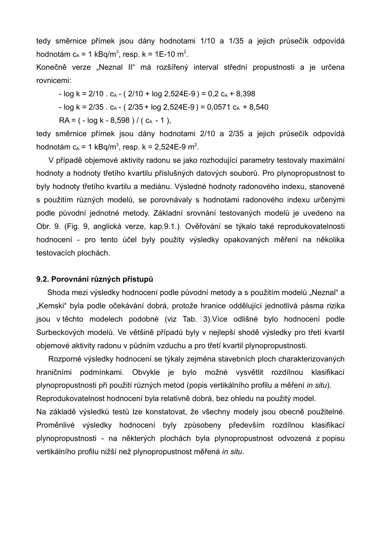tedy směrnice přímek jsou dány hodnotami 1/10 a 1/35 a jejich průsečík odpovídá hodnotám c<sub>A</sub> = 1 kBq/m<sup>3</sup>, resp. k = 1E-10 m<sup>2</sup>.

Konečně verze "Neznal II" má rozšířený interval střední propustnosti a je určena rovnicemi:

 $-$  log k = 2/10 . c<sub>A</sub>  $-$  ( 2/10 + log 2,524E-9 ) = 0,2 c<sub>A</sub> + 8,398

- 
$$
\log k = 2/35
$$
.  $c_A - (2/35 + \log 2,524E-9) = 0,0571 c_A + 8,540$ 

 $RA = (-\log k - 8.598) / (c_A - 1)$ ,

tedy směrnice přímek jsou dány hodnotami 2/10 a 2/35 a jejich průsečík odpovídá hodnotám  $c_A$  = 1 kBq/m<sup>3</sup>, resp. k = 2,524E-9 m<sup>2</sup>.

V případě objemové aktivity radonu se jako rozhodující parametry testovaly maximální hodnoty a hodnoty třetího kvartilu příslušných datových souborů. Pro plynopropustnost to byly hodnoty třetího kvartilu a mediánu. Výsledné hodnoty radonového indexu, stanovené s použitím různých modelů, se porovnávaly s hodnotami radonového indexu určenými podle původní jednotné metody. Základní srovnání testovaných modelů je uvedeno na Obr. 9. (Fig. 9, anglická verze, kap.9.1.). Ověřování se týkalo také reprodukovatelnosti hodnocení - pro tento účel byly použity výsledky opakovaných měření na několika testovacích plochách.

#### **9.2. Porovnání různých přístupů**

Shoda mezi výsledky hodnocení podle původní metody a s použitím modelů "Neznal" a "Kemski" byla podle očekávání dobrá, protože hranice oddělující jednotlivá pásma rizika jsou v těchto modelech podobné (viz Tab. 3).Více odlišné bylo hodnocení podle Surbeckových modelů. Ve většině případů byly v nejlepší shodě výsledky pro třetí kvartil objemové aktivity radonu v půdním vzduchu a pro třetí kvartil plynopropustnosti.

Rozporné výsledky hodnocení se týkaly zejména stavebních ploch charakterizovaných hraničními podmínkami. Obvykle je bylo možné vysvětlit rozdílnou klasifikací plynopropustnosti při použití různých metod (popis vertikálního profilu a měření *in situ*). Reprodukovatelnost hodnocení byla relativně dobrá, bez ohledu na použitý model. Na základě výsledků testů lze konstatovat, že všechny modely jsou obecně použitelné. Proměnlivé výsledky hodnocení byly způsobeny především rozdílnou klasifikací plynopropustnosti - na některých plochách byla plynopropustnost odvozená z popisu vertikálního profilu nižší než plynopropustnost měřená *in situ*.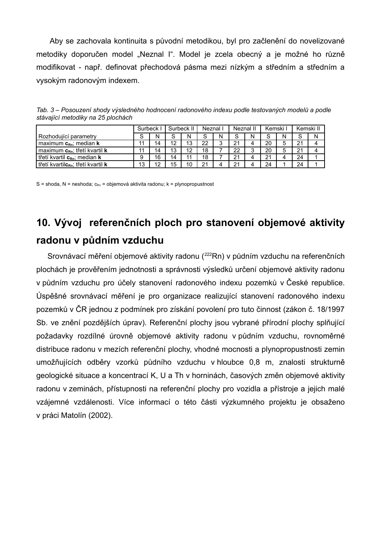Aby se zachovala kontinuita s původní metodikou, byl pro začlenění do novelizované metodiky doporučen model "Neznal I". Model je zcela obecný a je možné ho různě modifikovat - např. definovat přechodová pásma mezi nízkým a středním a středním a vysokým radonovým indexem.

|                                                | Surbeck II<br>Surbeck |    | Neznal I |    | Neznal II |        | Kemski I |        | Kemski II |   |                         |  |
|------------------------------------------------|-----------------------|----|----------|----|-----------|--------|----------|--------|-----------|---|-------------------------|--|
| Rozhodující parametry                          | ິ<br>O                | N  | $\sim$   | N  | c<br>C    | Ν      | S        | N      | S         | N | $\mathbf{\hat{c}}$<br>ت |  |
| maximum $c_{Rn}$ ; median <b>k</b>             |                       | 14 | 12       | 13 | 22        | 2<br>J | 21       | Δ      | 20        | 5 | 21                      |  |
| maximum $c_{Rn}$ ; třetí kvartil k             |                       | 14 | 13       | 12 | 18        |        | 22       | ົ<br>J | 20        | 5 | 21                      |  |
| třetí kvartil c <sub>Rn</sub> ; median k       | 9                     | 16 | 14       | 11 | 18        |        | 21       |        | 21        |   | 24                      |  |
| třetí kvartilc <sub>kn</sub> ; třetí kvartil k | 13                    | 1つ | 15       | 10 | 21        |        | 21       |        | 24        |   | 24                      |  |

*Tab. 3 – Posouzení shody výsledného hodnocení radonového indexu podle testovaných modelů a podle stávající metodiky na 25 plochách*

S = shoda, N = neshoda;  $c_{Rn}$  = objemová aktivita radonu; k = plynopropustnost

# **10. Vývoj referenčních ploch pro stanovení objemové aktivity radonu v půdním vzduchu**

Srovnávací měření objemové aktivity radonu (<sup>222</sup>Rn) v půdním vzduchu na referenčních plochách je prověřením jednotnosti a správnosti výsledků určení objemové aktivity radonu v půdním vzduchu pro účely stanovení radonového indexu pozemků v České republice. Úspěšné srovnávací měření je pro organizace realizující stanovení radonového indexu pozemků v ČR jednou z podmínek pro získání povolení pro tuto činnost (zákon č. 18/1997 Sb. ve znění pozdějších úprav). Referenční plochy jsou vybrané přírodní plochy splňující požadavky rozdílné úrovně objemové aktivity radonu v půdním vzduchu, rovnoměrné distribuce radonu v mezích referenční plochy, vhodné mocnosti a plynopropustnosti zemin umožňujících odběry vzorků půdního vzduchu v hloubce 0,8 m, znalosti strukturně geologické situace a koncentrací K, U a Th v horninách, časových změn objemové aktivity radonu v zeminách, přístupnosti na referenční plochy pro vozidla a přístroje a jejich malé vzájemné vzdálenosti. Více informací o této části výzkumného projektu je obsaženo v práci Matolín (2002).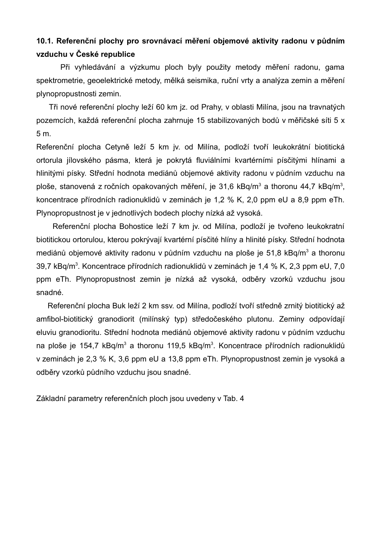## **10.1. Referenční plochy pro srovnávací měření objemové aktivity radonu v půdním vzduchu v České republice**

Při vyhledávání a výzkumu ploch byly použity metody měření radonu, gama spektrometrie, geoelektrické metody, mělká seismika, ruční vrty a analýza zemin a měření plynopropustnosti zemin.

Tři nové referenční plochy leží 60 km jz. od Prahy, v oblasti Milína, jsou na travnatých pozemcích, každá referenční plocha zahrnuje 15 stabilizovaných bodů v měřičské síti 5 x 5 m.

Referenční plocha Cetyně leží 5 km jv. od Milína, podloží tvoří leukokrátní biotitická ortorula jílovského pásma, která je pokrytá fluviálními kvartérními písčitými hlínami a hlinitými písky. Střední hodnota mediánů objemové aktivity radonu v půdním vzduchu na ploše, stanovená z ročních opakovaných měření, je 31,6 kBq/m<sup>3</sup> a thoronu 44,7 kBq/m<sup>3</sup>, koncentrace přírodních radionuklidů v zeminách je 1,2 % K, 2,0 ppm eU a 8,9 ppm eTh. Plynopropustnost je v jednotlivých bodech plochy nízká až vysoká.

Referenční plocha Bohostice leží 7 km jv. od Milína, podloží je tvořeno leukokratní biotitickou ortorulou, kterou pokrývají kvartérní písčité hlíny a hlinité písky. Střední hodnota mediánů objemové aktivity radonu v půdním vzduchu na ploše je 51,8 kBq/m<sup>3</sup> a thoronu 39,7 kBq/m<sup>3</sup>. Koncentrace přírodních radionuklidů v zeminách je 1,4 % K, 2,3 ppm eU, 7,0 ppm eTh. Plynopropustnost zemin je nízká až vysoká, odběry vzorků vzduchu jsou snadné.

Referenční plocha Buk leží 2 km ssv. od Milína, podloží tvoří středně zrnitý biotitický až amfibol-biotitický granodiorit (milínský typ) středočeského plutonu. Zeminy odpovídají eluviu granodioritu. Střední hodnota mediánů objemové aktivity radonu v půdním vzduchu na ploše je 154,7 kBq/m<sup>3</sup> a thoronu 119,5 kBq/m<sup>3</sup>. Koncentrace přírodních radionuklidů v zeminách je 2,3 % K, 3,6 ppm eU a 13,8 ppm eTh. Plynopropustnost zemin je vysoká a odběry vzorků půdního vzduchu jsou snadné.

Základní parametry referenčních ploch jsou uvedeny v Tab. 4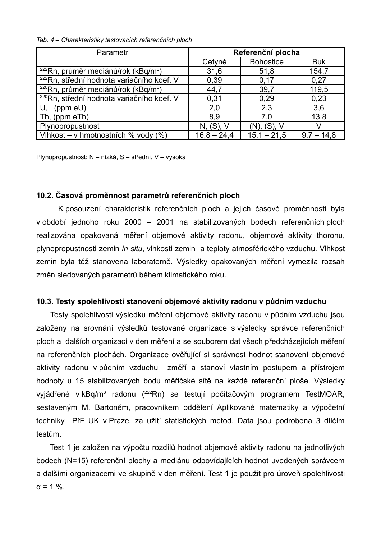*Tab. 4 – Charakteristiky testovacích referenčních ploch*

| Parametr                                              | Referenční plocha |                  |              |  |  |  |
|-------------------------------------------------------|-------------------|------------------|--------------|--|--|--|
|                                                       | Cetyně            | <b>Bohostice</b> | <b>Buk</b>   |  |  |  |
| $222$ Rn, průměr mediánů/rok (kBq/m <sup>3</sup> )    | 31,6              | 51,8             | 154,7        |  |  |  |
| 222Rn, střední hodnota variačního koef. V             | 0,39              | 0,17             | 0,27         |  |  |  |
| $220$ Rn, průměr mediánů/rok (kBq/m <sup>3</sup> )    | 44,7              | 39,7             | 119,5        |  |  |  |
| <sup>220</sup> Rn, střední hodnota variačního koef. V | 0,31              | 0,29             | 0,23         |  |  |  |
| (ppm eU)<br>U.                                        | 2,0               | 2,3              | 3,6          |  |  |  |
| Th, (ppm eTh)                                         | 8,9               | 7,0              | 13,8         |  |  |  |
| Plynopropustnost                                      | N, (S), V         | (N), (S), V      |              |  |  |  |
| Vlhkost - v hmotnostních % vody (%)                   | $16,8 - 24,4$     | $15.1 - 21.5$    | $9.7 - 14.8$ |  |  |  |

Plynopropustnost: N – nízká, S – střední, V – vysoká

#### **10.2. Časová proměnnost parametrů referenčních ploch**

K posouzení charakteristik referenčních ploch a jejich časové proměnnosti byla v období jednoho roku 2000 – 2001 na stabilizovaných bodech referenčních ploch realizována opakovaná měření objemové aktivity radonu, objemové aktivity thoronu, plynopropustnosti zemin *in situ*, vlhkosti zemin a teploty atmosférického vzduchu. Vlhkost zemin byla též stanovena laboratorně. Výsledky opakovaných měření vymezila rozsah změn sledovaných parametrů během klimatického roku.

#### **10.3. Testy spolehlivosti stanovení objemové aktivity radonu v půdním vzduchu**

Testy spolehlivosti výsledků měření objemové aktivity radonu v půdním vzduchu jsou založeny na srovnání výsledků testované organizace s výsledky správce referenčních ploch a dalších organizací v den měření a se souborem dat všech předcházejících měření na referenčních plochách. Organizace ověřující si správnost hodnot stanovení objemové aktivity radonu v půdním vzduchu změří a stanoví vlastním postupem a přístrojem hodnoty u 15 stabilizovaných bodů měřičské sítě na každé referenční ploše. Výsledky vyjádřené v kBq/m<sup>3</sup> radonu (<sup>222</sup>Rn) se testují počítačovým programem TestMOAR, sestaveným M. Bartoněm, pracovníkem oddělení Aplikované matematiky a výpočetní techniky PřF UK v Praze, za užití statistických metod. Data jsou podrobena 3 dílčím testům.

Test 1 je založen na výpočtu rozdílů hodnot objemové aktivity radonu na jednotlivých bodech (N=15) referenční plochy a mediánu odpovídajících hodnot uvedených správcem a dalšími organizacemi ve skupině v den měření. Test 1 je použit pro úroveň spolehlivosti  $α = 1 %$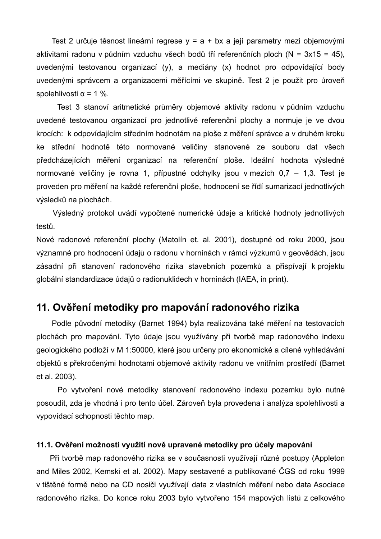Test 2 určuje těsnost lineární regrese  $y = a + bx$  a její parametry mezi objemovými aktivitami radonu v půdním vzduchu všech bodů tří referenčních ploch (N = 3x15 = 45), uvedenými testovanou organizací (y), a mediány (x) hodnot pro odpovídající body uvedenými správcem a organizacemi měřícími ve skupině. Test 2 je použit pro úroveň spolehlivosti  $α = 1 %$ .

Test 3 stanoví aritmetické průměry objemové aktivity radonu v půdním vzduchu uvedené testovanou organizací pro jednotlivé referenční plochy a normuje je ve dvou krocích: k odpovídajícím středním hodnotám na ploše z měření správce a v druhém kroku ke střední hodnotě této normované veličiny stanovené ze souboru dat všech předcházejících měření organizací na referenční ploše. Ideální hodnota výsledné normované veličiny je rovna 1, přípustné odchylky jsou v mezích 0,7 – 1,3. Test je proveden pro měření na každé referenční ploše, hodnocení se řídí sumarizací jednotlivých výsledků na plochách.

Výsledný protokol uvádí vypočtené numerické údaje a kritické hodnoty jednotlivých testů.

Nové radonové referenční plochy (Matolín et. al. 2001), dostupné od roku 2000, jsou významné pro hodnocení údajů o radonu v horninách v rámci výzkumů v geovědách, jsou zásadní při stanovení radonového rizika stavebních pozemků a přispívají k projektu globální standardizace údajů o radionuklidech v horninách (IAEA, in print).

## **11. Ověření metodiky pro mapování radonového rizika**

Podle původní metodiky (Barnet 1994) byla realizována také měření na testovacích plochách pro mapování. Tyto údaje jsou využívány při tvorbě map radonového indexu geologického podloží v M 1:50000, které jsou určeny pro ekonomické a cílené vyhledávání objektů s překročenými hodnotami objemové aktivity radonu ve vnitřním prostředí (Barnet et al. 2003).

Po vytvoření nové metodiky stanovení radonového indexu pozemku bylo nutné posoudit, zda je vhodná i pro tento účel. Zároveň byla provedena i analýza spolehlivosti a vypovídací schopnosti těchto map.

#### **11.1. Ověření možnosti využití nově upravené metodiky pro účely mapování**

Při tvorbě map radonového rizika se v současnosti využívají různé postupy (Appleton and Miles 2002, Kemski et al. 2002). Mapy sestavené a publikované ČGS od roku 1999 v tištěné formě nebo na CD nosiči využívají data z vlastních měření nebo data Asociace radonového rizika. Do konce roku 2003 bylo vytvořeno 154 mapových listů z celkového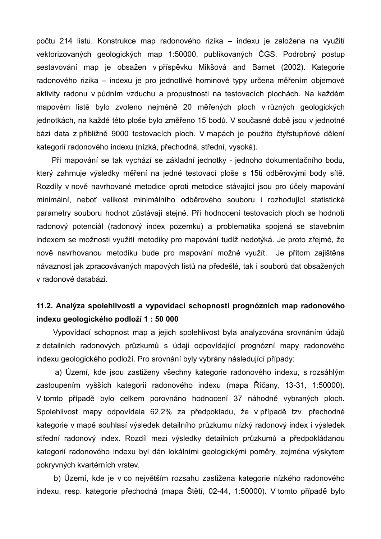počtu 214 listů. Konstrukce map radonového rizika – indexu je založena na využití vektorizovaných geologických map 1:50000, publikovaných ČGS. Podrobný postup sestavování map je obsažen v příspěvku Mikšová and Barnet (2002). Kategorie radonového rizika – indexu je pro jednotlivé horninové typy určena měřením objemové aktivity radonu v půdním vzduchu a propustnosti na testovacích plochách. Na každém mapovém listě bylo zvoleno nejméně 20 měřených ploch v různých geologických jednotkách, na každé této ploše bylo změřeno 15 bodů. V současné době jsou v jednotné bázi data z přibližně 9000 testovacích ploch. V mapách je použito čtyřstupňové dělení kategorií radonového indexu (nízká, přechodná, střední, vysoká).

Při mapování se tak vychází se základní jednotky - jednoho dokumentačního bodu, který zahrnuje výsledky měření na jedné testovací ploše s 15ti odběrovými body sítě. Rozdíly v nově navrhované metodice oproti metodice stávající jsou pro účely mapování minimální, neboť velikost minimálního odběrového souboru i rozhodující statistické parametry souboru hodnot zůstávají stejné. Při hodnocení testovacích ploch se hodnotí radonový potenciál (radonový index pozemku) a problematika spojená se stavebním indexem se možnosti využití metodiky pro mapování tudíž nedotýká. Je proto zřejmé, že nově navrhovanou metodiku bude pro mapování možné využít. Je přitom zajištěna návaznost jak zpracovávaných mapových listů na předešlé, tak i souborů dat obsažených v radonové databázi.

## **11.2. Analýza spolehlivosti a vypovídací schopnosti prognózních map radonového indexu geologického podloží 1 : 50 000**

Vypovídací schopnost map a jejich spolehlivost byla analyzována srovnáním údajů z detailních radonových průzkumů s údaji odpovídající prognózní mapy radonového indexu geologického podloží. Pro srovnání byly vybrány následující případy:

a) Území, kde jsou zastiženy všechny kategorie radonového indexu, s rozsáhlým zastoupením vyšších kategorií radonového indexu (mapa Říčany, 13-31, 1:50000). V tomto případě bylo celkem porovnáno hodnocení 37 náhodně vybraných ploch. Spolehlivost mapy odpovídala 62,2% za předpokladu, že v případě tzv. přechodné kategorie v mapě souhlasí výsledek detailního průzkumu nízký radonový index i výsledek střední radonový index. Rozdíl mezi výsledky detailních průzkumů a předpokládanou kategorií radonového indexu byl dán lokálními geologickými poměry, zejména výskytem pokryvných kvartérních vrstev.

b) Území, kde je v co největším rozsahu zastižena kategorie nízkého radonového indexu, resp. kategorie přechodná (mapa Štětí, 02-44, 1:50000). V tomto případě bylo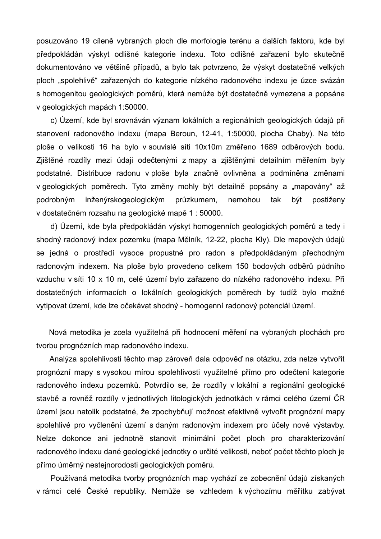posuzováno 19 cíleně vybraných ploch dle morfologie terénu a dalších faktorů, kde byl předpokládán výskyt odlišné kategorie indexu. Toto odlišné zařazení bylo skutečně dokumentováno ve většině případů, a bylo tak potvrzeno, že výskyt dostatečně velkých ploch "spolehlivě" zařazených do kategorie nízkého radonového indexu je úzce svázán s homogenitou geologických poměrů, která nemůže být dostatečně vymezena a popsána v geologických mapách 1:50000.

c) Území, kde byl srovnáván význam lokálních a regionálních geologických údajů při stanovení radonového indexu (mapa Beroun, 12-41, 1:50000, plocha Chaby). Na této ploše o velikosti 16 ha bylo v souvislé síti 10x10m změřeno 1689 odběrových bodů. Zjištěné rozdíly mezi údaji odečtenými z mapy a zjištěnými detailním měřením byly podstatné. Distribuce radonu v ploše byla značně ovlivněna a podmíněna změnami v geologických poměrech. Tyto změny mohly být detailně popsány a "mapovány" až podrobným inženýrskogeologickým průzkumem, nemohou tak být postiženy v dostatečném rozsahu na geologické mapě 1 : 50000.

d) Území, kde byla předpokládán výskyt homogenních geologických poměrů a tedy i shodný radonový index pozemku (mapa Mělník, 12-22, plocha Kly). Dle mapových údajů se jedná o prostředí vysoce propustné pro radon s předpokládaným přechodným radonovým indexem. Na ploše bylo provedeno celkem 150 bodových odběrů půdního vzduchu v síti 10 x 10 m, celé území bylo zařazeno do nízkého radonového indexu. Při dostatečných informacích o lokálních geologických poměrech by tudíž bylo možné vytipovat území, kde lze očekávat shodný - homogenní radonový potenciál území.

Nová metodika je zcela využitelná při hodnocení měření na vybraných plochách pro tvorbu prognózních map radonového indexu.

Analýza spolehlivosti těchto map zároveň dala odpověď na otázku, zda nelze vytvořit prognózní mapy s vysokou mírou spolehlivosti využitelné přímo pro odečtení kategorie radonového indexu pozemků. Potvrdilo se, že rozdíly v lokální a regionální geologické stavbě a rovněž rozdíly v jednotlivých litologických jednotkách v rámci celého území ČR území jsou natolik podstatné, že zpochybňují možnost efektivně vytvořit prognózní mapy spolehlivé pro vyčlenění území s daným radonovým indexem pro účely nové výstavby. Nelze dokonce ani jednotně stanovit minimální počet ploch pro charakterizování radonového indexu dané geologické jednotky o určité velikosti, neboť počet těchto ploch je přímo úměrný nestejnorodosti geologických poměrů.

Používaná metodika tvorby prognózních map vychází ze zobecnění údajů získaných v rámci celé České republiky. Nemůže se vzhledem k výchozímu měřítku zabývat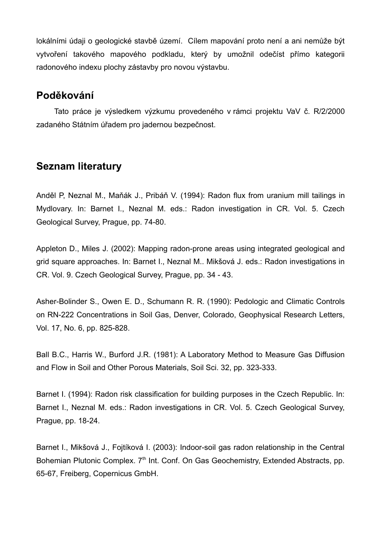lokálními údaji o geologické stavbě území. Cílem mapování proto není a ani nemůže být vytvoření takového mapového podkladu, který by umožnil odečíst přímo kategorii radonového indexu plochy zástavby pro novou výstavbu.

## **Poděkování**

Tato práce je výsledkem výzkumu provedeného v rámci projektu VaV č. R/2/2000 zadaného Státním úřadem pro jadernou bezpečnost.

## **Seznam literatury**

Anděl P, Neznal M., Maňák J., Pribáň V. (1994): Radon flux from uranium mill tailings in Mydlovary. In: Barnet I., Neznal M. eds.: Radon investigation in CR. Vol. 5. Czech Geological Survey, Prague, pp. 74-80.

Appleton D., Miles J. (2002): Mapping radon-prone areas using integrated geological and grid square approaches. In: Barnet I., Neznal M.. Mikšová J. eds.: Radon investigations in CR. Vol. 9. Czech Geological Survey, Prague, pp. 34 - 43.

Asher-Bolinder S., Owen E. D., Schumann R. R. (1990): Pedologic and Climatic Controls on RN-222 Concentrations in Soil Gas, Denver, Colorado, Geophysical Research Letters, Vol. 17, No. 6, pp. 825-828.

Ball B.C., Harris W., Burford J.R. (1981): A Laboratory Method to Measure Gas Diffusion and Flow in Soil and Other Porous Materials, Soil Sci. 32, pp. 323-333.

Barnet I. (1994): Radon risk classification for building purposes in the Czech Republic. In: Barnet I., Neznal M. eds.: Radon investigations in CR. Vol. 5. Czech Geological Survey, Prague, pp. 18-24.

Barnet I., Mikšová J., Fojtíková I. (2003): Indoor-soil gas radon relationship in the Central Bohemian Plutonic Complex. 7<sup>th</sup> Int. Conf. On Gas Geochemistry, Extended Abstracts, pp. 65-67, Freiberg, Copernicus GmbH.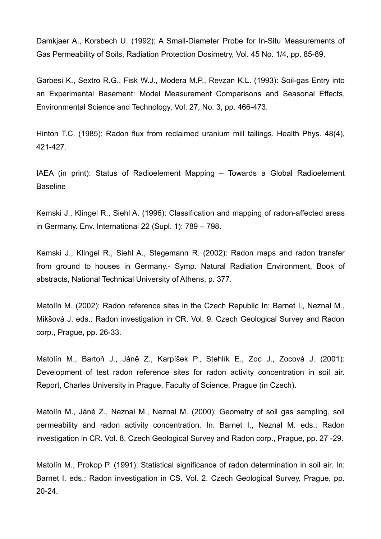Damkjaer A., Korsbech U. (1992): A Small-Diameter Probe for In-Situ Measurements of Gas Permeability of Soils, Radiation Protection Dosimetry, Vol. 45 No. 1/4, pp. 85-89.

Garbesi K., Sextro R.G., Fisk W.J., Modera M.P., Revzan K.L. (1993): Soil-gas Entry into an Experimental Basement: Model Measurement Comparisons and Seasonal Effects, Environmental Science and Technology, Vol. 27, No. 3, pp. 466-473.

Hinton T.C. (1985): Radon flux from reclaimed uranium mill tailings. Health Phys. 48(4), 421-427.

IAEA (in print): Status of Radioelement Mapping – Towards a Global Radioelement Baseline

Kemski J., Klingel R., Siehl A. (1996): Classification and mapping of radon-affected areas in Germany. Env. International 22 (Supl. 1): 789 – 798.

Kemski J., Klingel R., Siehl A., Stegemann R. (2002): Radon maps and radon transfer from ground to houses in Germany.- Symp. Natural Radiation Environment, Book of abstracts, National Technical University of Athens, p. 377.

Matolín M. (2002): Radon reference sites in the Czech Republic In: Barnet I., Neznal M., Mikšová J. eds.: Radon investigation in CR. Vol. 9. Czech Geological Survey and Radon corp., Prague, pp. 26-33.

Matolín M., Bartoň J., Jáně Z., Karpíšek P., Stehlík E., Zoc J., Zocová J. (2001): Development of test radon reference sites for radon activity concentration in soil air. Report, Charles University in Prague, Faculty of Science, Prague (in Czech).

Matolín M., Jáně Z., Neznal M., Neznal M. (2000): Geometry of soil gas sampling, soil permeability and radon activity concentration. In: Barnet I., Neznal M. eds.: Radon investigation in CR. Vol. 8. Czech Geological Survey and Radon corp., Prague, pp. 27 -29.

Matolín M., Prokop P. (1991): Statistical significance of radon determination in soil air. In: Barnet I. eds.: Radon investigation in CS. Vol. 2. Czech Geological Survey, Prague, pp. 20-24.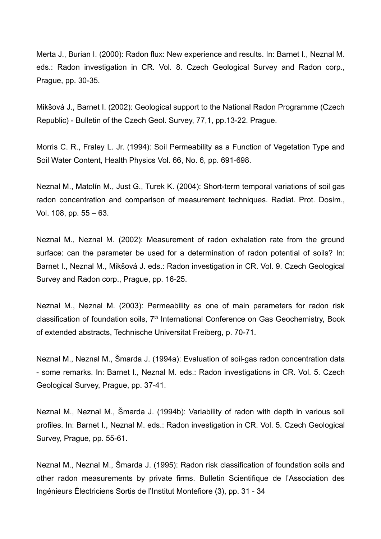Merta J., Burian I. (2000): Radon flux: New experience and results. In: Barnet I., Neznal M. eds.: Radon investigation in CR. Vol. 8. Czech Geological Survey and Radon corp., Prague, pp. 30-35.

Mikšová J., Barnet I. (2002): Geological support to the National Radon Programme (Czech Republic) - Bulletin of the Czech Geol. Survey, 77,1, pp.13-22. Prague.

Morris C. R., Fraley L. Jr. (1994): Soil Permeability as a Function of Vegetation Type and Soil Water Content, Health Physics Vol. 66, No. 6, pp. 691-698.

Neznal M., Matolín M., Just G., Turek K. (2004): Short-term temporal variations of soil gas radon concentration and comparison of measurement techniques. Radiat. Prot. Dosim., Vol. 108, pp. 55 – 63.

Neznal M., Neznal M. (2002): Measurement of radon exhalation rate from the ground surface: can the parameter be used for a determination of radon potential of soils? In: Barnet I., Neznal M., Mikšová J. eds.: Radon investigation in CR. Vol. 9. Czech Geological Survey and Radon corp., Prague, pp. 16-25.

Neznal M., Neznal M. (2003): Permeability as one of main parameters for radon risk classification of foundation soils, 7<sup>th</sup> International Conference on Gas Geochemistry, Book of extended abstracts, Technische Universitat Freiberg, p. 70-71.

Neznal M., Neznal M., Šmarda J. (1994a): Evaluation of soil-gas radon concentration data - some remarks. In: Barnet I., Neznal M. eds.: Radon investigations in CR. Vol. 5. Czech Geological Survey, Prague, pp. 37-41.

Neznal M., Neznal M., Šmarda J. (1994b): Variability of radon with depth in various soil profiles. In: Barnet I., Neznal M. eds.: Radon investigation in CR. Vol. 5. Czech Geological Survey, Prague, pp. 55-61.

Neznal M., Neznal M., Šmarda J. (1995): Radon risk classification of foundation soils and other radon measurements by private firms. Bulletin Scientifique de l'Association des Ingénieurs Électriciens Sortis de l'Institut Montefiore (3), pp. 31 - 34